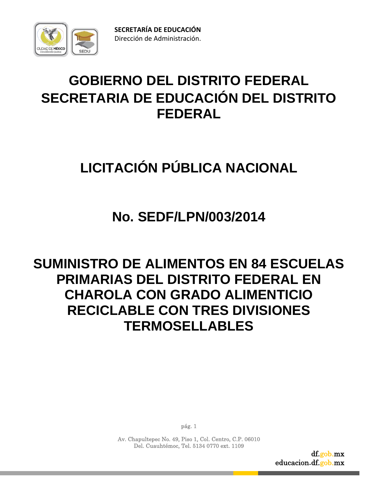

# **GOBIERNO DEL DISTRITO FEDERAL SECRETARIA DE EDUCACIÓN DEL DISTRITO FEDERAL**

# **LICITACIÓN PÚBLICA NACIONAL**

# **No. SEDF/LPN/003/2014**

# **SUMINISTRO DE ALIMENTOS EN 84 ESCUELAS PRIMARIAS DEL DISTRITO FEDERAL EN CHAROLA CON GRADO ALIMENTICIO RECICLABLE CON TRES DIVISIONES TERMOSELLABLES**

pág. 1

Av. Chapultepec No. 49, Piso 1, Col. Centro, C.P. 06010 Del. Cuauhtémoc, Tel. 5134 0770 ext. 1109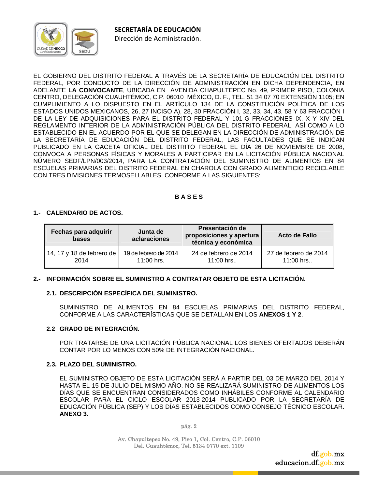

EL GOBIERNO DEL DISTRITO FEDERAL A TRAVÉS DE LA SECRETARÍA DE EDUCACIÓN DEL DISTRITO FEDERAL, POR CONDUCTO DE LA DIRECCIÓN DE ADMINISTRACIÓN EN DICHA DEPENDENCIA, EN ADELANTE **LA CONVOCANTE**, UBICADA EN AVENIDA CHAPULTEPEC No. 49, PRIMER PISO, COLONIA CENTRO, DELEGACIÓN CUAUHTÉMOC, C.P. 06010 MÉXICO, D. F., TEL. 51 34 07 70 EXTENSIÓN 1105; EN CUMPLIMIENTO A LO DISPUESTO EN EL ARTÍCULO 134 DE LA CONSTITUCIÓN POLÍTICA DE LOS ESTADOS UNIDOS MEXICANOS, 26, 27 INCISO A), 28, 30 FRACCIÓN I, 32, 33, 34, 43, 58 Y 63 FRACCIÓN I DE LA LEY DE ADQUISICIONES PARA EL DISTRITO FEDERAL Y 101-G FRACCIONES IX, X Y XIV DEL REGLAMENTO INTERIOR DE LA ADMINISTRACIÓN PÚBLICA DEL DISTRITO FEDERAL, ASÍ COMO A LO ESTABLECIDO EN EL ACUERDO POR EL QUE SE DELEGAN EN LA DIRECCIÓN DE ADMINISTRACIÓN DE LA SECRETARÍA DE EDUCACIÓN DEL DISTRITO FEDERAL, LAS FACULTADES QUE SE INDICAN PUBLICADO EN LA GACETA OFICIAL DEL DISTRITO FEDERAL EL DÍA 26 DE NOVIEMBRE DE 2008, CONVOCA A PERSONAS FÍSICAS Y MORALES A PARTICIPAR EN LA LICITACIÓN PÚBLICA NACIONAL NÚMERO SEDF/LPN/003/2014, PARA LA CONTRATACIÓN DEL SUMINISTRO DE ALIMENTOS EN 84 ESCUELAS PRIMARIAS DEL DISTRITO FEDERAL EN CHAROLA CON GRADO ALIMENTICIO RECICLABLE CON TRES DIVISIONES TERMOSELLABLES, CONFORME A LAS SIGUIENTES:

# **B A S E S**

#### **1.- CALENDARIO DE ACTOS.**

| Fechas para adquirir<br>bases | Junta de<br>aclaraciones | Presentación de<br>proposiciones y apertura<br>técnica y económica | Acto de Fallo         |
|-------------------------------|--------------------------|--------------------------------------------------------------------|-----------------------|
| 14, 17 y 18 de febrero de     | 19 de febrero de 2014    | 24 de febrero de 2014                                              | 27 de febrero de 2014 |
| 2014                          | $11:00$ hrs.             | $11:00$ hrs                                                        | $11:00$ hrs           |

#### **2.- INFORMACIÓN SOBRE EL SUMINISTRO A CONTRATAR OBJETO DE ESTA LICITACIÓN.**

# **2.1. DESCRIPCIÓN ESPECÍFICA DEL SUMINISTRO.**

 SUMINISTRO DE ALIMENTOS EN 84 ESCUELAS PRIMARIAS DEL DISTRITO FEDERAL, CONFORME A LAS CARACTERÍSTICAS QUE SE DETALLAN EN LOS **ANEXOS 1 Y 2**.

#### **2.2 GRADO DE INTEGRACIÓN.**

 POR TRATARSE DE UNA LICITACIÓN PÚBLICA NACIONAL LOS BIENES OFERTADOS DEBERÁN CONTAR POR LO MENOS CON 50% DE INTEGRACIÓN NACIONAL.

#### **2.3. PLAZO DEL SUMINISTRO.**

 EL SUMINISTRO OBJETO DE ESTA LICITACIÓN SERÁ A PARTIR DEL 03 DE MARZO DEL 2014 Y HASTA EL 15 DE JULIO DEL MISMO AÑO. NO SE REALIZARÁ SUMINISTRO DE ALIMENTOS LOS DÍAS QUE SE ENCUENTRAN CONSIDERADOS COMO INHÁBILES CONFORME AL CALENDARIO ESCOLAR PARA EL CICLO ESCOLAR 2013-2014 PUBLICADO POR LA SECRETARÍA DE EDUCACIÓN PÚBLICA (SEP) Y LOS DÍAS ESTABLECIDOS COMO CONSEJO TÉCNICO ESCOLAR. **ANEXO 3**.

pág. 2

Av. Chapultepec No. 49, Piso 1, Col. Centro, C.P. 06010 Del. Cuauhtémoc, Tel. 5134 0770 ext. 1109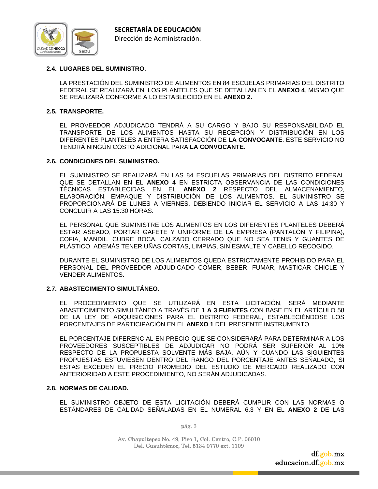

#### **2.4. LUGARES DEL SUMINISTRO.**

 LA PRESTACIÓN DEL SUMINISTRO DE ALIMENTOS EN 84 ESCUELAS PRIMARIAS DEL DISTRITO FEDERAL SE REALIZARÁ EN LOS PLANTELES QUE SE DETALLAN EN EL **ANEXO 4**, MISMO QUE SE REALIZARÁ CONFORME A LO ESTABLECIDO EN EL **ANEXO 2.** 

#### **2.5. TRANSPORTE.**

 EL PROVEEDOR ADJUDICADO TENDRÁ A SU CARGO Y BAJO SU RESPONSABILIDAD EL TRANSPORTE DE LOS ALIMENTOS HASTA SU RECEPCIÓN Y DISTRIBUCIÓN EN LOS DIFERENTES PLANTELES A ENTERA SATISFACCIÓN DE **LA CONVOCANTE**. ESTE SERVICIO NO TENDRÁ NINGÚN COSTO ADICIONAL PARA **LA CONVOCANTE**.

#### **2.6. CONDICIONES DEL SUMINISTRO.**

 EL SUMINISTRO SE REALIZARÁ EN LAS 84 ESCUELAS PRIMARIAS DEL DISTRITO FEDERAL QUE SE DETALLAN EN EL **ANEXO 4** EN ESTRICTA OBSERVANCIA DE LAS CONDICIONES TÉCNICAS ESTABLECIDAS EN EL **ANEXO 2** RESPECTO DEL ALMACENAMIENTO, ELABORACIÓN, EMPAQUE Y DISTRIBUCIÓN DE LOS ALIMENTOS. EL SUMINISTRO SE PROPORCIONARÁ DE LUNES A VIERNES, DEBIENDO INICIAR EL SERVICIO A LAS 14:30 Y CONCLUIR A LAS 15:30 HORAS.

 EL PERSONAL QUE SUMINISTRE LOS ALIMENTOS EN LOS DIFERENTES PLANTELES DEBERÁ ESTAR ASEADO, PORTAR GAFETE Y UNIFORME DE LA EMPRESA (PANTALÓN Y FILIPINA), COFIA, MANDIL, CUBRE BOCA, CALZADO CERRADO QUE NO SEA TENIS Y GUANTES DE PLÁSTICO, ADEMÁS TENER UÑAS CORTAS, LIMPIAS, SIN ESMALTE Y CABELLO RECOGIDO.

 DURANTE EL SUMINISTRO DE LOS ALIMENTOS QUEDA ESTRICTAMENTE PROHIBIDO PARA EL PERSONAL DEL PROVEEDOR ADJUDICADO COMER, BEBER, FUMAR, MASTICAR CHICLE Y VENDER ALIMENTOS.

#### **2.7. ABASTECIMIENTO SIMULTÁNEO.**

 EL PROCEDIMIENTO QUE SE UTILIZARÁ EN ESTA LICITACIÓN, SERÁ MEDIANTE ABASTECIMIENTO SIMULTÁNEO A TRAVÉS DE **1 A 3 FUENTES** CON BASE EN EL ARTÍCULO 58 DE LA LEY DE ADQUISICIONES PARA EL DISTRITO FEDERAL, ESTABLECIÉNDOSE LOS PORCENTAJES DE PARTICIPACIÓN EN EL **ANEXO 1** DEL PRESENTE INSTRUMENTO.

EL PORCENTAJE DIFERENCIAL EN PRECIO QUE SE CONSIDERARÁ PARA DETERMINAR A LOS PROVEEDORES SUSCEPTIBLES DE ADJUDICAR NO PODRÁ SER SUPERIOR AL 10% RESPECTO DE LA PROPUESTA SOLVENTE MÁS BAJA. AÚN Y CUANDO LAS SIGUIENTES PROPUESTAS ESTUVIESEN DENTRO DEL RANGO DEL PORCENTAJE ANTES SEÑALADO, SI ESTAS EXCEDEN EL PRECIO PROMEDIO DEL ESTUDIO DE MERCADO REALIZADO CON ANTERIORIDAD A ESTE PROCEDIMIENTO, NO SERÁN ADJUDICADAS.

#### **2.8. NORMAS DE CALIDAD.**

 EL SUMINISTRO OBJETO DE ESTA LICITACIÓN DEBERÁ CUMPLIR CON LAS NORMAS O ESTÁNDARES DE CALIDAD SEÑALADAS EN EL NUMERAL 6.3 Y EN EL **ANEXO 2** DE LAS

pág. 3

Av. Chapultepec No. 49, Piso 1, Col. Centro, C.P. 06010 Del. Cuauhtémoc, Tel. 5134 0770 ext. 1109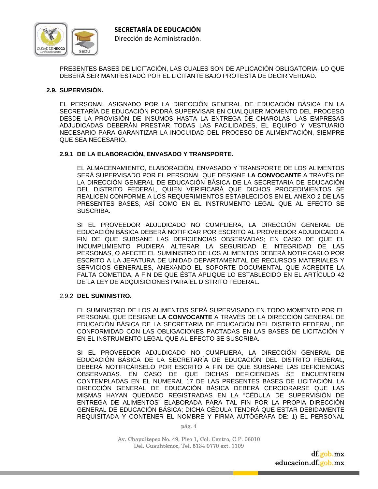

PRESENTES BASES DE LICITACIÓN, LAS CUALES SON DE APLICACIÓN OBLIGATORIA. LO QUE DEBERÁ SER MANIFESTADO POR EL LICITANTE BAJO PROTESTA DE DECIR VERDAD.

#### **2.9. SUPERVISIÓN.**

EL PERSONAL ASIGNADO POR LA DIRECCIÓN GENERAL DE EDUCACIÓN BÁSICA EN LA SECRETARÍA DE EDUCACIÓN PODRÁ SUPERVISAR EN CUALQUIER MOMENTO DEL PROCESO DESDE LA PROVISIÓN DE INSUMOS HASTA LA ENTREGA DE CHAROLAS. LAS EMPRESAS ADJUDICADAS DEBERÁN PRESTAR TODAS LAS FACILIDADES, EL EQUIPO Y VESTUARIO NECESARIO PARA GARANTIZAR LA INOCUIDAD DEL PROCESO DE ALIMENTACIÓN, SIEMPRE QUE SEA NECESARIO.

#### **2.9.1 DE LA ELABORACIÓN, ENVASADO Y TRANSPORTE.**

EL ALMACENAMIENTO, ELABORACIÓN, ENVASADO Y TRANSPORTE DE LOS ALIMENTOS SERÁ SUPERVISADO POR EL PERSONAL QUE DESIGNE **LA CONVOCANTE** A TRAVÉS DE LA DIRECCIÓN GENERAL DE EDUCACIÓN BÁSICA DE LA SECRETARIA DE EDUCACIÓN DEL DISTRITO FEDERAL, QUIEN VERIFICARÁ QUE DICHOS PROCEDIMIENTOS SE REALICEN CONFORME A LOS REQUERIMIENTOS ESTABLECIDOS EN EL ANEXO 2 DE LAS PRESENTES BASES, ASÍ COMO EN EL INSTRUMENTO LEGAL QUE AL EFECTO SE SUSCRIBA.

SI EL PROVEEDOR ADJUDICADO NO CUMPLIERA, LA DIRECCIÓN GENERAL DE EDUCACIÓN BÁSICA DEBERÁ NOTIFICAR POR ESCRITO AL PROVEEDOR ADJUDICADO A FIN DE QUE SUBSANE LAS DEFICIENCIAS OBSERVADAS; EN CASO DE QUE EL INCUMPLIMIENTO PUDIERA ALTERAR LA SEGURIDAD E INTEGRIDAD DE LAS PERSONAS, O AFECTE EL SUMINISTRO DE LOS ALIMENTOS DEBERÁ NOTIFICARLO POR ESCRITO A LA JEFATURA DE UNIDAD DEPARTAMENTAL DE RECURSOS MATERIALES Y SERVICIOS GENERALES, ANEXANDO EL SOPORTE DOCUMENTAL QUE ACREDITE LA FALTA COMETIDA, A FIN DE QUE ÉSTA APLIQUE LO ESTABLECIDO EN EL ARTÍCULO 42 DE LA LEY DE ADQUISICIONES PARA EL DISTRITO FEDERAL.

#### 2.9.2 **DEL SUMINISTRO.**

EL SUMINISTRO DE LOS ALIMENTOS SERÁ SUPERVISADO EN TODO MOMENTO POR EL PERSONAL QUE DESIGNE **LA CONVOCANTE** A TRAVÉS DE LA DIRECCIÓN GENERAL DE EDUCACIÓN BÁSICA DE LA SECRETARIA DE EDUCACIÓN DEL DISTRITO FEDERAL, DE CONFORMIDAD CON LAS OBLIGACIONES PACTADAS EN LAS BASES DE LICITACIÓN Y EN EL INSTRUMENTO LEGAL QUE AL EFECTO SE SUSCRIBA.

SI EL PROVEEDOR ADJUDICADO NO CUMPLIERA, LA DIRECCIÓN GENERAL DE EDUCACIÓN BÁSICA DE LA SECRETARÍA DE EDUCACIÓN DEL DISTRITO FEDERAL, DEBERÁ NOTIFICÁRSELO POR ESCRITO A FIN DE QUE SUBSANE LAS DEFICIENCIAS OBSERVADAS. EN CASO DE QUE DICHAS DEFICIENCIAS SE ENCUENTREN CONTEMPLADAS EN EL NUMERAL 17 DE LAS PRESENTES BASES DE LICITACIÓN, LA DIRECCIÓN GENERAL DE EDUCACIÓN BÁSICA DEBERÁ CERCIORARSE QUE LAS MISMAS HAYAN QUEDADO REGISTRADAS EN LA "CÉDULA DE SUPERVISIÓN DE ENTREGA DE ALIMENTOS" ELABORADA PARA TAL FIN POR LA PROPIA DIRECCIÓN GENERAL DE EDUCACIÓN BÁSICA; DICHA CÉDULA TENDRÁ QUE ESTAR DEBIDAMENTE REQUISITADA Y CONTENER EL NOMBRE Y FIRMA AUTÓGRAFA DE: 1) EL PERSONAL

pág. 4

Av. Chapultepec No. 49, Piso 1, Col. Centro, C.P. 06010 Del. Cuauhtémoc, Tel. 5134 0770 ext. 1109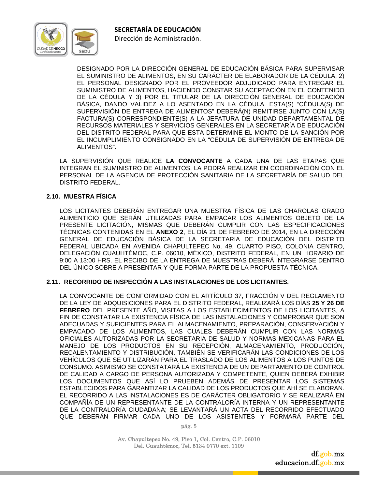

Dirección de Administración.

DESIGNADO POR LA DIRECCIÓN GENERAL DE EDUCACIÓN BÁSICA PARA SUPERVISAR EL SUMINISTRO DE ALIMENTOS, EN SU CARÁCTER DE ELABORADOR DE LA CÉDULA; 2) EL PERSONAL DESIGNADO POR EL PROVEEDOR ADJUDICADO PARA ENTREGAR EL SUMINISTRO DE ALIMENTOS, HACIENDO CONSTAR SU ACEPTACIÓN EN EL CONTENIDO DE LA CÉDULA Y 3) POR EL TITULAR DE LA DIRECCIÓN GENERAL DE EDUCACIÓN BÁSICA, DANDO VALIDEZ A LO ASENTADO EN LA CÉDULA. ESTA(S) "CÉDULA(S) DE SUPERVISIÓN DE ENTREGA DE ALIMENTOS" DEBERÁ(N) REMITIRSE JUNTO CON LA(S) FACTURA(S) CORRESPONDIENTE(S) A LA JEFATURA DE UNIDAD DEPARTAMENTAL DE RECURSOS MATERIALES Y SERVICIOS GENERALES EN LA SECRETARÍA DE EDUCACIÓN DEL DISTRITO FEDERAL PARA QUE ESTA DETERMINE EL MONTO DE LA SANCIÓN POR EL INCUMPLIMIENTO CONSIGNADO EN LA "CÉDULA DE SUPERVISIÓN DE ENTREGA DE ALIMENTOS".

LA SUPERVISIÓN QUE REALICE **LA CONVOCANTE** A CADA UNA DE LAS ETAPAS QUE INTEGRAN EL SUMINISTRO DE ALIMENTOS, LA PODRÁ REALIZAR EN COORDINACIÓN CON EL PERSONAL DE LA AGENCIA DE PROTECCIÓN SANITARIA DE LA SECRETARÍA DE SALUD DEL DISTRITO FEDERAL.

#### **2.10. MUESTRA FÍSICA**

 LOS LICITANTES DEBERÁN ENTREGAR UNA MUESTRA FÍSICA DE LAS CHAROLAS GRADO ALIMENTICIO QUE SERÁN UTILIZADAS PARA EMPACAR LOS ALIMENTOS OBJETO DE LA PRESENTE LICITACIÓN, MISMAS QUE DEBERÁN CUMPLIR CON LAS ESPECIFICACIONES TÉCNICAS CONTENIDAS EN EL **ANEXO 2**, EL DÍA 21 DE FEBRERO DE 2014, EN LA DIRECCIÓN GENERAL DE EDUCACIÓN BÁSICA DE LA SECRETARIA DE EDUCACIÓN DEL DISTRITO FEDERAL UBICADA EN AVENIDA CHAPULTEPEC No. 49, CUARTO PISO, COLONIA CENTRO, DELEGACIÓN CUAUHTÉMOC, C.P. 06010, MÉXICO, DISTRITO FEDERAL, EN UN HORARIO DE 9:00 A 13:00 HRS. EL RECIBO DE LA ENTREGA DE MUESTRAS DEBERÁ INTEGRARSE DENTRO DEL ÚNICO SOBRE A PRESENTAR Y QUE FORMA PARTE DE LA PROPUESTA TÉCNICA.

#### **2.11. RECORRIDO DE INSPECCIÓN A LAS INSTALACIONES DE LOS LICITANTES.**

LA CONVOCANTE DE CONFORMIDAD CON EL ARTÍCULO 37, FRACCIÓN V DEL REGLAMENTO DE LA LEY DE ADQUISICIONES PARA EL DISTRITO FEDERAL, REALIZARÁ LOS DÍAS **25 Y 26 DE FEBRERO** DEL PRESENTE AÑO, VISITAS A LOS ESTABLECIMIENTOS DE LOS LICITANTES, A FIN DE CONSTATAR LA EXISTENCIA FÍSICA DE LAS INSTALACIONES Y COMPROBAR QUE SON ADECUADAS Y SUFICIENTES PARA EL ALMACENAMIENTO, PREPARACIÓN, CONSERVACIÓN Y EMPACADO DE LOS ALIMENTOS, LAS CUALES DEBERÁN CUMPLIR CON LAS NORMAS OFICIALES AUTORIZADAS POR LA SECRETARIA DE SALUD Y NORMAS MEXICANAS PARA EL MANEJO DE LOS PRODUCTOS EN SU RECEPCIÓN, ALMACENAMIENTO, PRODUCCIÓN, RECALENTAMIENTO Y DISTRIBUCIÓN. TAMBIÉN SE VERIFICARÁN LAS CONDICIONES DE LOS VEHÍCULOS QUE SE UTILIZARÁN PARA EL TRASLADO DE LOS ALIMENTOS A LOS PUNTOS DE CONSUMO. ASIMISMO SE CONSTATARÁ LA EXISTENCIA DE UN DEPARTAMENTO DE CONTROL DE CALIDAD A CARGO DE PERSONA AUTORIZADA Y COMPETENTE, QUIEN DEBERÁ EXHIBIR LOS DOCUMENTOS QUE ASÍ LO PRUEBEN ADEMÁS DE PRESENTAR LOS SISTEMAS ESTABLECIDOS PARA GARANTIZAR LA CALIDAD DE LOS PRODUCTOS QUE AHÍ SE ELABORAN. EL RECORRIDO A LAS INSTALACIONES ES DE CARÁCTER OBLIGATORIO Y SE REALIZARÁ EN COMPAÑÍA DE UN REPRESENTANTE DE LA CONTRALORÍA INTERNA Y UN REPRESENTANTE DE LA CONTRALORÍA CIUDADANA; SE LEVANTARÁ UN ACTA DEL RECORRIDO EFECTUADO QUE DEBERÁN FIRMAR CADA UNO DE LOS ASISTENTES Y FORMARÁ PARTE DEL

pág. 5

Av. Chapultepec No. 49, Piso 1, Col. Centro, C.P. 06010 Del. Cuauhtémoc, Tel. 5134 0770 ext. 1109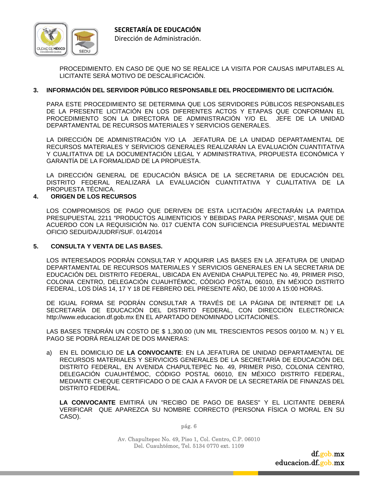

PROCEDIMIENTO. EN CASO DE QUE NO SE REALICE LA VISITA POR CAUSAS IMPUTABLES AL LICITANTE SERÁ MOTIVO DE DESCALIFICACIÓN.

# **3. INFORMACIÓN DEL SERVIDOR PÚBLICO RESPONSABLE DEL PROCEDIMIENTO DE LICITACIÓN.**

PARA ESTE PROCEDIMIENTO SE DETERMINA QUE LOS SERVIDORES PÚBLICOS RESPONSABLES DE LA PRESENTE LICITACIÓN EN LOS DIFERENTES ACTOS Y ETAPAS QUE CONFORMAN EL PROCEDIMIENTO SON LA DIRECTORA DE ADMINISTRACIÓN Y/O EL JEFE DE LA UNIDAD DEPARTAMENTAL DE RECURSOS MATERIALES Y SERVICIOS GENERALES.

 LA DIRECCIÓN DE ADMINISTRACIÓN Y/O LA JEFATURA DE LA UNIDAD DEPARTAMENTAL DE RECURSOS MATERIALES Y SERVICIOS GENERALES REALIZARÁN LA EVALUACIÓN CUANTITATIVA Y CUALITATIVA DE LA DOCUMENTACIÓN LEGAL Y ADMINISTRATIVA, PROPUESTA ECONÓMICA Y GARANTÍA DE LA FORMALIDAD DE LA PROPUESTA.

 LA DIRECCIÓN GENERAL DE EDUCACIÓN BÁSICA DE LA SECRETARIA DE EDUCACIÓN DEL DISTRITO FEDERAL REALIZARÁ LA EVALUACIÓN CUANTITATIVA Y CUALITATIVA DE LA PROPUESTA TÉCNICA.

#### **4. ORIGEN DE LOS RECURSOS**

LOS COMPROMISOS DE PAGO QUE DERIVEN DE ESTA LICITACIÓN AFECTARÁN LA PARTIDA PRESUPUESTAL 2211 "PRODUCTOS ALIMENTICIOS Y BEBIDAS PARA PERSONAS", MISMA QUE DE ACUERDO CON LA REQUISICIÓN No. 017 CUENTA CON SUFICIENCIA PRESUPUESTAL MEDIANTE OFICIO SEDU/DA/JUDRF/SUF. 014/2014

#### **5. CONSULTA Y VENTA DE LAS BASES.**

LOS INTERESADOS PODRÁN CONSULTAR Y ADQUIRIR LAS BASES EN LA JEFATURA DE UNIDAD DEPARTAMENTAL DE RECURSOS MATERIALES Y SERVICIOS GENERALES EN LA SECRETARIA DE EDUCACIÓN DEL DISTRITO FEDERAL, UBICADA EN AVENIDA CHAPULTEPEC No. 49, PRIMER PISO, COLONIA CENTRO, DELEGACIÓN CUAUHTÉMOC, CÓDIGO POSTAL 06010, EN MÉXICO DISTRITO FEDERAL, LOS DÍAS 14, 17 Y 18 DE FEBRERO DEL PRESENTE AÑO, DE 10:00 A 15:00 HORAS.

DE IGUAL FORMA SE PODRÁN CONSULTAR A TRAVÉS DE LA PÁGINA DE INTERNET DE LA SECRETARÍA DE EDUCACIÓN DEL DISTRITO FEDERAL, CON DIRECCIÓN ELECTRÓNICA: http://www.educacion.df.gob.mx EN EL APARTADO DENOMINADO LICITACIONES.

LAS BASES TENDRÁN UN COSTO DE \$ 1,300.00 (UN MIL TRESCIENTOS PESOS 00/100 M. N.) Y EL PAGO SE PODRÁ REALIZAR DE DOS MANERAS:

a) EN EL DOMICILIO DE **LA CONVOCANTE**: EN LA JEFATURA DE UNIDAD DEPARTAMENTAL DE RECURSOS MATERIALES Y SERVICIOS GENERALES DE LA SECRETARÍA DE EDUCACIÓN DEL DISTRITO FEDERAL, EN AVENIDA CHAPULTEPEC No. 49, PRIMER PISO, COLONIA CENTRO, DELEGACIÓN CUAUHTÉMOC, CÓDIGO POSTAL 06010, EN MÉXICO DISTRITO FEDERAL, MEDIANTE CHEQUE CERTIFICADO O DE CAJA A FAVOR DE LA SECRETARÍA DE FINANZAS DEL DISTRITO FEDERAL.

 **LA CONVOCANTE** EMITIRÁ UN "RECIBO DE PAGO DE BASES" Y EL LICITANTE DEBERÁ VERIFICAR QUE APAREZCA SU NOMBRE CORRECTO (PERSONA FÍSICA O MORAL EN SU CASO).

pág. 6

Av. Chapultepec No. 49, Piso 1, Col. Centro, C.P. 06010 Del. Cuauhtémoc, Tel. 5134 0770 ext. 1109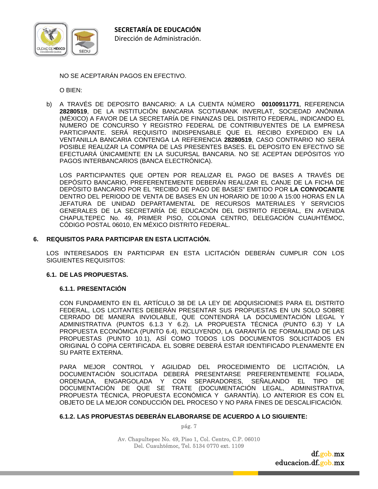

NO SE ACEPTARÁN PAGOS EN EFECTIVO.

O BIEN:

b) A TRAVÉS DE DEPOSITO BANCARIO: A LA CUENTA NÚMERO **00100911771**, REFERENCIA **28280519**, DE LA INSTITUCIÓN BANCARIA SCOTIABANK INVERLAT, SOCIEDAD ANÓNIMA (MÉXICO) A FAVOR DE LA SECRETARÍA DE FINANZAS DEL DISTRITO FEDERAL, INDICANDO EL NUMERO DE CONCURSO Y REGISTRO FEDERAL DE CONTRIBUYENTES DE LA EMPRESA PARTICIPANTE. SERÁ REQUISITO INDISPENSABLE QUE EL RECIBO EXPEDIDO EN LA VENTANILLA BANCARIA CONTENGA LA REFERENCIA **28280519**, CASO CONTRARIO NO SERÁ POSIBLE REALIZAR LA COMPRA DE LAS PRESENTES BASES. EL DEPOSITO EN EFECTIVO SE EFECTUARÁ ÚNICAMENTE EN LA SUCURSAL BANCARIA. NO SE ACEPTAN DEPÓSITOS Y/O PAGOS INTERBANCARIOS (BANCA ELECTRÓNICA).

 LOS PARTICIPANTES QUE OPTEN POR REALIZAR EL PAGO DE BASES A TRAVÉS DE DEPÓSITO BANCARIO, PREFERENTEMENTE DEBERÁN REALIZAR EL CANJE DE LA FICHA DE DEPÓSITO BANCARIO POR EL "RECIBO DE PAGO DE BASES" EMITIDO POR **LA CONVOCANTE** DENTRO DEL PERIODO DE VENTA DE BASES EN UN HORARIO DE 10:00 A 15:00 HORAS EN LA JEFATURA DE UNIDAD DEPARTAMENTAL DE RECURSOS MATERIALES Y SERVICIOS GENERALES DE LA SECRETARÍA DE EDUCACIÓN DEL DISTRITO FEDERAL, EN AVENIDA CHAPULTEPEC No. 49, PRIMER PISO, COLONIA CENTRO, DELEGACIÓN CUAUHTÉMOC, CÓDIGO POSTAL 06010, EN MÉXICO DISTRITO FEDERAL.

#### **6. REQUISITOS PARA PARTICIPAR EN ESTA LICITACIÓN.**

LOS INTERESADOS EN PARTICIPAR EN ESTA LICITACIÓN DEBERÁN CUMPLIR CON LOS SIGUIENTES REQUISITOS:

#### **6.1. DE LAS PROPUESTAS.**

#### **6.1.1. PRESENTACIÓN**

CON FUNDAMENTO EN EL ARTÍCULO 38 DE LA LEY DE ADQUISICIONES PARA EL DISTRITO FEDERAL, LOS LICITANTES DEBERÁN PRESENTAR SUS PROPUESTAS EN UN SOLO SOBRE CERRADO DE MANERA INVIOLABLE, QUE CONTENDRÁ LA DOCUMENTACIÓN LEGAL Y ADMINISTRATIVA (PUNTOS 6.1.3 Y 6.2). LA PROPUESTA TÉCNICA (PUNTO 6.3) Y LA PROPUESTA ECONÓMICA (PUNTO 6.4), INCLUYENDO, LA GARANTÍA DE FORMALIDAD DE LAS PROPUESTAS (PUNTO 10.1), ASÍ COMO TODOS LOS DOCUMENTOS SOLICITADOS EN ORIGINAL Ó COPIA CERTIFICADA. EL SOBRE DEBERÁ ESTAR IDENTIFICADO PLENAMENTE EN SU PARTE EXTERNA.

PARA MEJOR CONTROL Y AGILIDAD DEL PROCEDIMIENTO DE LICITACIÓN, LA DOCUMENTACIÓN SOLICITADA DEBERÁ PRESENTARSE PREFERENTEMENTE FOLIADA, ORDENADA, ENGARGOLADA Y CON SEPARADORES, SEÑALANDO EL TIPO DE DOCUMENTACIÓN DE QUE SE TRATE (DOCUMENTACIÓN LEGAL, ADMINISTRATIVA, PROPUESTA TÉCNICA, PROPUESTA ECONÓMICA Y GARANTÍA). LO ANTERIOR ES CON EL OBJETO DE LA MEJOR CONDUCCIÓN DEL PROCESO Y NO PARA FINES DE DESCALIFICACIÓN.

#### **6.1.2. LAS PROPUESTAS DEBERÁN ELABORARSE DE ACUERDO A LO SIGUIENTE:**

pág. 7

Av. Chapultepec No. 49, Piso 1, Col. Centro, C.P. 06010 Del. Cuauhtémoc, Tel. 5134 0770 ext. 1109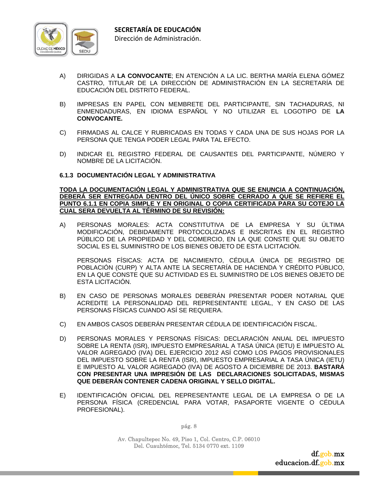

- A) DIRIGIDAS A **LA CONVOCANTE**; EN ATENCIÓN A LA LIC. BERTHA MARÍA ELENA GÓMEZ CASTRO, TITULAR DE LA DIRECCIÓN DE ADMINISTRACIÓN EN LA SECRETARÍA DE EDUCACIÓN DEL DISTRITO FEDERAL.
- B) IMPRESAS EN PAPEL CON MEMBRETE DEL PARTICIPANTE, SIN TACHADURAS, NI ENMENDADURAS, EN IDIOMA ESPAÑOL Y NO UTILIZAR EL LOGOTIPO DE **LA CONVOCANTE.**
- C) FIRMADAS AL CALCE Y RUBRICADAS EN TODAS Y CADA UNA DE SUS HOJAS POR LA PERSONA QUE TENGA PODER LEGAL PARA TAL EFECTO.
- D) INDICAR EL REGISTRO FEDERAL DE CAUSANTES DEL PARTICIPANTE, NÚMERO Y NOMBRE DE LA LICITACIÓN.

#### **6.1.3 DOCUMENTACIÓN LEGAL Y ADMINISTRATIVA**

#### **TODA LA DOCUMENTACIÓN LEGAL Y ADMINISTRATIVA QUE SE ENUNCIA A CONTINUACIÓN, DEBERÁ SER ENTREGADA DENTRO DEL ÚNICO SOBRE CERRADO A QUE SE REFIERE EL PUNTO 6.1.1 EN COPIA SIMPLE Y EN ORIGINAL O COPIA CERTIFICADA PARA SU COTEJO LA CUAL SERA DEVUELTA AL TÉRMINO DE SU REVISIÓN:**

A) PERSONAS MORALES: ACTA CONSTITUTIVA DE LA EMPRESA Y SU ÚLTIMA MODIFICACIÓN, DEBIDAMENTE PROTOCOLIZADAS E INSCRITAS EN EL REGISTRO PÚBLICO DE LA PROPIEDAD Y DEL COMERCIO, EN LA QUE CONSTE QUE SU OBJETO SOCIAL ES EL SUMINISTRO DE LOS BIENES OBJETO DE ESTA LICITACIÓN.

 PERSONAS FÍSICAS: ACTA DE NACIMIENTO, CÉDULA ÚNICA DE REGISTRO DE POBLACIÓN (CURP) Y ALTA ANTE LA SECRETARÍA DE HACIENDA Y CRÉDITO PÚBLICO, EN LA QUE CONSTE QUE SU ACTIVIDAD ES EL SUMINISTRO DE LOS BIENES OBJETO DE ESTA LICITACIÓN.

- B) EN CASO DE PERSONAS MORALES DEBERÁN PRESENTAR PODER NOTARIAL QUE ACREDITE LA PERSONALIDAD DEL REPRESENTANTE LEGAL, Y EN CASO DE LAS PERSONAS FÍSICAS CUANDO ASÍ SE REQUIERA.
- C) EN AMBOS CASOS DEBERÁN PRESENTAR CÉDULA DE IDENTIFICACIÓN FISCAL.
- D) PERSONAS MORALES Y PERSONAS FÍSICAS: DECLARACIÓN ANUAL DEL IMPUESTO SOBRE LA RENTA (ISR), IMPUESTO EMPRESARIAL A TASA ÚNICA (IETU) E IMPUESTO AL VALOR AGREGADO (IVA) DEL EJERCICIO 2012 ASÍ COMO LOS PAGOS PROVISIONALES DEL IMPUESTO SOBRE LA RENTA (ISR), IMPUESTO EMPRESARIAL A TASA ÚNICA (IETU) E IMPUESTO AL VALOR AGREGADO (IVA) DE AGOSTO A DICIEMBRE DE 2013. **BASTARÁ CON PRESENTAR UNA IMPRESIÓN DE LAS DECLARACIONES SOLICITADAS, MISMAS QUE DEBERÁN CONTENER CADENA ORIGINAL Y SELLO DIGITAL.**
- E) IDENTIFICACIÓN OFICIAL DEL REPRESENTANTE LEGAL DE LA EMPRESA O DE LA PERSONA FÍSICA (CREDENCIAL PARA VOTAR, PASAPORTE VIGENTE O CÉDULA PROFESIONAL).

pág. 8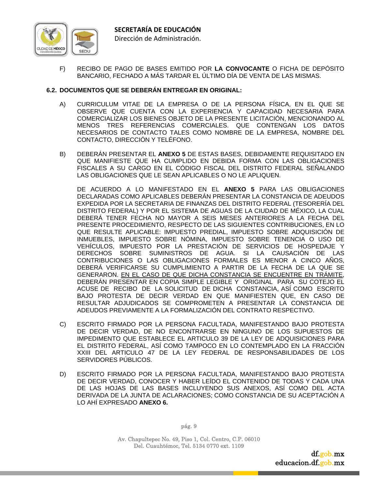

F) RECIBO DE PAGO DE BASES EMITIDO POR **LA CONVOCANTE** O FICHA DE DEPÓSITO BANCARIO, FECHADO A MÁS TARDAR EL ÚLTIMO DÍA DE VENTA DE LAS MISMAS.

#### **6.2. DOCUMENTOS QUE SE DEBERÁN ENTREGAR EN ORIGINAL:**

- A) CURRICULUM VITAE DE LA EMPRESA O DE LA PERSONA FÍSICA, EN EL QUE SE OBSERVE QUE CUENTA CON LA EXPERIENCIA Y CAPACIDAD NECESARIA PARA COMERCIALIZAR LOS BIENES OBJETO DE LA PRESENTE LICITACIÓN, MENCIONANDO AL MENOS TRES REFERENCIAS COMERCIALES. QUE CONTENGAN LOS DATOS NECESARIOS DE CONTACTO TALES COMO NOMBRE DE LA EMPRESA, NOMBRE DEL CONTACTO, DIRECCIÓN Y TELÉFONO.
- B) DEBERÁN PRESENTAR EL **ANEXO 5** DE ESTAS BASES, DEBIDAMENTE REQUISITADO EN QUE MANIFIESTE QUE HA CUMPLIDO EN DEBIDA FORMA CON LAS OBLIGACIONES FISCALES A SU CARGO EN EL CÓDIGO FISCAL DEL DISTRITO FEDERAL SEÑALANDO LAS OBLIGACIONES QUE LE SEAN APLICABLES O NO LE APLIQUEN.

 DE ACUERDO A LO MANIFESTADO EN EL **ANEXO 5** PARA LAS OBLIGACIONES DECLARADAS COMO APLICABLES DEBERÁN PRESENTAR LA CONSTANCIA DE ADEUDOS EXPEDIDA POR LA SECRETARIA DE FINANZAS DEL DISTRITO FEDERAL (TESORERÍA DEL DISTRITO FEDERAL) Y POR EL SISTEMA DE AGUAS DE LA CIUDAD DE MÉXICO, LA CUAL DEBERÁ TENER FECHA NO MAYOR A SEIS MESES ANTERIORES A LA FECHA DEL PRESENTE PROCEDIMIENTO, RESPECTO DE LAS SIGUIENTES CONTRIBUCIONES, EN LO QUE RESULTE APLICABLE: IMPUESTO PREDIAL, IMPUESTO SOBRE ADQUISICIÓN DE INMUEBLES, IMPUESTO SOBRE NÓMINA, IMPUESTO SOBRE TENENCIA O USO DE VEHÍCULOS, IMPUESTO POR LA PRESTACIÓN DE SERVICIOS DE HOSPEDAJE Y DERECHOS SOBRE SUMINISTROS DE AGUA. SI LA CAUSACIÓN DE LAS CONTRIBUCIONES O LAS OBLIGACIONES FORMALES ES MENOR A CINCO AÑOS, DEBERÁ VERIFICARSE SU CUMPLIMIENTO A PARTIR DE LA FECHA DE LA QUE SE GENERARON. EN EL CASO DE QUE DICHA CONSTANCIA SE ENCUENTRE EN TRÁMITE, DEBERÁN PRESENTAR EN COPIA SIMPLE LEGIBLE Y ORIGINAL PARA SU COTEJO EL ACUSE DE RECIBO DE LA SOLICITUD DE DICHA CONSTANCIA, ASÍ COMO ESCRITO BAJO PROTESTA DE DECIR VERDAD EN QUE MANIFIESTEN QUE, EN CASO DE RESULTAR ADJUDICADOS SE COMPROMETEN A PRESENTAR LA CONSTANCIA DE ADEUDOS PREVIAMENTE A LA FORMALIZACIÓN DEL CONTRATO RESPECTIVO.

- C) ESCRITO FIRMADO POR LA PERSONA FACULTADA, MANIFESTANDO BAJO PROTESTA DE DECIR VERDAD, DE NO ENCONTRARSE EN NINGUNO DE LOS SUPUESTOS DE IMPEDIMENTO QUE ESTABLECE EL ARTICULO 39 DE LA LEY DE ADQUISICIONES PARA EL DISTRITO FEDERAL, ASÍ COMO TAMPOCO EN LO CONTEMPLADO EN LA FRACCIÓN XXIII DEL ARTICULO 47 DE LA LEY FEDERAL DE RESPONSABILIDADES DE LOS SERVIDORES PÚBLICOS.
- D) ESCRITO FIRMADO POR LA PERSONA FACULTADA, MANIFESTANDO BAJO PROTESTA DE DECIR VERDAD, CONOCER Y HABER LEÍDO EL CONTENIDO DE TODAS Y CADA UNA DE LAS HOJAS DE LAS BASES INCLUYENDO SUS ANEXOS, ASÍ COMO DEL ACTA DERIVADA DE LA JUNTA DE ACLARACIONES; COMO CONSTANCIA DE SU ACEPTACIÓN A LO AHÍ EXPRESADO **ANEXO 6.**

pág. 9

Av. Chapultepec No. 49, Piso 1, Col. Centro, C.P. 06010 Del. Cuauhtémoc, Tel. 5134 0770 ext. 1109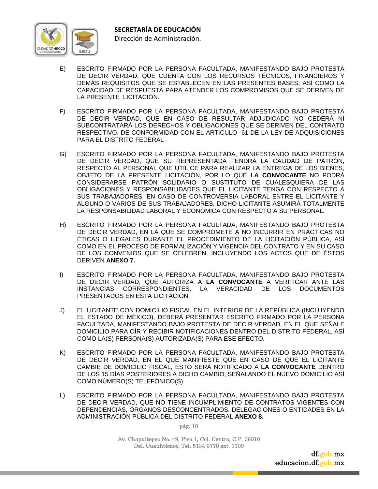

- E) ESCRITO FIRMADO POR LA PERSONA FACULTADA, MANIFESTANDO BAJO PROTESTA DE DECIR VERDAD, QUE CUENTA CON LOS RECURSOS TÉCNICOS, FINANCIEROS Y DEMÁS REQUISITOS QUE SE ESTABLECEN EN LAS PRESENTES BASES, ASÍ COMO LA CAPACIDAD DE RESPUESTA PARA ATENDER LOS COMPROMISOS QUE SE DERIVEN DE LA PRESENTE LICITACIÓN.
- F) ESCRITO FIRMADO POR LA PERSONA FACULTADA, MANIFESTANDO BAJO PROTESTA DE DECIR VERDAD, QUE EN CASO DE RESULTAR ADJUDICADO NO CEDERÁ NI SUBCONTRATARÁ LOS DERECHOS Y OBLIGACIONES QUE SE DERIVEN DEL CONTRATO RESPECTIVO. DE CONFORMIDAD CON EL ARTICULO 61 DE LA LEY DE ADQUISICIONES PARA EL DISTRITO FEDERAL
- G) ESCRITO FIRMADO POR LA PERSONA FACULTADA, MANIFESTANDO BAJO PROTESTA DE DECIR VERDAD, QUE SU REPRESENTADA TENDRÁ LA CALIDAD DE PATRÓN, RESPECTO AL PERSONAL QUE UTILICE PARA REALIZAR LA ENTREGA DE LOS BIENES, OBJETO DE LA PRESENTE LICITACIÓN, POR LO QUE **LA CONVOCANTE** NO PODRÁ CONSIDERARSE PATRÓN SOLIDARIO O SUSTITUTO DE CUALESQUIERA DE LAS OBLIGACIONES Y RESPONSABILIDADES QUE EL LICITANTE TENGA CON RESPECTO A SUS TRABAJADORES. EN CASO DE CONTROVERSIA LABORAL ENTRE EL LICITANTE Y ALGUNO O VARIOS DE SUS TRABAJADORES, DICHO LICITANTE ASUMIRÁ TOTALMENTE LA RESPONSABILIDAD LABORAL Y ECONÓMICA CON RESPECTO A SU PERSONAL**.**
- H) ESCRITO FIRMADO POR LA PERSONA FACULTADA, MANIFESTANDO BAJO PROTESTA DE DECIR VERDAD, EN LA QUE SE COMPROMETE A NO INCURRIR EN PRÁCTICAS NO ÉTICAS O ILEGALES DURANTE EL PROCEDIMIENTO DE LA LICITACIÓN PÚBLICA, ASÍ COMO EN EL PROCESO DE FORMALIZACIÓN Y VIGENCIA DEL CONTRATO Y EN SU CASO DE LOS CONVENIOS QUE SE CELEBREN, INCLUYENDO LOS ACTOS QUE DE ÉSTOS DERIVEN **ANEXO 7.**
- I) ESCRITO FIRMADO POR LA PERSONA FACULTADA, MANIFESTANDO BAJO PROTESTA DE DECIR VERDAD, QUE AUTORIZA A **LA CONVOCANTE** A VERIFICAR ANTE LAS INSTANCIAS CORRESPONDIENTES, LA VERACIDAD DE LOS DOCUMENTOS PRESENTADOS EN ESTA LICITACIÓN.
- J) EL LICITANTE CON DOMICILIO FISCAL EN EL INTERIOR DE LA REPÚBLICA (INCLUYENDO EL ESTADO DE MÉXICO), DEBERÁ PRESENTAR ESCRITO FIRMADO POR LA PERSONA FACULTADA, MANIFESTANDO BAJO PROTESTA DE DECIR VERDAD, EN EL QUE SEÑALE DOMICILIO PARA OÍR Y RECIBIR NOTIFICACIONES DENTRO DEL DISTRITO FEDERAL, ASÍ COMO LA(S) PERSONA(S) AUTORIZADA(S) PARA ESE EFECTO.
- K) ESCRITO FIRMADO POR LA PERSONA FACULTADA, MANIFESTANDO BAJO PROTESTA DE DECIR VERDAD, EN EL QUE MANIFIESTE QUE EN CASO DE QUE EL LICITANTE CAMBIE DE DOMICILIO FISCAL, ESTO SERÁ NOTIFICADO A **LA CONVOCANTE** DENTRO DE LOS 15 DÍAS POSTERIORES A DICHO CAMBIO, SEÑALANDO EL NUEVO DOMICILIO ASÍ COMO NÚMERO(S) TELEFÓNICO(S).
- L) ESCRITO FIRMADO POR LA PERSONA FACULTADA, MANIFESTANDO BAJO PROTESTA DE DECIR VERDAD, QUE NO TIENE INCUMPLIMIENTO DE CONTRATOS VIGENTES CON DEPENDENCIAS, ÓRGANOS DESCONCENTRADOS, DELEGACIONES O ENTIDADES EN LA ADMINISTRACIÓN PÚBLICA DEL DISTRITO FEDERAL **ANEXO 8.**

Av. Chapultepec No. 49, Piso 1, Col. Centro, C.P. 06010 Del. Cuauhtémoc, Tel. 5134 0770 ext. 1109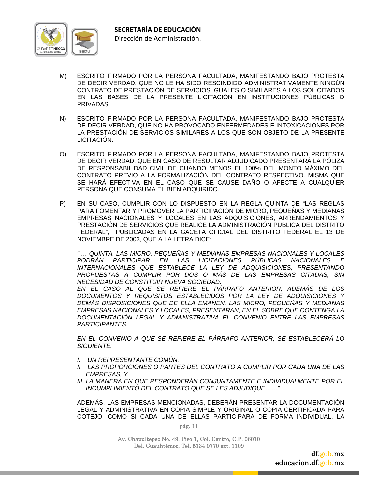

- M) ESCRITO FIRMADO POR LA PERSONA FACULTADA, MANIFESTANDO BAJO PROTESTA DE DECIR VERDAD, QUE NO LE HA SIDO RESCINDIDO ADMINISTRATIVAMENTE NINGÚN CONTRATO DE PRESTACIÓN DE SERVICIOS IGUALES O SIMILARES A LOS SOLICITADOS EN LAS BASES DE LA PRESENTE LICITACIÓN EN INSTITUCIONES PÚBLICAS O PRIVADAS.
- N) ESCRITO FIRMADO POR LA PERSONA FACULTADA, MANIFESTANDO BAJO PROTESTA DE DECIR VERDAD, QUE NO HA PROVOCADO ENFERMEDADES E INTOXICACIONES POR LA PRESTACIÓN DE SERVICIOS SIMILARES A LOS QUE SON OBJETO DE LA PRESENTE LICITACIÓN.
- O) ESCRITO FIRMADO POR LA PERSONA FACULTADA, MANIFESTANDO BAJO PROTESTA DE DECIR VERDAD, QUE EN CASO DE RESULTAR ADJUDICADO PRESENTARÁ LA PÓLIZA DE RESPONSABILIDAD CIVIL DE CUANDO MENOS EL 100% DEL MONTO MÁXIMO DEL CONTRATO PREVIO A LA FORMALIZACIÓN DEL CONTRATO RESPECTIVO. MISMA QUE SE HARÁ EFECTIVA EN EL CASO QUE SE CAUSE DAÑO O AFECTE A CUALQUIER PERSONA QUE CONSUMA EL BIEN ADQUIRIDO.
- P) EN SU CASO, CUMPLIR CON LO DISPUESTO EN LA REGLA QUINTA DE "LAS REGLAS PARA FOMENTAR Y PROMOVER LA PARTICIPACIÓN DE MICRO, PEQUEÑAS Y MEDIANAS EMPRESAS NACIONALES Y LOCALES EN LAS ADQUISICIONES, ARRENDAMIENTOS Y PRESTACIÓN DE SERVICIOS QUE REALICE LA ADMINISTRACIÓN PUBLICA DEL DISTRITO FEDERAL", PUBLICADAS EN LA GACETA OFICIAL DEL DISTRITO FEDERAL EL 13 DE NOVIEMBRE DE 2003, QUE A LA LETRA DICE:

*"…. QUINTA. LAS MICRO, PEQUEÑAS Y MEDIANAS EMPRESAS NACIONALES Y LOCALES PODRÁN PARTICIPAR EN LAS LICITACIONES PÚBLICAS NACIONALES E INTERNACIONALES QUE ESTABLECE LA LEY DE ADQUISICIONES, PRESENTANDO PROPUESTAS A CUMPLIR POR DOS O MÁS DE LAS EMPRESAS CITADAS, SIN NECESIDAD DE CONSTITUIR NUEVA SOCIEDAD.* 

 *EN EL CASO AL QUE SE REFIERE EL PÁRRAFO ANTERIOR, ADEMÁS DE LOS DOCUMENTOS Y REQUISITOS ESTABLECIDOS POR LA LEY DE ADQUISICIONES Y DEMÁS DISPOSICIONES QUE DE ELLA EMANEN, LAS MICRO, PEQUEÑAS Y MEDIANAS EMPRESAS NACIONALES Y LOCALES, PRESENTARAN, EN EL SOBRE QUE CONTENGA LA DOCUMENTACIÓN LEGAL Y ADMINISTRATIVA EL CONVENIO ENTRE LAS EMPRESAS PARTICIPANTES.* 

*EN EL CONVENIO A QUE SE REFIERE EL PÁRRAFO ANTERIOR, SE ESTABLECERÁ LO SIGUIENTE:* 

- *I. UN REPRESENTANTE COMÚN,*
- *II. LAS PROPORCIONES O PARTES DEL CONTRATO A CUMPLIR POR CADA UNA DE LAS EMPRESAS, Y*
- *III. LA MANERA EN QUE RESPONDERÁN CONJUNTAMENTE E INDIVIDUALMENTE POR EL INCUMPLIMIENTO DEL CONTRATO QUE SE LES ADJUDIQUE……"*

ADEMÁS, LAS EMPRESAS MENCIONADAS, DEBERÁN PRESENTAR LA DOCUMENTACIÓN LEGAL Y ADMINISTRATIVA EN COPIA SIMPLE Y ORIGINAL O COPIA CERTIFICADA PARA COTEJO, COMO SI CADA UNA DE ELLAS PARTICIPARA DE FORMA INDIVIDUAL. LA

pág. 11

Av. Chapultepec No. 49, Piso 1, Col. Centro, C.P. 06010 Del. Cuauhtémoc, Tel. 5134 0770 ext. 1109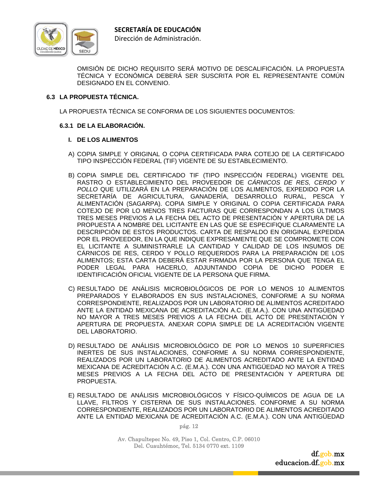

OMISIÓN DE DICHO REQUISITO SERÁ MOTIVO DE DESCALIFICACIÓN. LA PROPUESTA TÉCNICA Y ECONÓMICA DEBERÁ SER SUSCRITA POR EL REPRESENTANTE COMÚN DESIGNADO EN EL CONVENIO.

# **6.3 LA PROPUESTA TÉCNICA.**

LA PROPUESTA TÉCNICA SE CONFORMA DE LOS SIGUIENTES DOCUMENTOS:

#### **6.3.1 DE LA ELABORACIÓN.**

#### **I. DE LOS ALIMENTOS**

- A) COPIA SIMPLE Y ORIGINAL O COPIA CERTIFICADA PARA COTEJO DE LA CERTIFICADO TIPO INSPECCIÓN FEDERAL (TIF) VIGENTE DE SU ESTABLECIMIENTO.
- B) COPIA SIMPLE DEL CERTIFICADO TIF (TIPO INSPECCIÓN FEDERAL) VIGENTE DEL RASTRO O ESTABLECIMIENTO DEL PROVEEDOR DE *CÁRNICOS DE RES, CERDO Y POLLO* QUE UTILIZARÁ EN LA PREPARACIÓN DE LOS ALIMENTOS, EXPEDIDO POR LA SECRETARÍA DE AGRICULTURA, GANADERÍA, DESARROLLO RURAL, PESCA Y ALIMENTACIÓN (SAGARPA). COPIA SIMPLE Y ORIGINAL O COPIA CERTIFICADA PARA COTEJO DE POR LO MENOS TRES FACTURAS QUE CORRESPONDAN A LOS ÚLTIMOS TRES MESES PREVIOS A LA FECHA DEL ACTO DE PRESENTACIÓN Y APERTURA DE LA PROPUESTA A NOMBRE DEL LICITANTE EN LAS QUE SE ESPECIFIQUE CLARAMENTE LA DESCRIPCIÓN DE ESTOS PRODUCTOS. CARTA DE RESPALDO EN ORIGINAL EXPEDIDA POR EL PROVEEDOR, EN LA QUE INDIQUE EXPRESAMENTE QUE SE COMPROMETE CON EL LICITANTE A SUMINISTRARLE LA CANTIDAD Y CALIDAD DE LOS INSUMOS DE CÁRNICOS DE RES, CERDO Y POLLO REQUERIDOS PARA LA PREPARACIÓN DE LOS ALIMENTOS; ESTA CARTA DEBERÁ ESTAR FIRMADA POR LA PERSONA QUE TENGA EL PODER LEGAL PARA HACERLO, ADJUNTANDO COPIA DE DICHO PODER E IDENTIFICACIÓN OFICIAL VIGENTE DE LA PERSONA QUE FIRMA.
- C) RESULTADO DE ANÁLISIS MICROBIOLÓGICOS DE POR LO MENOS 10 ALIMENTOS PREPARADOS Y ELABORADOS EN SUS INSTALACIONES, CONFORME A SU NORMA CORRESPONDIENTE, REALIZADOS POR UN LABORATORIO DE ALIMENTOS ACREDITADO ANTE LA ENTIDAD MEXICANA DE ACREDITACIÓN A.C. (E.M.A.). CON UNA ANTIGÜEDAD NO MAYOR A TRES MESES PREVIOS A LA FECHA DEL ACTO DE PRESENTACIÓN Y APERTURA DE PROPUESTA. ANEXAR COPIA SIMPLE DE LA ACREDITACIÓN VIGENTE DEL LABORATORIO.
- D) RESULTADO DE ANÁLISIS MICROBIOLÓGICO DE POR LO MENOS 10 SUPERFICIES INERTES DE SUS INSTALACIONES, CONFORME A SU NORMA CORRESPONDIENTE, REALIZADOS POR UN LABORATORIO DE ALIMENTOS ACREDITADO ANTE LA ENTIDAD MEXICANA DE ACREDITACIÓN A.C. (E.M.A.). CON UNA ANTIGÜEDAD NO MAYOR A TRES MESES PREVIOS A LA FECHA DEL ACTO DE PRESENTACIÓN Y APERTURA DE PROPUESTA.
- E) RESULTADO DE ANÁLISIS MICROBIOLÓGICOS Y FÍSICO-QUÍMICOS DE AGUA DE LA LLAVE, FILTROS Y CISTERNA DE SUS INSTALACIONES. CONFORME A SU NORMA CORRESPONDIENTE, REALIZADOS POR UN LABORATORIO DE ALIMENTOS ACREDITADO ANTE LA ENTIDAD MEXICANA DE ACREDITACIÓN A.C. (E.M.A.). CON UNA ANTIGÜEDAD

pág. 12

Av. Chapultepec No. 49, Piso 1, Col. Centro, C.P. 06010 Del. Cuauhtémoc, Tel. 5134 0770 ext. 1109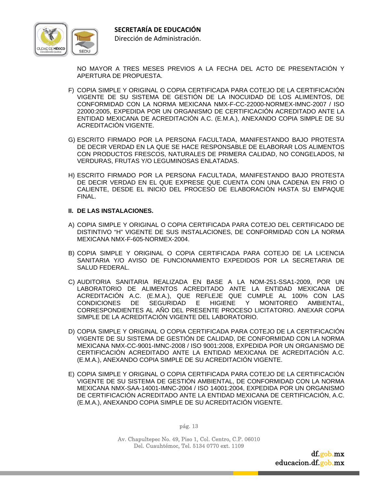

NO MAYOR A TRES MESES PREVIOS A LA FECHA DEL ACTO DE PRESENTACIÓN Y APERTURA DE PROPUESTA.

- F) COPIA SIMPLE Y ORIGINAL O COPIA CERTIFICADA PARA COTEJO DE LA CERTIFICACIÓN VIGENTE DE SU SISTEMA DE GESTIÓN DE LA INOCUIDAD DE LOS ALIMENTOS, DE CONFORMIDAD CON LA NORMA MEXICANA NMX-F-CC-22000-NORMEX-IMNC-2007 / ISO 22000:2005, EXPEDIDA POR UN ORGANISMO DE CERTIFICACIÓN ACREDITADO ANTE LA ENTIDAD MEXICANA DE ACREDITACIÓN A.C. (E.M.A.), ANEXANDO COPIA SIMPLE DE SU ACREDITACIÓN VIGENTE.
- G) ESCRITO FIRMADO POR LA PERSONA FACULTADA, MANIFESTANDO BAJO PROTESTA DE DECIR VERDAD EN LA QUE SE HACE RESPONSABLE DE ELABORAR LOS ALIMENTOS CON PRODUCTOS FRESCOS, NATURALES DE PRIMERA CALIDAD, NO CONGELADOS, NI VERDURAS, FRUTAS Y/O LEGUMINOSAS ENLATADAS.
- H) ESCRITO FIRMADO POR LA PERSONA FACULTADA, MANIFESTANDO BAJO PROTESTA DE DECIR VERDAD EN EL QUE EXPRESE QUE CUENTA CON UNA CADENA EN FRIO O CALIENTE, DESDE EL INICIO DEL PROCESO DE ELABORACIÓN HASTA SU EMPAQUE FINAL.

#### **II. DE LAS INSTALACIONES.**

- A) COPIA SIMPLE Y ORIGINAL O COPIA CERTIFICADA PARA COTEJO DEL CERTIFICADO DE DISTINTIVO "H" VIGENTE DE SUS INSTALACIONES, DE CONFORMIDAD CON LA NORMA MEXICANA NMX-F-605-NORMEX-2004.
- B) COPIA SIMPLE Y ORIGINAL O COPIA CERTIFICADA PARA COTEJO DE LA LICENCIA SANITARIA Y/O AVISO DE FUNCIONAMIENTO EXPEDIDOS POR LA SECRETARIA DE SALUD FEDERAL.
- C) AUDITORIA SANITARIA REALIZADA EN BASE A LA NOM-251-SSA1-2009, POR UN LABORATORIO DE ALIMENTOS ACREDITADO ANTE LA ENTIDAD MEXICANA DE ACREDITACIÓN A.C. (E.M.A.), QUE REFLEJE QUE CUMPLE AL 100% CON LAS CONDICIONES DE SEGURIDAD E HIGIENE Y MONITOREO AMBIENTAL, CORRESPONDIENTES AL AÑO DEL PRESENTE PROCESO LICITATORIO. ANEXAR COPIA SIMPLE DE LA ACREDITACIÓN VIGENTE DEL LABORATORIO.
- D) COPIA SIMPLE Y ORIGINAL O COPIA CERTIFICADA PARA COTEJO DE LA CERTIFICACIÓN VIGENTE DE SU SISTEMA DE GESTIÓN DE CALIDAD, DE CONFORMIDAD CON LA NORMA MEXICANA NMX-CC-9001-IMNC-2008 / ISO 9001:2008, EXPEDIDA POR UN ORGANISMO DE CERTIFICACIÓN ACREDITADO ANTE LA ENTIDAD MEXICANA DE ACREDITACIÓN A.C. (E.M.A.), ANEXANDO COPIA SIMPLE DE SU ACREDITACIÓN VIGENTE.
- E) COPIA SIMPLE Y ORIGINAL O COPIA CERTIFICADA PARA COTEJO DE LA CERTIFICACIÓN VIGENTE DE SU SISTEMA DE GESTIÓN AMBIENTAL, DE CONFORMIDAD CON LA NORMA MEXICANA NMX-SAA-14001-IMNC-2004 / ISO 14001:2004, EXPEDIDA POR UN ORGANISMO DE CERTIFICACIÓN ACREDITADO ANTE LA ENTIDAD MEXICANA DE CERTIFICACIÓN, A.C. (E.M.A.), ANEXANDO COPIA SIMPLE DE SU ACREDITACIÓN VIGENTE.

pág. 13

Av. Chapultepec No. 49, Piso 1, Col. Centro, C.P. 06010 Del. Cuauhtémoc, Tel. 5134 0770 ext. 1109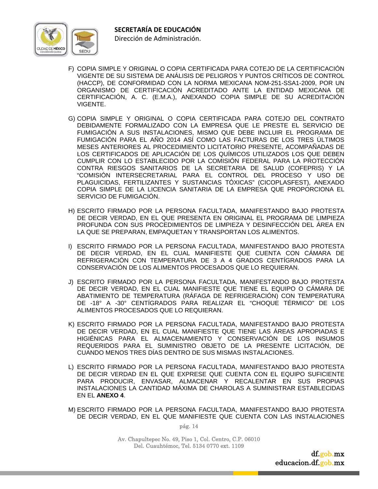

- F) COPIA SIMPLE Y ORIGINAL O COPIA CERTIFICADA PARA COTEJO DE LA CERTIFICACIÓN VIGENTE DE SU SISTEMA DE ANÁLISIS DE PELIGROS Y PUNTOS CRÍTICOS DE CONTROL (HACCP), DE CONFORMIDAD CON LA NORMA MEXICANA NOM-251-SSA1-2009, POR UN ORGANISMO DE CERTIFICACIÓN ACREDITADO ANTE LA ENTIDAD MEXICANA DE CERTIFICACIÓN, A. C. (E.M.A.), ANEXANDO COPIA SIMPLE DE SU ACREDITACIÓN VIGENTE.
- G) COPIA SIMPLE Y ORIGINAL O COPIA CERTIFICADA PARA COTEJO DEL CONTRATO DEBIDAMENTE FORMALIZADO CON LA EMPRESA QUE LE PRESTE EL SERVICIO DE FUMIGACIÓN A SUS INSTALACIONES, MISMO QUE DEBE INCLUIR EL PROGRAMA DE FUMIGACIÓN PARA EL AÑO 2014 ASÍ COMO LAS FACTURAS DE LOS TRES ÚLTIMOS MESES ANTERIORES AL PROCEDIMIENTO LICITATORIO PRESENTE, ACOMPAÑADAS DE LOS CERTIFICADOS DE APLICACIÓN DE LOS QUÍMICOS UTILIZADOS LOS QUE DEBEN CUMPLIR CON LO ESTABLECIDO POR LA COMISIÓN FEDERAL PARA LA PROTECCIÓN CONTRA RIESGOS SANITARIOS DE LA SECRETARIA DE SALUD (COFEPRIS) Y LA "COMISIÓN INTERSECRETARIAL PARA EL CONTROL DEL PROCESO Y USO DE PLAGUICIDAS, FERTILIZANTES Y SUSTANCIAS TÓXICAS" (CICOPLASFEST), ANEXADO COPIA SIMPLE DE LA LICENCIA SANITARIA DE LA EMPRESA QUE PROPORCIONA EL SERVICIO DE FUMIGACIÓN.
- H) ESCRITO FIRMADO POR LA PERSONA FACULTADA, MANIFESTANDO BAJO PROTESTA DE DECIR VERDAD, EN EL QUE PRESENTA EN ORIGINAL EL PROGRAMA DE LIMPIEZA PROFUNDA CON SUS PROCEDIMIENTOS DE LIMPIEZA Y DESINFECCIÓN DEL ÁREA EN LA QUE SE PREPARAN, EMPAQUETAN Y TRANSPORTAN LOS ALIMENTOS.
- I) ESCRITO FIRMADO POR LA PERSONA FACULTADA, MANIFESTANDO BAJO PROTESTA DE DECIR VERDAD, EN EL CUAL MANIFIESTE QUE CUENTA CON CÁMARA DE REFRIGERACIÓN CON TEMPERATURA DE 3 A 4 GRADOS CENTÍGRADOS PARA LA CONSERVACIÓN DE LOS ALIMENTOS PROCESADOS QUE LO REQUIERAN.
- J) ESCRITO FIRMADO POR LA PERSONA FACULTADA, MANIFESTANDO BAJO PROTESTA DE DECIR VERDAD, EN EL CUAL MANIFIESTE QUE TIENE EL EQUIPO O CÁMARA DE ABATIMIENTO DE TEMPERATURA (RÁFAGA DE REFRIGERACIÓN) CON TEMPERATURA DE -18° A -30° CENTÍGRADOS PARA REALIZAR EL "CHOQUE TÉRMICO" DE LOS ALIMENTOS PROCESADOS QUE LO REQUIERAN.
- K) ESCRITO FIRMADO POR LA PERSONA FACULTADA, MANIFESTANDO BAJO PROTESTA DE DECIR VERDAD, EN EL CUAL MANIFIESTE QUE TIENE LAS ÁREAS APROPIADAS E HIGIÉNICAS PARA EL ALMACENAMIENTO Y CONSERVACIÓN DE LOS INSUMOS REQUERIDOS PARA EL SUMINISTRO OBJETO DE LA PRESENTE LICITACIÓN, DE CUANDO MENOS TRES DÍAS DENTRO DE SUS MISMAS INSTALACIONES.
- L) ESCRITO FIRMADO POR LA PERSONA FACULTADA, MANIFESTANDO BAJO PROTESTA DE DECIR VERDAD EN EL QUE EXPRESE QUE CUENTA CON EL EQUIPO SUFICIENTE PARA PRODUCIR, ENVASAR, ALMACENAR Y RECALENTAR EN SUS PROPIAS INSTALACIONES LA CANTIDAD MÁXIMA DE CHAROLAS A SUMINISTRAR ESTABLECIDAS EN EL **ANEXO 4**.
- M) ESCRITO FIRMADO POR LA PERSONA FACULTADA, MANIFESTANDO BAJO PROTESTA DE DECIR VERDAD, EN EL QUE MANIFIESTE QUE CUENTA CON LAS INSTALACIONES

Av. Chapultepec No. 49, Piso 1, Col. Centro, C.P. 06010 Del. Cuauhtémoc, Tel. 5134 0770 ext. 1109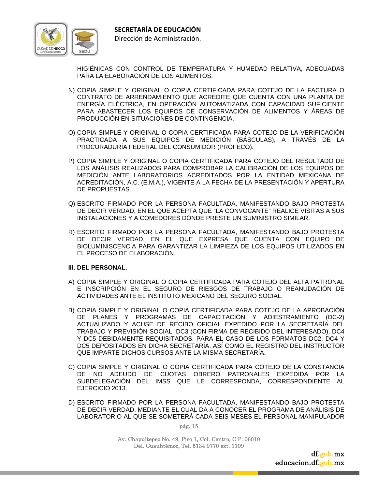

HIGIÉNICAS CON CONTROL DE TEMPERATURA Y HUMEDAD RELATIVA, ADECUADAS PARA LA ELABORACIÓN DE LOS ALIMENTOS.

- N) COPIA SIMPLE Y ORIGINAL O COPIA CERTIFICADA PARA COTEJO DE LA FACTURA O CONTRATO DE ARRENDAMIENTO QUE ACREDITE QUE CUENTA CON UNA PLANTA DE ENERGÍA ELÉCTRICA, EN OPERACIÓN AUTOMATIZADA CON CAPACIDAD SUFICIENTE PARA ABASTECER LOS EQUIPOS DE CONSERVACIÓN DE ALIMENTOS Y ÁREAS DE PRODUCCIÓN EN SITUACIONES DE CONTINGENCIA.
- O) COPIA SIMPLE Y ORIGINAL O COPIA CERTIFICADA PARA COTEJO DE LA VERIFICACIÓN PRACTICADA A SUS EQUIPOS DE MEDICIÓN (BÁSCULAS), A TRAVÉS DE LA PROCURADURÍA FEDERAL DEL CONSUMIDOR (PROFECO).
- P) COPIA SIMPLE Y ORIGINAL O COPIA CERTIFICADA PARA COTEJO DEL RESULTADO DE LOS ANÁLISIS REALIZADOS PARA COMPROBAR LA CALIBRACIÓN DE LOS EQUIPOS DE MEDICIÓN ANTE LABORATORIOS ACREDITADOS POR LA ENTIDAD MEXICANA DE ACREDITACIÓN, A.C. (E.M.A.), VIGENTE A LA FECHA DE LA PRESENTACIÓN Y APERTURA DE PROPUESTAS.
- Q) ESCRITO FIRMADO POR LA PERSONA FACULTADA, MANIFESTANDO BAJO PROTESTA DE DECIR VERDAD, EN EL QUE ACEPTA QUE "LA CONVOCANTE" REALICE VISITAS A SUS INSTALACIONES Y A COMEDORES DÓNDE PRESTE UN SUMINISTRO SIMILAR.
- R) ESCRITO FIRMADO POR LA PERSONA FACULTADA, MANIFESTANDO BAJO PROTESTA DE DECIR VERDAD, EN EL QUE EXPRESA QUE CUENTA CON EQUIPO DE BIOLUMINISCENCIA PARA GARANTIZAR LA LIMPIEZA DE LOS EQUIPOS UTILIZADOS EN EL PROCESO DE ELABORACIÓN.

#### **III. DEL PERSONAL.**

- A) COPIA SIMPLE Y ORIGINAL O COPIA CERTIFICADA PARA COTEJO DEL ALTA PATRONAL E INSCRIPCIÓN EN EL SEGURO DE RIESGOS DE TRABAJO O REANUDACIÓN DE ACTIVIDADES ANTE EL INSTITUTO MEXICANO DEL SEGURO SOCIAL.
- B) COPIA SIMPLE Y ORIGINAL O COPIA CERTIFICADA PARA COTEJO DE LA APROBACIÓN DE PLANES Y PROGRAMAS DE CAPACITACIÓN Y ADIESTRAMIENTO (DC-2) ACTUALIZADO Y ACUSE DE RECIBO OFICIAL EXPEDIDO POR LA SECRETARÍA DEL TRABAJO Y PREVISIÓN SOCIAL, DC3 (CON FIRMA DE RECIBIDO DEL INTERESADO), DC4 Y DC5 DEBIDAMENTE REQUISITADOS. PARA EL CASO DE LOS FORMATOS DC2, DC4 Y DC5 DEPOSITADOS EN DICHA SECRETARÍA, ASÍ COMO EL REGISTRO DEL INSTRUCTOR QUE IMPARTE DICHOS CURSOS ANTE LA MISMA SECRETARÍA.
- C) COPIA SIMPLE Y ORIGINAL O COPIA CERTIFICADA PARA COTEJO DE LA CONSTANCIA DE NO ADEUDO DE CUOTAS OBRERO PATRONALES EXPEDIDA POR LA SUBDELEGACIÓN DEL IMSS QUE LE CORRESPONDA, CORRESPONDIENTE AL EJERCICIO 2013.
- D) ESCRITO FIRMADO POR LA PERSONA FACULTADA, MANIFESTANDO BAJO PROTESTA DE DECIR VERDAD, MEDIANTE EL CUAL DA A CONOCER EL PROGRAMA DE ANÁLISIS DE LABORATORIO AL QUE SE SOMETERÁ CADA SEIS MESES EL PERSONAL MANIPULADOR

pág. 15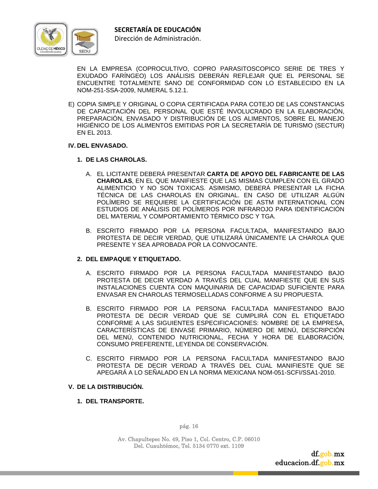

EN LA EMPRESA (COPROCULTIVO, COPRO PARASITOSCOPICO SERIE DE TRES Y EXUDADO FARÍNGEO) LOS ANÁLISIS DEBERÁN REFLEJAR QUE EL PERSONAL SE ENCUENTRE TOTALMENTE SANO DE CONFORMIDAD CON LO ESTABLECIDO EN LA NOM-251-SSA-2009, NUMERAL 5.12.1.

E) COPIA SIMPLE Y ORIGINAL O COPIA CERTIFICADA PARA COTEJO DE LAS CONSTANCIAS DE CAPACITACIÓN DEL PERSONAL QUE ESTÉ INVOLUCRADO EN LA ELABORACIÓN, PREPARACIÓN, ENVASADO Y DISTRIBUCIÓN DE LOS ALIMENTOS, SOBRE EL MANEJO HIGIÉNICO DE LOS ALIMENTOS EMITIDAS POR LA SECRETARÍA DE TURISMO (SECTUR) EN EL 2013.

#### **IV. DEL ENVASADO.**

#### **1. DE LAS CHAROLAS.**

- A. EL LICITANTE DEBERÁ PRESENTAR **CARTA DE APOYO DEL FABRICANTE DE LAS CHAROLAS**, EN EL QUE MANIFIESTE QUE LAS MISMAS CUMPLEN CON EL GRADO ALIMENTICIO Y NO SON TOXICAS. ASIMISMO, DEBERÁ PRESENTAR LA FICHA TÉCNICA DE LAS CHAROLAS EN ORIGINAL. EN CASO DE UTILIZAR ALGÚN POLÍMERO SE REQUIERE LA CERTIFICACIÓN DE ASTM INTERNATIONAL CON ESTUDIOS DE ANÁLISIS DE POLÍMEROS POR INFRAROJO PARA IDENTIFICACIÓN DEL MATERIAL Y COMPORTAMIENTO TÉRMICO DSC Y TGA.
- B. ESCRITO FIRMADO POR LA PERSONA FACULTADA, MANIFESTANDO BAJO PROTESTA DE DECIR VERDAD, QUE UTILIZARÁ ÚNICAMENTE LA CHAROLA QUE PRESENTE Y SEA APROBADA POR LA CONVOCANTE.

#### **2. DEL EMPAQUE Y ETIQUETADO.**

- A. ESCRITO FIRMADO POR LA PERSONA FACULTADA MANIFESTANDO BAJO PROTESTA DE DECIR VERDAD A TRAVÉS DEL CUAL MANIFIESTE QUE EN SUS INSTALACIONES CUENTA CON MAQUINARIA DE CAPACIDAD SUFICIENTE PARA ENVASAR EN CHAROLAS TERMOSELLADAS CONFORME A SU PROPUESTA.
- B. ESCRITO FIRMADO POR LA PERSONA FACULTADA MANIFESTANDO BAJO PROTESTA DE DECIR VERDAD QUE SE CUMPLIRÁ CON EL ETIQUETADO CONFORME A LAS SIGUIENTES ESPECIFICACIONES: NOMBRE DE LA EMPRESA, CARACTERÍSTICAS DE ENVASE PRIMARIO, NÚMERO DE MENÚ, DESCRIPCIÓN DEL MENÚ, CONTENIDO NUTRICIONAL, FECHA Y HORA DE ELABORACIÓN, CONSUMO PREFERENTE, LEYENDA DE CONSERVACIÓN.
- C. ESCRITO FIRMADO POR LA PERSONA FACULTADA MANIFESTANDO BAJO PROTESTA DE DECIR VERDAD A TRAVÉS DEL CUAL MANIFIESTE QUE SE APEGARÁ A LO SEÑALADO EN LA NORMA MEXICANA NOM-051-SCFI/SSA1-2010.

#### **V. DE LA DISTRIBUCIÓN.**

**1. DEL TRANSPORTE.** 

pág. 16

Av. Chapultepec No. 49, Piso 1, Col. Centro, C.P. 06010 Del. Cuauhtémoc, Tel. 5134 0770 ext. 1109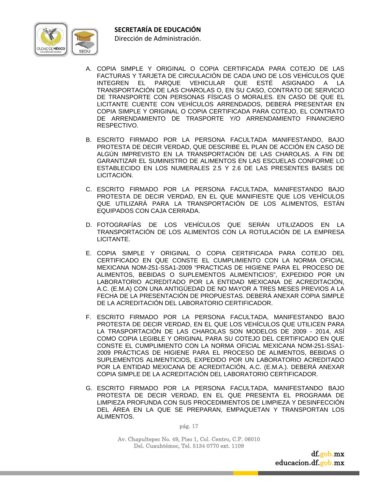



- A. COPIA SIMPLE Y ORIGINAL O COPIA CERTIFICADA PARA COTEJO DE LAS FACTURAS Y TARJETA DE CIRCULACIÓN DE CADA UNO DE LOS VEHÍCULOS QUE INTEGREN EL PARQUE VEHICULAR QUE ESTÉ ASIGNADO A LA TRANSPORTACIÓN DE LAS CHAROLAS O, EN SU CASO, CONTRATO DE SERVICIO DE TRANSPORTE CON PERSONAS FÍSICAS O MORALES. EN CASO DE QUE EL LICITANTE CUENTE CON VEHÍCULOS ARRENDADOS, DEBERÁ PRESENTAR EN COPIA SIMPLE Y ORIGINAL O COPIA CERTIFICADA PARA COTEJO, EL CONTRATO DE ARRENDAMIENTO DE TRASPORTE Y/O ARRENDAMIENTO FINANCIERO RESPECTIVO.
- B. ESCRITO FIRMADO POR LA PERSONA FACULTADA MANIFESTANDO, BAJO PROTESTA DE DECIR VERDAD, QUE DESCRIBE EL PLAN DE ACCIÓN EN CASO DE ALGÚN IMPREVISTO EN LA TRANSPORTACIÓN DE LAS CHAROLAS. A FIN DE GARANTIZAR EL SUMINISTRO DE ALIMENTOS EN LAS ESCUELAS CONFORME LO ESTABLECIDO EN LOS NUMERALES 2.5 Y 2.6 DE LAS PRESENTES BASES DE LICITACIÓN.
- C. ESCRITO FIRMADO POR LA PERSONA FACULTADA, MANIFESTANDO BAJO PROTESTA DE DECIR VERDAD, EN EL QUE MANIFIESTE QUE LOS VEHÍCULOS QUE UTILIZARÁ PARA LA TRANSPORTACIÓN DE LOS ALIMENTOS, ESTÁN EQUIPADOS CON CAJA CERRADA.
- D. FOTOGRAFÍAS DE LOS VEHÍCULOS QUE SERÁN UTILIZADOS EN LA TRANSPORTACIÓN DE LOS ALIMENTOS CON LA ROTULACIÓN DE LA EMPRESA LICITANTE.
- E. COPIA SIMPLE Y ORIGINAL O COPIA CERTIFICADA PARA COTEJO DEL CERTIFICADO EN QUE CONSTE EL CUMPLIMIENTO CON LA NORMA OFICIAL MEXICANA NOM-251-SSA1-2009 "PRACTICAS DE HIGIENE PARA EL PROCESO DE ALIMENTOS, BEBIDAS O SUPLEMENTOS ALIMENTICIOS", EXPEDIDO POR UN LABORATORIO ACREDITADO POR LA ENTIDAD MEXICANA DE ACREDITACIÓN, A.C. (E.M.A) CON UNA ANTIGÜEDAD DE NO MAYOR A TRES MESES PREVIOS A LA FECHA DE LA PRESENTACIÓN DE PROPUESTAS. DEBERÁ ANEXAR COPIA SIMPLE DE LA ACREDITACIÓN DEL LABORATORIO CERTIFICADOR.
- F. ESCRITO FIRMADO POR LA PERSONA FACULTADA, MANIFESTANDO BAJO PROTESTA DE DECIR VERDAD, EN EL QUE LOS VEHÍCULOS QUE UTILICEN PARA LA TRASPORTACIÓN DE LAS CHAROLAS SON MODELOS DE 2009 - 2014, ASÍ COMO COPIA LEGIBLE Y ORIGINAL PARA SU COTEJO DEL CERTIFICADO EN QUE CONSTE EL CUMPLIMIENTO CON LA NORMA OFICIAL MEXICANA NOM-251-SSA1- 2009 PRÁCTICAS DE HIGIENE PARA EL PROCESO DE ALIMENTOS, BEBIDAS O SUPLEMENTOS ALIMENTICIOS, EXPEDIDO POR UN LABORATORIO ACREDITADO POR LA ENTIDAD MEXICANA DE ACREDITACIÓN, A.C. (E.M.A.). DEBERÁ ANEXAR COPIA SIMPLE DE LA ACREDITACIÓN DEL LABORATORIO CERTIFICADOR.
- G. ESCRITO FIRMADO POR LA PERSONA FACULTADA, MANIFESTANDO BAJO PROTESTA DE DECIR VERDAD, EN EL QUE PRESENTA EL PROGRAMA DE LIMPIEZA PROFUNDA CON SUS PROCEDIMIENTOS DE LIMPIEZA Y DESINFECCIÓN DEL ÁREA EN LA QUE SE PREPARAN, EMPAQUETAN Y TRANSPORTAN LOS ALIMENTOS.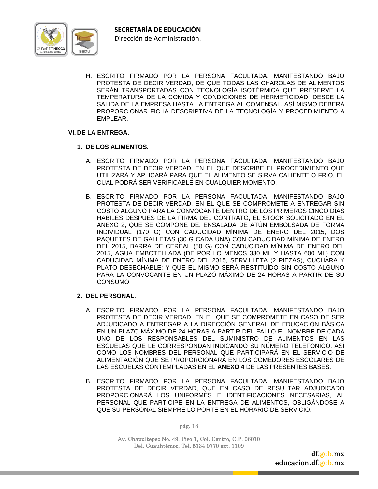

H. ESCRITO FIRMADO POR LA PERSONA FACULTADA, MANIFESTANDO BAJO PROTESTA DE DECIR VERDAD, DE QUE TODAS LAS CHAROLAS DE ALIMENTOS SERÁN TRANSPORTADAS CON TECNOLOGÍA ISOTÉRMICA QUE PRESERVE LA TEMPERATURA DE LA COMIDA Y CONDICIONES DE HERMETICIDAD, DESDE LA SALIDA DE LA EMPRESA HASTA LA ENTREGA AL COMENSAL. ASÍ MISMO DEBERÁ PROPORCIONAR FICHA DESCRIPTIVA DE LA TECNOLOGÍA Y PROCEDIMIENTO A EMPLEAR.

#### **VI. DE LA ENTREGA.**

#### **1. DE LOS ALIMENTOS.**

- A. ESCRITO FIRMADO POR LA PERSONA FACULTADA, MANIFESTANDO BAJO PROTESTA DE DECIR VERDAD, EN EL QUE DESCRIBE EL PROCEDIMIENTO QUE UTILIZARÁ Y APLICARÁ PARA QUE EL ALIMENTO SE SIRVA CALIENTE O FRIO, EL CUAL PODRÁ SER VERIFICABLE EN CUALQUIER MOMENTO.
- B. ESCRITO FIRMADO POR LA PERSONA FACULTADA, MANIFESTANDO BAJO PROTESTA DE DECIR VERDAD, EN EL QUE SE COMPROMETE A ENTREGAR SIN COSTO ALGUNO PARA LA CONVOCANTE DENTRO DE LOS PRIMEROS CINCO DÍAS HÁBILES DESPUÉS DE LA FIRMA DEL CONTRATO, EL STOCK SOLICITADO EN EL ANEXO 2, QUE SE COMPONE DE: ENSALADA DE ATÚN EMBOLSADA DE FORMA INDIVIDUAL (170 G) CON CADUCIDAD MÍNIMA DE ENERO DEL 2015, DOS PAQUETES DE GALLETAS (30 G CADA UNA) CON CADUCIDAD MÍNIMA DE ENERO DEL 2015, BARRA DE CEREAL (50 G) CON CADUCIDAD MÍNIMA DE ENERO DEL 2015, AGUA EMBOTELLADA (DE POR LO MENOS 330 ML Y HASTA 600 ML) CON CADUCIDAD MÍNIMA DE ENERO DEL 2015, SERVILLETA (2 PIEZAS), CUCHARA Y PLATO DESECHABLE; Y QUE EL MISMO SERÁ RESTITUÍDO SIN COSTO ALGUNO PARA LA CONVOCANTE EN UN PLAZÓ MÁXIMO DE 24 HORAS A PARTIR DE SU CONSUMO.

#### **2. DEL PERSONAL.**

- A. ESCRITO FIRMADO POR LA PERSONA FACULTADA, MANIFESTANDO BAJO PROTESTA DE DECIR VERDAD, EN EL QUE SE COMPROMETE EN CASO DE SER ADJUDICADO A ENTREGAR A LA DIRECCIÓN GENERAL DE EDUCACIÓN BÁSICA EN UN PLAZO MÁXIMO DE 24 HORAS A PARTIR DEL FALLO EL NOMBRE DE CADA UNO DE LOS RESPONSABLES DEL SUMINISTRO DE ALIMENTOS EN LAS ESCUELAS QUE LE CORRESPONDAN INDICANDO SU NÚMERO TELEFÓNICO, ASÍ COMO LOS NOMBRES DEL PERSONAL QUE PARTICIPARÁ EN EL SERVICIO DE ALIMENTACIÓN QUE SE PROPORCIONARÁ EN LOS COMEDORES ESCOLARES DE LAS ESCUELAS CONTEMPLADAS EN EL **ANEXO 4** DE LAS PRESENTES BASES.
- B. ESCRITO FIRMADO POR LA PERSONA FACULTADA, MANIFESTANDO BAJO PROTESTA DE DECIR VERDAD, QUE EN CASO DE RESULTAR ADJUDICADO PROPORCIONARÁ LOS UNIFORMES E IDENTIFICACIONES NECESARIAS, AL PERSONAL QUE PARTICIPE EN LA ENTREGA DE ALIMENTOS, OBLIGÁNDOSE A QUE SU PERSONAL SIEMPRE LO PORTE EN EL HORARIO DE SERVICIO.

pág. 18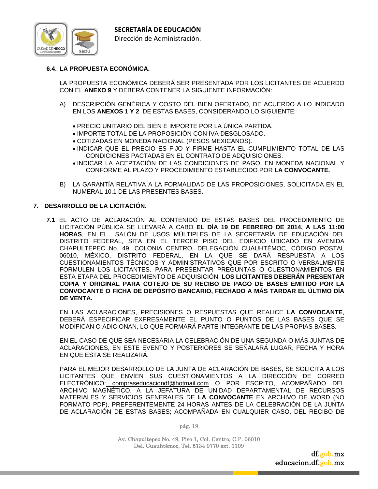

# **6.4. LA PROPUESTA ECONÓMICA.**

LA PROPUESTA ECONÓMICA DEBERÁ SER PRESENTADA POR LOS LICITANTES DE ACUERDO CON EL **ANEXO 9** Y DEBERÁ CONTENER LA SIGUIENTE INFORMACIÓN:

- A) DESCRIPCIÓN GENÉRICA Y COSTO DEL BIEN OFERTADO, DE ACUERDO A LO INDICADO EN LOS **ANEXOS 1 Y 2** DE ESTAS BASES, CONSIDERANDO LO SIGUIENTE:
	- PRECIO UNITARIO DEL BIEN E IMPORTE POR LA ÚNICA PARTIDA.
	- IMPORTE TOTAL DE LA PROPOSICIÓN CON IVA DESGLOSADO.
	- COTIZADAS EN MONEDA NACIONAL (PESOS MEXICANOS).
	- INDICAR QUE EL PRECIO ES FIJO Y FIRME HASTA EL CUMPLIMIENTO TOTAL DE LAS CONDICIONES PACTADAS EN EL CONTRATO DE ADQUISICIONES.
	- INDICAR LA ACEPTACIÓN DE LAS CONDICIONES DE PAGO, EN MONEDA NACIONAL Y CONFORME AL PLAZO Y PROCEDIMIENTO ESTABLECIDO POR **LA CONVOCANTE.**
- B) LA GARANTÍA RELATIVA A LA FORMALIDAD DE LAS PROPOSICIONES, SOLICITADA EN EL NUMERAL 10.1 DE LAS PRESENTES BASES.

#### **7. DESARROLLO DE LA LICITACIÓN.**

**7.1** EL ACTO DE ACLARACIÓN AL CONTENIDO DE ESTAS BASES DEL PROCEDIMIENTO DE LICITACIÓN PÚBLICA SE LLEVARÁ A CABO **EL DÍA 19 DE FEBRERO DE 2014, A LAS 11:00 HORAS**, EN EL SALÓN DE USOS MÚLTIPLES DE LA SECRETARÍA DE EDUCACIÓN DEL DISTRITO FEDERAL, SITA EN EL TERCER PISO DEL EDIFICIO UBICADO EN AVENIDA CHAPULTEPEC No. 49, COLONIA CENTRO, DELEGACIÓN CUAUHTÉMOC, CÓDIGO POSTAL 06010, MÉXICO, DISTRITO FEDERAL, EN LA QUE SE DARÁ RESPUESTA A LOS CUESTIONAMIENTOS TÉCNICOS Y ADMINISTRATIVOS QUE POR ESCRITO O VERBALMENTE FORMULEN LOS LICITANTES. PARA PRESENTAR PREGUNTAS O CUESTIONAMIENTOS EN ESTA ETAPA DEL PROCEDIMIENTO DE ADQUISICIÓN, **LOS LICITANTES DEBERÁN PRESENTAR COPIA Y ORIGINAL PARA COTEJO DE SU RECIBO DE PAGO DE BASES EMITIDO POR LA CONVOCANTE O FICHA DE DEPÓSITO BANCARIO, FECHADO A MÁS TARDAR EL ÚLTIMO DÍA DE VENTA.** 

 EN LAS ACLARACIONES, PRECISIONES O RESPUESTAS QUE REALICE **LA CONVOCANTE**, DEBERÁ ESPECIFICAR EXPRESAMENTE EL PUNTO O PUNTOS DE LAS BASES QUE SE MODIFICAN O ADICIONAN, LO QUE FORMARÁ PARTE INTEGRANTE DE LAS PROPIAS BASES.

 EN EL CASO DE QUE SEA NECESARIA LA CELEBRACIÓN DE UNA SEGUNDA O MÁS JUNTAS DE ACLARACIONES, EN ESTE EVENTO Y POSTERIORES SE SEÑALARÁ LUGAR, FECHA Y HORA EN QUE ESTA SE REALIZARÁ.

 PARA EL MEJOR DESARROLLO DE LA JUNTA DE ACLARACIÓN DE BASES, SE SOLICITA A LOS LICITANTES QUE ENVÍEN SUS CUESTIONAMIENTOS A LA DIRECCIÓN DE CORREO ELECTRÓNICO: compraseducaciondf@hotmail.com O POR ESCRITO, ACOMPAÑADO DEL ARCHIVO MAGNÉTICO, A LA JEFATURA DE UNIDAD DEPARTAMENTAL DE RECURSOS MATERIALES Y SERVICIOS GENERALES DE **LA CONVOCANTE** EN ARCHIVO DE WORD (NO FORMATO PDF), PREFERENTEMENTE 24 HORAS ANTES DE LA CELEBRACIÓN DE LA JUNTA DE ACLARACIÓN DE ESTAS BASES; ACOMPAÑADA EN CUALQUIER CASO, DEL RECIBO DE

pág. 19

Av. Chapultepec No. 49, Piso 1, Col. Centro, C.P. 06010 Del. Cuauhtémoc, Tel. 5134 0770 ext. 1109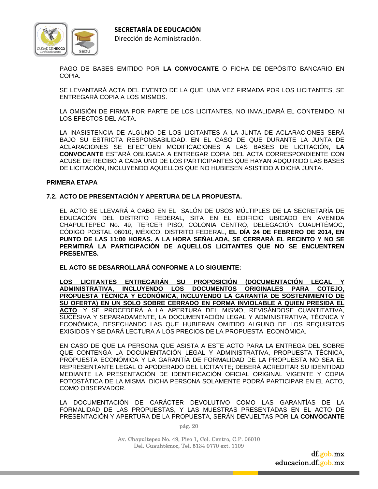

PAGO DE BASES EMITIDO POR **LA CONVOCANTE** O FICHA DE DEPÓSITO BANCARIO EN COPIA.

 SE LEVANTARÁ ACTA DEL EVENTO DE LA QUE, UNA VEZ FIRMADA POR LOS LICITANTES, SE ENTREGARÁ COPIA A LOS MISMOS.

 LA OMISIÓN DE FIRMA POR PARTE DE LOS LICITANTES, NO INVALIDARÁ EL CONTENIDO, NI LOS EFECTOS DEL ACTA.

 LA INASISTENCIA DE ALGUNO DE LOS LICITANTES A LA JUNTA DE ACLARACIONES SERÁ BAJO SU ESTRICTA RESPONSABILIDAD. EN EL CASO DE QUE DURANTE LA JUNTA DE ACLARACIONES SE EFECTÚEN MODIFICACIONES A LAS BASES DE LICITACIÓN, **LA CONVOCANTE** ESTARÁ OBLIGADA A ENTREGAR COPIA DEL ACTA CORRESPONDIENTE CON ACUSE DE RECIBO A CADA UNO DE LOS PARTICIPANTES QUE HAYAN ADQUIRIDO LAS BASES DE LICITACIÓN, INCLUYENDO AQUELLOS QUE NO HUBIESEN ASISTIDO A DICHA JUNTA.

#### **PRIMERA ETAPA**

#### **7.2. ACTO DE PRESENTACIÓN Y APERTURA DE LA PROPUESTA.**

 EL ACTO SE LLEVARÁ A CABO EN EL SALÓN DE USOS MÚLTIPLES DE LA SECRETARÍA DE EDUCACIÓN DEL DISTRITO FEDERAL, SITA EN EL EDIFICIO UBICADO EN AVENIDA CHAPULTEPEC No. 49, TERCER PISO, COLONIA CENTRO, DELEGACIÓN CUAUHTÉMOC, CÓDIGO POSTAL 06010, MÉXICO, DISTRITO FEDERAL, **EL DÍA 24 DE FEBRERO DE 2014, EN PUNTO DE LAS 11:00 HORAS. A LA HORA SEÑALADA, SE CERRARÁ EL RECINTO Y NO SE PERMITIRÁ LA PARTICIPACIÓN DE AQUELLOS LICITANTES QUE NO SE ENCUENTREN PRESENTES.**

 **EL ACTO SE DESARROLLARÁ CONFORME A LO SIGUIENTE:** 

 **LOS LICITANTES ENTREGARÁN SU PROPOSICIÓN (DOCUMENTACIÓN LEGAL Y ADMINISTRATIVA, INCLUYENDO LOS DOCUMENTOS ORIGINALES PARA COTEJO, PROPUESTA TÉCNICA Y ECONÓMICA, INCLUYENDO LA GARANTÍA DE SOSTENIMIENTO DE SU OFERTA) EN UN SOLO SOBRE CERRADO EN FORMA INVIOLABLE A QUIEN PRESIDA EL ACTO**, Y SE PROCEDERÁ A LA APERTURA DEL MISMO, REVISÁNDOSE CUANTITATIVA, SUCESIVA Y SEPARADAMENTE, LA DOCUMENTACIÓN LEGAL Y ADMINISTRATIVA, TÉCNICA Y ECONÓMICA, DESECHANDO LAS QUE HUBIERAN OMITIDO ALGUNO DE LOS REQUISITOS EXIGIDOS Y SE DARÁ LECTURA A LOS PRECIOS DE LA PROPUESTA ECONÓMICA.

 EN CASO DE QUE LA PERSONA QUE ASISTA A ESTE ACTO PARA LA ENTREGA DEL SOBRE QUE CONTENGA LA DOCUMENTACIÓN LEGAL Y ADMINISTRATIVA, PROPUESTA TÉCNICA, PROPUESTA ECONÓMICA Y LA GARANTÍA DE FORMALIDAD DE LA PROPUESTA NO SEA EL REPRESENTANTE LEGAL O APODERADO DEL LICITANTE; DEBERÁ ACREDITAR SU IDENTIDAD MEDIANTE LA PRESENTACIÓN DE IDENTIFICACIÓN OFICIAL ORIGINAL VIGENTE Y COPIA FOTOSTÁTICA DE LA MISMA. DICHA PERSONA SOLAMENTE PODRÁ PARTICIPAR EN EL ACTO, COMO OBSERVADOR.

 LA DOCUMENTACIÓN DE CARÁCTER DEVOLUTIVO COMO LAS GARANTÍAS DE LA FORMALIDAD DE LAS PROPUESTAS, Y LAS MUESTRAS PRESENTADAS EN EL ACTO DE PRESENTACIÓN Y APERTURA DE LA PROPUESTA, SERÁN DEVUELTAS POR **LA CONVOCANTE**

pág. 20

Av. Chapultepec No. 49, Piso 1, Col. Centro, C.P. 06010 Del. Cuauhtémoc, Tel. 5134 0770 ext. 1109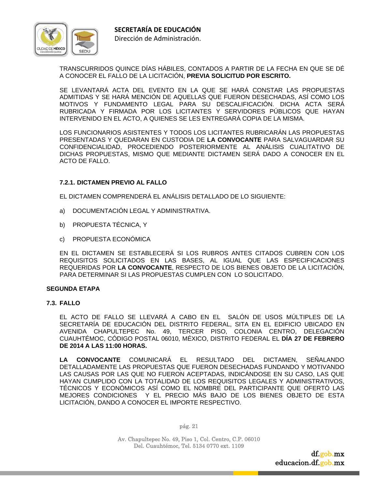

TRANSCURRIDOS QUINCE DÍAS HÁBILES, CONTADOS A PARTIR DE LA FECHA EN QUE SE DÉ A CONOCER EL FALLO DE LA LICITACIÓN, **PREVIA SOLICITUD POR ESCRITO.**

 SE LEVANTARÁ ACTA DEL EVENTO EN LA QUE SE HARÁ CONSTAR LAS PROPUESTAS ADMITIDAS Y SE HARÁ MENCIÓN DE AQUELLAS QUE FUERON DESECHADAS, ASÍ COMO LOS MOTIVOS Y FUNDAMENTO LEGAL PARA SU DESCALIFICACIÓN. DICHA ACTA SERÁ RUBRICADA Y FIRMADA POR LOS LICITANTES Y SERVIDORES PÚBLICOS QUE HAYAN INTERVENIDO EN EL ACTO, A QUIENES SE LES ENTREGARÁ COPIA DE LA MISMA.

 LOS FUNCIONARIOS ASISTENTES Y TODOS LOS LICITANTES RUBRICARÁN LAS PROPUESTAS PRESENTADAS Y QUEDARAN EN CUSTODIA DE **LA CONVOCANTE** PARA SALVAGUARDAR SU CONFIDENCIALIDAD, PROCEDIENDO POSTERIORMENTE AL ANÁLISIS CUALITATIVO DE DICHAS PROPUESTAS, MISMO QUE MEDIANTE DICTAMEN SERÁ DADO A CONOCER EN EL ACTO DE FALLO.

#### **7.2.1. DICTAMEN PREVIO AL FALLO**

EL DICTAMEN COMPRENDERÁ EL ANÁLISIS DETALLADO DE LO SIGUIENTE:

- a) DOCUMENTACIÓN LEGAL Y ADMINISTRATIVA.
- b) PROPUESTA TÉCNICA, Y
- c) PROPUESTA ECONÓMICA

 EN EL DICTAMEN SE ESTABLECERÁ SI LOS RUBROS ANTES CITADOS CUBREN CON LOS REQUISITOS SOLICITADOS EN LAS BASES, AL IGUAL QUE LAS ESPECIFICACIONES REQUERIDAS POR **LA CONVOCANTE**, RESPECTO DE LOS BIENES OBJETO DE LA LICITACIÓN, PARA DETERMINAR SI LAS PROPUESTAS CUMPLEN CON LO SOLICITADO.

#### **SEGUNDA ETAPA**

#### **7.3. FALLO**

 EL ACTO DE FALLO SE LLEVARÁ A CABO EN EL SALÓN DE USOS MÚLTIPLES DE LA SECRETARÍA DE EDUCACIÓN DEL DISTRITO FEDERAL, SITA EN EL EDIFICIO UBICADO EN AVENIDA CHAPULTEPEC No. 49, TERCER PISO, COLONIA CENTRO, DELEGACIÓN CUAUHTÉMOC, CÓDIGO POSTAL 06010, MÉXICO, DISTRITO FEDERAL EL **DÍA 27 DE FEBRERO DE 2014 A LAS 11:00 HORAS.** 

**LA CONVOCANTE** COMUNICARÁ EL RESULTADO DEL DICTAMEN, SEÑALANDO DETALLADAMENTE LAS PROPUESTAS QUE FUERON DESECHADAS FUNDANDO Y MOTIVANDO LAS CAUSAS POR LAS QUE NO FUERON ACEPTADAS, INDICÁNDOSE EN SU CASO, LAS QUE HAYAN CUMPLIDO CON LA TOTALIDAD DE LOS REQUISITOS LEGALES Y ADMINISTRATIVOS, TÉCNICOS Y ECONÓMICOS ASÍ COMO EL NOMBRE DEL PARTICIPANTE QUE OFERTÓ LAS MEJORES CONDICIONES Y EL PRECIO MÁS BAJO DE LOS BIENES OBJETO DE ESTA LICITACIÓN, DANDO A CONOCER EL IMPORTE RESPECTIVO.

pág. 21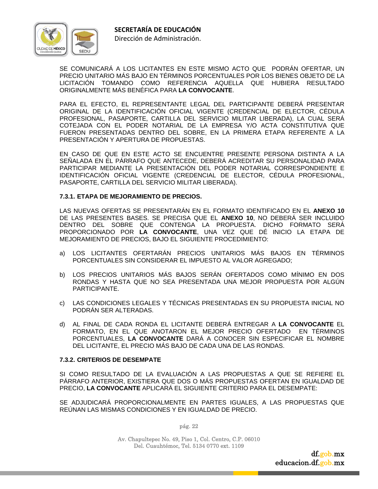

 SE COMUNICARÁ A LOS LICITANTES EN ESTE MISMO ACTO QUE PODRÁN OFERTAR, UN PRECIO UNITARIO MÁS BAJO EN TÉRMINOS PORCENTUALES POR LOS BIENES OBJETO DE LA LICITACIÓN TOMANDO COMO REFERENCIA AQUELLA QUE HUBIERA RESULTADO ORIGINALMENTE MÁS BENÉFICA PARA **LA CONVOCANTE**.

 PARA EL EFECTO, EL REPRESENTANTE LEGAL DEL PARTICIPANTE DEBERÁ PRESENTAR ORIGINAL DE LA IDENTIFICACIÓN OFICIAL VIGENTE (CREDENCIAL DE ELECTOR, CÉDULA PROFESIONAL, PASAPORTE, CARTILLA DEL SERVICIO MILITAR LIBERADA), LA CUAL SERÁ COTEJADA CON EL PODER NOTARIAL DE LA EMPRESA Y/O ACTA CONSTITUTIVA QUE FUERON PRESENTADAS DENTRO DEL SOBRE, EN LA PRIMERA ETAPA REFERENTE A LA PRESENTACIÓN Y APERTURA DE PROPUESTAS.

 EN CASO DE QUE EN ESTE ACTO SE ENCUENTRE PRESENTE PERSONA DISTINTA A LA SEÑALADA EN EL PÁRRAFO QUE ANTECEDE, DEBERÁ ACREDITAR SU PERSONALIDAD PARA PARTICIPAR MEDIANTE LA PRESENTACIÓN DEL PODER NOTARIAL CORRESPONDIENTE E IDENTIFICACIÓN OFICIAL VIGENTE (CREDENCIAL DE ELECTOR, CÉDULA PROFESIONAL, PASAPORTE, CARTILLA DEL SERVICIO MILITAR LIBERADA).

#### **7.3.1. ETAPA DE MEJORAMIENTO DE PRECIOS.**

 LAS NUEVAS OFERTAS SE PRESENTARÁN EN EL FORMATO IDENTIFICADO EN EL **ANEXO 10**  DE LAS PRESENTES BASES. SE PRECISA QUE EL **ANEXO 10**, NO DEBERÁ SER INCLUIDO DENTRO DEL SOBRE QUE CONTENGA LA PROPUESTA. DICHO FORMATO SERÁ PROPORCIONADO POR **LA CONVOCANTE**, UNA VEZ QUE DÉ INICIO LA ETAPA DE MEJORAMIENTO DE PRECIOS, BAJO EL SIGUIENTE PROCEDIMIENTO:

- a) LOS LICITANTES OFERTARÁN PRECIOS UNITARIOS MÁS BAJOS EN TÉRMINOS PORCENTUALES SIN CONSIDERAR EL IMPUESTO AL VALOR AGREGADO;
- b) LOS PRECIOS UNITARIOS MÁS BAJOS SERÁN OFERTADOS COMO MÍNIMO EN DOS RONDAS Y HASTA QUE NO SEA PRESENTADA UNA MEJOR PROPUESTA POR ALGÚN PARTICIPANTE.
- c) LAS CONDICIONES LEGALES Y TÉCNICAS PRESENTADAS EN SU PROPUESTA INICIAL NO PODRÁN SER ALTERADAS.
- d) AL FINAL DE CADA RONDA EL LICITANTE DEBERÁ ENTREGAR A **LA CONVOCANTE** EL FORMATO, EN EL QUE ANOTARON EL MEJOR PRECIO OFERTADO EN TÉRMINOS PORCENTUALES, **LA CONVOCANTE** DARÁ A CONOCER SIN ESPECIFICAR EL NOMBRE DEL LICITANTE, EL PRECIO MÁS BAJO DE CADA UNA DE LAS RONDAS.

#### **7.3.2. CRITERIOS DE DESEMPATE**

 SI COMO RESULTADO DE LA EVALUACIÓN A LAS PROPUESTAS A QUE SE REFIERE EL PÁRRAFO ANTERIOR, EXISTIERA QUE DOS O MÁS PROPUESTAS OFERTAN EN IGUALDAD DE PRECIO, **LA CONVOCANTE** APLICARÁ EL SIGUIENTE CRITERIO PARA EL DESEMPATE:

SE ADJUDICARÁ PROPORCIONALMENTE EN PARTES IGUALES, A LAS PROPUESTAS QUE REÚNAN LAS MISMAS CONDICIONES Y EN IGUALDAD DE PRECIO.

pág. 22

Av. Chapultepec No. 49, Piso 1, Col. Centro, C.P. 06010 Del. Cuauhtémoc, Tel. 5134 0770 ext. 1109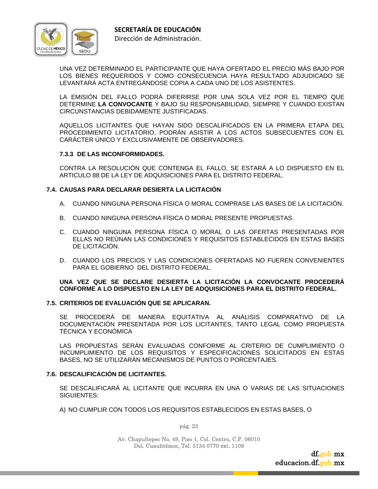

 UNA VEZ DETERMINADO EL PARTICIPANTE QUE HAYA OFERTADO EL PRECIO MÁS BAJO POR LOS BIENES REQUERIDOS Y COMO CONSECUENCIA HAYA RESULTADO ADJUDICADO SE LEVANTARÁ ACTA ENTREGÁNDOSE COPIA A CADA UNO DE LOS ASISTENTES.

 LA EMISIÓN DEL FALLO PODRÁ DIFERIRSE POR UNA SOLA VEZ POR EL TIEMPO QUE DETERMINE **LA CONVOCANTE** Y BAJO SU RESPONSABILIDAD, SIEMPRE Y CUANDO EXISTAN CIRCUNSTANCIAS DEBIDAMENTE JUSTIFICADAS.

 AQUELLOS LICITANTES QUE HAYAN SIDO DESCALIFICADOS EN LA PRIMERA ETAPA DEL PROCEDIMIENTO LICITATORIO, PODRÁN ASISTIR A LOS ACTOS SUBSECUENTES CON EL CARÁCTER ÚNICO Y EXCLUSIVAMENTE DE OBSERVADORES.

#### **7.3.3 DE LAS INCONFORMIDADES.**

 CONTRA LA RESOLUCIÓN QUE CONTENGA EL FALLO, SE ESTARÁ A LO DISPUESTO EN EL ARTICULO 88 DE LA LEY DE ADQUISICIONES PARA EL DISTRITO FEDERAL.

#### **7.4. CAUSAS PARA DECLARAR DESIERTA LA LICITACIÓN**

- A. CUANDO NINGUNA PERSONA FÍSICA O MORAL COMPRASE LAS BASES DE LA LICITACIÓN.
- B. CUANDO NINGUNA PERSONA FÍSICA O MORAL PRESENTE PROPUESTAS.
- C. CUANDO NINGUNA PERSONA FÍSICA O MORAL O LAS OFERTAS PRESENTADAS POR ELLAS NO REÚNAN LAS CONDICIONES Y REQUISITOS ESTABLECIDOS EN ESTAS BASES DE LICITACIÓN.
- D. CUANDO LOS PRECIOS Y LAS CONDICIONES OFERTADAS NO FUEREN CONVENIENTES PARA EL GOBIERNO DEL DISTRITO FEDERAL.

#### **UNA VEZ QUE SE DECLARE DESIERTA LA LICITACIÓN LA CONVOCANTE PROCEDERÁ CONFORME A LO DISPUESTO EN LA LEY DE ADQUISICIONES PARA EL DISTRITO FEDERAL.**

#### **7.5. CRITERIOS DE EVALUACIÓN QUE SE APLICARAN.**

 SE PROCEDERÁ DE MANERA EQUITATIVA AL ANÁLISIS COMPARATIVO DE LA DOCUMENTACIÓN PRESENTADA POR LOS LICITANTES, TANTO LEGAL COMO PROPUESTA TÉCNICA Y ECONÓMICA

 LAS PROPUESTAS SERÁN EVALUADAS CONFORME AL CRITERIO DE CUMPLIMIENTO O INCUMPLIMIENTO DE LOS REQUISITOS Y ESPECIFICACIONES SOLICITADOS EN ESTAS BASES, NO SE UTILIZARÁN MECANISMOS DE PUNTOS O PORCENTAJES.

#### **7.6. DESCALIFICACIÓN DE LICITANTES.**

 SE DESCALIFICARÁ AL LICITANTE QUE INCURRA EN UNA O VARIAS DE LAS SITUACIONES SIGUIENTES:

A) NO CUMPLIR CON TODOS LOS REQUISITOS ESTABLECIDOS EN ESTAS BASES, O

pág. 23

Av. Chapultepec No. 49, Piso 1, Col. Centro, C.P. 06010 Del. Cuauhtémoc, Tel. 5134 0770 ext. 1109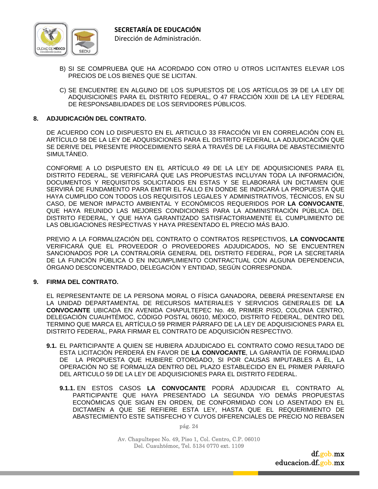

- B) SI SE COMPRUEBA QUE HA ACORDADO CON OTRO U OTROS LICITANTES ELEVAR LOS PRECIOS DE LOS BIENES QUE SE LICITAN.
- C) SE ENCUENTRE EN ALGUNO DE LOS SUPUESTOS DE LOS ARTÍCULOS 39 DE LA LEY DE ADQUISICIONES PARA EL DISTRITO FEDERAL, O 47 FRACCIÓN XXIII DE LA LEY FEDERAL DE RESPONSABILIDADES DE LOS SERVIDORES PÚBLICOS.

#### **8. ADJUDICACIÓN DEL CONTRATO.**

 DE ACUERDO CON LO DISPUESTO EN EL ARTICULO 33 FRACCIÓN VII EN CORRELACIÓN CON EL ARTÍCULO 58 DE LA LEY DE ADQUISICIONES PARA EL DISTRITO FEDERAL LA ADJUDICACIÓN QUE SE DERIVE DEL PRESENTE PROCEDIMIENTO SERÁ A TRAVÉS DE LA FIGURA DE ABASTECIMIENTO SIMULTÁNEO.

 CONFORME A LO DISPUESTO EN EL ARTÍCULO 49 DE LA LEY DE ADQUISICIONES PARA EL DISTRITO FEDERAL, SE VERIFICARÁ QUE LAS PROPUESTAS INCLUYAN TODA LA INFORMACIÓN, DOCUMENTOS Y REQUISITOS SOLICITADOS EN ESTAS Y SE ELABORARÁ UN DICTAMEN QUE SERVIRÁ DE FUNDAMENTO PARA EMITIR EL FALLO EN DONDE SE INDICARÁ LA PROPUESTA QUE HAYA CUMPLIDO CON TODOS LOS REQUISITOS LEGALES Y ADMINISTRATIVOS, TÉCNICOS, EN SU CASO, DE MENOR IMPACTO AMBIENTAL Y ECONÓMICOS REQUERIDOS POR **LA CONVOCANTE**, QUE HAYA REUNIDO LAS MEJORES CONDICIONES PARA LA ADMINISTRACIÓN PÚBLICA DEL DISTRITO FEDERAL, Y QUE HAYA GARANTIZADO SATISFACTORIAMENTE EL CUMPLIMIENTO DE LAS OBLIGACIONES RESPECTIVAS Y HAYA PRESENTADO EL PRECIO MÁS BAJO.

 PREVIO A LA FORMALIZACIÓN DEL CONTRATO O CONTRATOS RESPECTIVOS, **LA CONVOCANTE** VERIFICARÁ QUE EL PROVEEDOR O PROVEEDORES ADJUDICADOS, NO SE ENCUENTREN SANCIONADOS POR LA CONTRALORÍA GENERAL DEL DISTRITO FEDERAL, POR LA SECRETARÍA DE LA FUNCIÓN PÚBLICA O EN INCUMPLIMIENTO CONTRACTUAL CON ALGUNA DEPENDENCIA, ÓRGANO DESCONCENTRADO, DELEGACIÓN Y ENTIDAD, SEGÚN CORRESPONDA.

#### **9. FIRMA DEL CONTRATO.**

 EL REPRESENTANTE DE LA PERSONA MORAL O FÍSICA GANADORA, DEBERÁ PRESENTARSE EN LA UNIDAD DEPARTAMENTAL DE RECURSOS MATERIALES Y SERVICIOS GENERALES DE **LA CONVOCANTE** UBICADA EN AVENIDA CHAPULTEPEC No. 49, PRIMER PISO, COLONIA CENTRO, DELEGACIÓN CUAUHTÉMOC, CÓDIGO POSTAL 06010, MÉXICO, DISTRITO FEDERAL, DENTRO DEL TERMINO QUE MARCA EL ARTÍCULO 59 PRIMER PÁRRAFO DE LA LEY DE ADQUISICIONES PARA EL DISTRITO FEDERAL, PARA FIRMAR EL CONTRATO DE ADQUISICIÓN RESPECTIVO.

- **9.1.** EL PARTICIPANTE A QUIEN SE HUBIERA ADJUDICADO EL CONTRATO COMO RESULTADO DE ESTA LICITACIÓN PERDERÁ EN FAVOR DE **LA CONVOCANTE**, LA GARANTÍA DE FORMALIDAD DE LA PROPUESTA QUE HUBIERE OTORGADO, SI POR CAUSAS IMPUTABLES A ÉL, LA OPERACIÓN NO SE FORMALIZA DENTRO DEL PLAZO ESTABLECIDO EN EL PRIMER PÁRRAFO DEL ARTICULO 59 DE LA LEY DE ADQUISICIONES PARA EL DISTRITO FEDERAL.
	- **9.1.1.** EN ESTOS CASOS **LA CONVOCANTE** PODRÁ ADJUDICAR EL CONTRATO AL PARTICIPANTE QUE HAYA PRESENTADO LA SEGUNDA Y/O DEMÁS PROPUESTAS ECONÓMICAS QUE SIGAN EN ORDEN, DE CONFORMIDAD CON LO ASENTADO EN EL DICTAMEN A QUE SE REFIERE ESTA LEY, HASTA QUE EL REQUERIMIENTO DE ABASTECIMIENTO ESTE SATISFECHO Y CUYOS DIFERENCIALES DE PRECIO NO REBASEN

pág. 24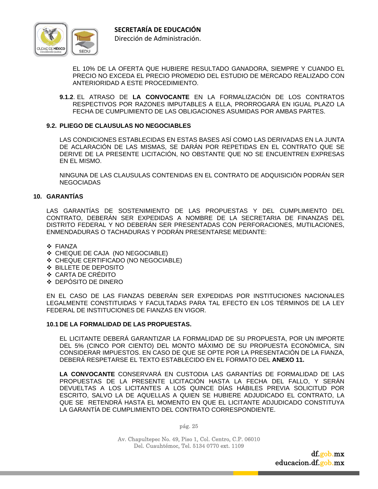

EL 10% DE LA OFERTA QUE HUBIERE RESULTADO GANADORA, SIEMPRE Y CUANDO EL PRECIO NO EXCEDA EL PRECIO PROMEDIO DEL ESTUDIO DE MERCADO REALIZADO CON ANTERIORIDAD A ESTE PROCEDIMIENTO.

**9.1.2**. EL ATRASO DE **LA CONVOCANTE** EN LA FORMALIZACIÓN DE LOS CONTRATOS RESPECTIVOS POR RAZONES IMPUTABLES A ELLA, PRORROGARÁ EN IGUAL PLAZO LA FECHA DE CUMPLIMIENTO DE LAS OBLIGACIONES ASUMIDAS POR AMBAS PARTES.

#### **9.2. PLIEGO DE CLAUSULAS NO NEGOCIABLES**

 LAS CONDICIONES ESTABLECIDAS EN ESTAS BASES ASÍ COMO LAS DERIVADAS EN LA JUNTA DE ACLARACIÓN DE LAS MISMAS, SE DARÁN POR REPETIDAS EN EL CONTRATO QUE SE DERIVE DE LA PRESENTE LICITACIÓN, NO OBSTANTE QUE NO SE ENCUENTREN EXPRESAS EN EL MISMO.

 NINGUNA DE LAS CLAUSULAS CONTENIDAS EN EL CONTRATO DE ADQUISICIÓN PODRÁN SER NEGOCIADAS

#### **10. GARANTÍAS**

LAS GARANTÍAS DE SOSTENIMIENTO DE LAS PROPUESTAS Y DEL CUMPLIMIENTO DEL CONTRATO, DEBERÁN SER EXPEDIDAS A NOMBRE DE LA SECRETARIA DE FINANZAS DEL DISTRITO FEDERAL Y NO DEBERÁN SER PRESENTADAS CON PERFORACIONES, MUTILACIONES, ENMENDADURAS O TACHADURAS Y PODRÁN PRESENTARSE MEDIANTE:

- ❖ FIANZA
- CHEQUE DE CAJA (NO NEGOCIABLE)
- CHEQUE CERTIFICADO (NO NEGOCIABLE)
- BILLETE DE DEPOSITO
- CARTA DE CRÉDITO
- DEPÓSITO DE DINERO

 EN EL CASO DE LAS FIANZAS DEBERÁN SER EXPEDIDAS POR INSTITUCIONES NACIONALES LEGALMENTE CONSTITUIDAS Y FACULTADAS PARA TAL EFECTO EN LOS TÉRMINOS DE LA LEY FEDERAL DE INSTITUCIONES DE FIANZAS EN VIGOR.

#### **10.1 DE LA FORMALIDAD DE LAS PROPUESTAS.**

 EL LICITANTE DEBERÁ GARANTIZAR LA FORMALIDAD DE SU PROPUESTA, POR UN IMPORTE DEL 5% (CINCO POR CIENTO) DEL MONTO MÁXIMO DE SU PROPUESTA ECONÓMICA, SIN CONSIDERAR IMPUESTOS. EN CASO DE QUE SE OPTE POR LA PRESENTACIÓN DE LA FIANZA, DEBERÁ RESPETARSE EL TEXTO ESTABLECIDO EN EL FORMATO DEL **ANEXO 11.**

**LA CONVOCANTE** CONSERVARÁ EN CUSTODIA LAS GARANTÍAS DE FORMALIDAD DE LAS PROPUESTAS DE LA PRESENTE LICITACIÓN HASTA LA FECHA DEL FALLO, Y SERÁN DEVUELTAS A LOS LICITANTES A LOS QUINCE DÍAS HÁBILES PREVIA SOLICITUD POR ESCRITO, SALVO LA DE AQUELLAS A QUIEN SE HUBIERE ADJUDICADO EL CONTRATO, LA QUE SE RETENDRÁ HASTA EL MOMENTO EN QUE EL LICITANTE ADJUDICADO CONSTITUYA LA GARANTÍA DE CUMPLIMIENTO DEL CONTRATO CORRESPONDIENTE.

pág. 25

Av. Chapultepec No. 49, Piso 1, Col. Centro, C.P. 06010 Del. Cuauhtémoc, Tel. 5134 0770 ext. 1109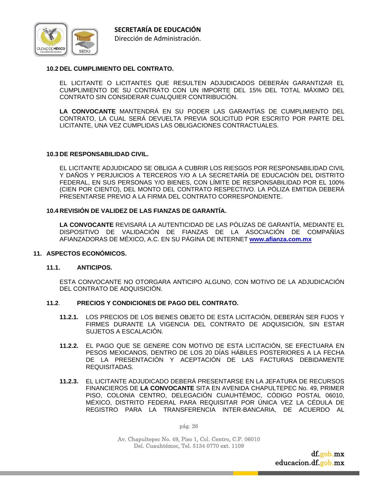

#### **10.2 DEL CUMPLIMIENTO DEL CONTRATO.**

 EL LICITANTE O LICITANTES QUE RESULTEN ADJUDICADOS DEBERÁN GARANTIZAR EL CUMPLIMIENTO DE SU CONTRATO CON UN IMPORTE DEL 15% DEL TOTAL MÁXIMO DEL CONTRATO SIN CONSIDERAR CUALQUIER CONTRIBUCIÓN.

**LA CONVOCANTE** MANTENDRÁ EN SU PODER LAS GARANTÍAS DE CUMPLIMIENTO DEL CONTRATO, LA CUAL SERÁ DEVUELTA PREVIA SOLICITUD POR ESCRITO POR PARTE DEL LICITANTE, UNA VEZ CUMPLIDAS LAS OBLIGACIONES CONTRACTUALES.

#### **10.3 DE RESPONSABILIDAD CIVIL.**

 EL LICITANTE ADJUDICADO SE OBLIGA A CUBRIR LOS RIESGOS POR RESPONSABILIDAD CIVIL Y DAÑOS Y PERJUICIOS A TERCEROS Y/O A LA SECRETARÍA DE EDUCACIÓN DEL DISTRITO FEDERAL, EN SUS PERSONAS Y/O BIENES, CON LÍMITE DE RESPONSABILIDAD POR EL 100% (CIEN POR CIENTO), DEL MONTO DEL CONTRATO RESPECTIVO. LA PÓLIZA EMITIDA DEBERÁ PRESENTARSE PREVIO A LA FIRMA DEL CONTRATO CORRESPONDIENTE.

#### **10.4 REVISIÓN DE VALIDEZ DE LAS FIANZAS DE GARANTÍA.**

**LA CONVOCANTE** REVISARÁ LA AUTENTICIDAD DE LAS PÓLIZAS DE GARANTÍA, MEDIANTE EL DISPOSITIVO DE VALIDACIÓN DE FIANZAS DE LA ASOCIACIÓN DE COMPAÑÍAS AFIANZADORAS DE MÉXICO, A.C. EN SU PÁGINA DE INTERNET **www.afianza.com.mx**

#### **11. ASPECTOS ECONÓMICOS.**

#### **11.1. ANTICIPOS.**

 ESTA CONVOCANTE NO OTORGARA ANTICIPO ALGUNO, CON MOTIVO DE LA ADJUDICACIÓN DEL CONTRATO DE ADQUISICIÓN.

#### **11.2**. **PRECIOS Y CONDICIONES DE PAGO DEL CONTRATO.**

- **11.2.1.** LOS PRECIOS DE LOS BIENES OBJETO DE ESTA LICITACIÓN, DEBERÁN SER FIJOS Y FIRMES DURANTE LA VIGENCIA DEL CONTRATO DE ADQUISICIÓN, SIN ESTAR SUJETOS A ESCALACIÓN.
- **11.2.2.** EL PAGO QUE SE GENERE CON MOTIVO DE ESTA LICITACIÓN, SE EFECTUARA EN PESOS MEXICANOS, DENTRO DE LOS 20 DÍAS HÁBILES POSTERIORES A LA FECHA DE LA PRESENTACIÓN Y ACEPTACIÓN DE LAS FACTURAS DEBIDAMENTE REQUISITADAS.
- **11.2.3.** EL LICITANTE ADJUDICADO DEBERÁ PRESENTARSE EN LA JEFATURA DE RECURSOS FINANCIEROS DE **LA CONVOCANTE** SITA EN AVENIDA CHAPULTEPEC No. 49, PRIMER PISO, COLONIA CENTRO, DELEGACIÓN CUAUHTÉMOC, CÓDIGO POSTAL 06010, MÉXICO, DISTRITO FEDERAL PARA REQUISITAR POR ÚNICA VEZ LA CÉDULA DE REGISTRO PARA LA TRANSFERENCIA INTER-BANCARIA, DE ACUERDO AL

pág. 26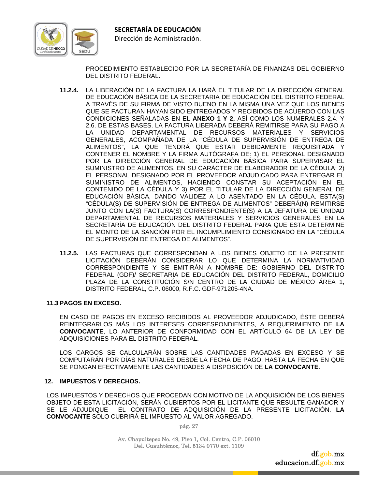

PROCEDIMIENTO ESTABLECIDO POR LA SECRETARÍA DE FINANZAS DEL GOBIERNO DEL DISTRITO FEDERAL.

- **11.2.4.** LA LIBERACIÓN DE LA FACTURA LA HARÁ EL TITULAR DE LA DIRECCIÓN GENERAL DE EDUCACIÓN BÁSICA DE LA SECRETARIA DE EDUCACIÓN DEL DISTRITO FEDERAL A TRAVÉS DE SU FIRMA DE VISTO BUENO EN LA MISMA UNA VEZ QUE LOS BIENES QUE SE FACTURAN HAYAN SIDO ENTREGADOS Y RECIBIDOS DE ACUERDO CON LAS CONDICIONES SEÑALADAS EN EL **ANEXO 1 Y 2,** ASÍ COMO LOS NUMERALES 2.4. Y 2.6. DE ESTAS BASES. LA FACTURA LIBERADA DEBERÁ REMITIRSE PARA SU PAGO A LA UNIDAD DEPARTAMENTAL DE RECURSOS MATERIALES Y SERVICIOS GENERALES, ACOMPAÑADA DE LA "CÉDULA DE SUPERVISIÓN DE ENTREGA DE ALIMENTOS", LA QUE TENDRÁ QUE ESTAR DEBIDAMENTE REQUISITADA Y CONTENER EL NOMBRE Y LA FIRMA AUTÓGRAFA DE: 1) EL PERSONAL DESIGNADO POR LA DIRECCIÓN GENERAL DE EDUCACIÓN BÁSICA PARA SUPERVISAR EL SUMINISTRO DE ALIMENTOS, EN SU CARÁCTER DE ELABORADOR DE LA CÉDULA; 2) EL PERSONAL DESIGNADO POR EL PROVEEDOR ADJUDICADO PARA ENTREGAR EL SUMINISTRO DE ALIMENTOS, HACIENDO CONSTAR SU ACEPTACIÓN EN EL CONTENIDO DE LA CÉDULA Y 3) POR EL TITULAR DE LA DIRECCIÓN GENERAL DE EDUCACIÓN BÁSICA, DANDO VALIDEZ A LO ASENTADO EN LA CÉDULA. ESTA(S) "CÉDULA(S) DE SUPERVISIÓN DE ENTREGA DE ALIMENTOS" DEBERÁ(N) REMITIRSE JUNTO CON LA(S) FACTURA(S) CORRESPONDIENTE(S) A LA JEFATURA DE UNIDAD DEPARTAMENTAL DE RECURSOS MATERIALES Y SERVICIOS GENERALES EN LA SECRETARÍA DE EDUCACIÓN DEL DISTRITO FEDERAL PARA QUE ESTA DETERMINE EL MONTO DE LA SANCIÓN POR EL INCUMPLIMIENTO CONSIGNADO EN LA "CÉDULA DE SUPERVISIÓN DE ENTREGA DE ALIMENTOS".
- **11.2.5.** LAS FACTURAS QUE CORRESPONDAN A LOS BIENES OBJETO DE LA PRESENTE LICITACIÓN DEBERÁN CONSIDERAR LO QUE DETERMINA LA NORMATIVIDAD CORRESPONDIENTE Y SE EMITIRÁN A NOMBRE DE: GOBIERNO DEL DISTRITO FEDERAL (GDF)/ SECRETARIA DE EDUCACIÓN DEL DISTRITO FEDERAL, DOMICILIO PLAZA DE LA CONSTITUCIÓN S/N CENTRO DE LA CIUDAD DE MÉXICO ÁREA 1, DISTRITO FEDERAL, C.P. 06000, R.F.C. GDF-971205-4NA.

#### **11.3 PAGOS EN EXCESO.**

 EN CASO DE PAGOS EN EXCESO RECIBIDOS AL PROVEEDOR ADJUDICADO, ÉSTE DEBERÁ REINTEGRARLOS MÁS LOS INTERESES CORRESPONDIENTES, A REQUERIMIENTO DE **LA CONVOCANTE**, LO ANTERIOR DE CONFORMIDAD CON EL ARTÍCULO 64 DE LA LEY DE ADQUISICIONES PARA EL DISTRITO FEDERAL.

 LOS CARGOS SE CALCULARÁN SOBRE LAS CANTIDADES PAGADAS EN EXCESO Y SE COMPUTARÁN POR DÍAS NATURALES DESDE LA FECHA DE PAGO, HASTA LA FECHA EN QUE SE PONGAN EFECTIVAMENTE LAS CANTIDADES A DISPOSICIÓN DE **LA CONVOCANTE**.

#### **12. IMPUESTOS Y DERECHOS.**

LOS IMPUESTOS Y DERECHOS QUE PROCEDAN CON MOTIVO DE LA ADQUISICIÓN DE LOS BIENES OBJETO DE ESTA LICITACIÓN, SERÁN CUBIERTOS POR EL LICITANTE QUE RESULTE GANADOR Y SE LE ADJUDIQUE EL CONTRATO DE ADQUISICIÓN DE LA PRESENTE LICITACIÓN. **LA CONVOCANTE** SOLO CUBRIRÁ EL IMPUESTO AL VALOR AGREGADO.

pág. 27

Av. Chapultepec No. 49, Piso 1, Col. Centro, C.P. 06010 Del. Cuauhtémoc, Tel. 5134 0770 ext. 1109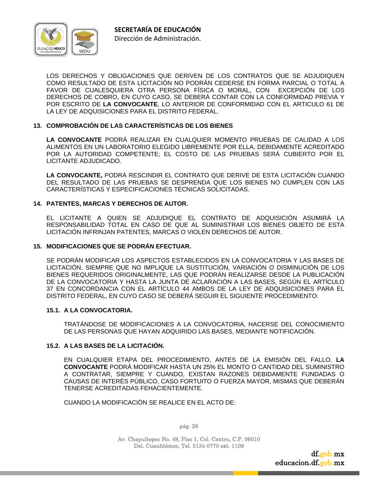

LOS DERECHOS Y OBLIGACIONES QUE DERIVEN DE LOS CONTRATOS QUE SE ADJUDIQUEN COMO RESULTADO DE ESTA LICITACIÓN NO PODRÁN CEDERSE EN FORMA PARCIAL O TOTAL A FAVOR DE CUALESQUIERA OTRA PERSONA FÍSICA O MORAL, CON EXCEPCIÓN DE LOS DERECHOS DE COBRO, EN CUYO CASO, SE DEBERÁ CONTAR CON LA CONFORMIDAD PREVIA Y POR ESCRITO DE **LA CONVOCANTE**, LO ANTERIOR DE CONFORMIDAD CON EL ARTICULO 61 DE LA LEY DE ADQUISICIONES PARA EL DISTRITO FEDERAL.

#### **13. COMPROBACIÓN DE LAS CARACTERÍSTICAS DE LOS BIENES**

**LA CONVOCANTE** PODRÁ REALIZAR EN CUALQUIER MOMENTO PRUEBAS DE CALIDAD A LOS ALIMENTOS EN UN LABORATORIO ELEGIDO LIBREMENTE POR ELLA, DEBIDAMENTE ACREDITADO POR LA AUTORIDAD COMPETENTE; EL COSTO DE LAS PRUEBAS SERÁ CUBIERTO POR EL LICITANTE ADJUDICADO.

**LA CONVOCANTE,** PODRÁ RESCINDIR EL CONTRATO QUE DERIVE DE ESTA LICITACIÓN CUANDO DEL RESULTADO DE LAS PRUEBAS SE DESPRENDA QUE LOS BIENES NO CUMPLEN CON LAS CARACTERÍSTICAS Y ESPECIFICACIONES TÉCNICAS SOLICITADAS.

#### **14. PATENTES, MARCAS Y DERECHOS DE AUTOR.**

EL LICITANTE A QUIEN SE ADJUDIQUE EL CONTRATO DE ADQUISICIÓN ASUMIRÁ LA RESPONSABILIDAD TOTAL EN CASO DE QUE AL SUMINISTRAR LOS BIENES OBJETO DE ESTA LICITACIÓN INFRINJAN PATENTES, MARCAS O VIOLEN DERECHOS DE AUTOR.

#### **15. MODIFICACIONES QUE SE PODRÁN EFECTUAR.**

SE PODRÁN MODIFICAR LOS ASPECTOS ESTABLECIDOS EN LA CONVOCATORIA Y LAS BASES DE LICITACIÓN, SIEMPRE QUE NO IMPLIQUE LA SUSTITUCIÓN, VARIACIÓN O DISMINUCIÓN DE LOS BIENES REQUERIDOS ORIGINALMENTE, LAS QUE PODRÁN REALIZARSE DESDE LA PUBLICACIÓN DE LA CONVOCATORIA Y HASTA LA JUNTA DE ACLARACIÓN A LAS BASES, SEGÚN EL ARTÍCULO 37 EN CONCORDANCIA CON EL ARTÍCULO 44 AMBOS DE LA LEY DE ADQUISICIONES PARA EL DISTRITO FEDERAL, EN CUYO CASO SE DEBERÁ SEGUIR EL SIGUIENTE PROCEDIMIENTO:

#### **15.1. A LA CONVOCATORIA.**

 TRATÁNDOSE DE MODIFICACIONES A LA CONVOCATORIA, HACERSE DEL CONOCIMIENTO DE LAS PERSONAS QUE HAYAN ADQUIRIDO LAS BASES, MEDIANTE NOTIFICACIÓN.

#### **15.2. A LAS BASES DE LA LICITACIÓN.**

EN CUALQUIER ETAPA DEL PROCEDIMIENTO, ANTES DE LA EMISIÓN DEL FALLO, **LA CONVOCANTE** PODRÁ MODIFICAR HASTA UN 25% EL MONTO O CANTIDAD DEL SUMINISTRO A CONTRATAR, SIEMPRE Y CUANDO, EXISTAN RAZONES DEBIDAMENTE FUNDADAS O CAUSAS DE INTERÉS PÚBLICO, CASO FORTUITO O FUERZA MAYOR, MISMAS QUE DEBERÁN TENERSE ACREDITADAS FEHACIENTEMENTE.

CUANDO LA MODIFICACIÓN SE REALICE EN EL ACTO DE:

pág. 28

Av. Chapultepec No. 49, Piso 1, Col. Centro, C.P. 06010 Del. Cuauhtémoc, Tel. 5134 0770 ext. 1109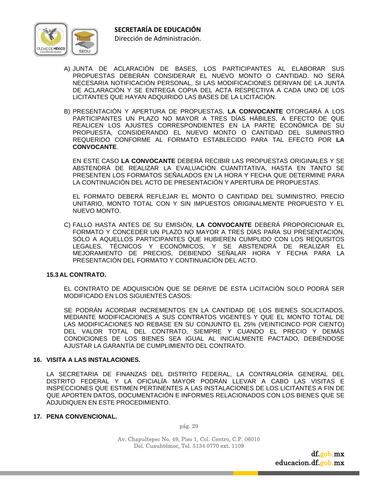

- A) JUNTA DE ACLARACIÓN DE BASES, LOS PARTICIPANTES AL ELABORAR SUS PROPUESTAS DEBERÁN CONSIDERAR EL NUEVO MONTO O CANTIDAD. NO SERÁ NECESARIA NOTIFICACIÓN PERSONAL, SI LAS MODIFICACIONES DERIVAN DE LA JUNTA DE ACLARACIÓN Y SE ENTREGA COPIA DEL ACTA RESPECTIVA A CADA UNO DE LOS LICITANTES QUE HAYAN ADQUIRIDO LAS BASES DE LA LICITACIÓN.
- B) PRESENTACIÓN Y APERTURA DE PROPUESTAS, **LA CONVOCANTE** OTORGARÁ A LOS PARTICIPANTES UN PLAZO NO MAYOR A TRES DÍAS HÁBILES, A EFECTO DE QUE REALICEN LOS AJUSTES CORRESPONDIENTES EN LA PARTE ECONÓMICA DE SU PROPUESTA, CONSIDERANDO EL NUEVO MONTO O CANTIDAD DEL SUMINISTRO REQUERIDO CONFORME AL FORMATO ESTABLECIDO PARA TAL EFECTO POR **LA CONVOCANTE**.

 EN ESTE CASO **LA CONVOCANTE** DEBERÁ RECIBIR LAS PROPUESTAS ORIGINALES Y SE ABSTENDRÁ DE REALIZAR LA EVALUACIÓN CUANTITATIVA, HASTA EN TANTO SE PRESENTEN LOS FORMATOS SEÑALADOS EN LA HORA Y FECHA QUE DETERMINE PARA LA CONTINUACIÓN DEL ACTO DE PRESENTACIÓN Y APERTURA DE PROPUESTAS.

 EL FORMATO DEBERÁ REFLEJAR EL MONTO O CANTIDAD DEL SUMINISTRO, PRECIO UNITARIO, MONTO TOTAL CON Y SIN IMPUESTOS ORIGINALMENTE PROPUESTO Y EL NUEVO MONTO.

C) FALLO HASTA ANTES DE SU EMISIÓN, **LA CONVOCANTE** DEBERÁ PROPORCIONAR EL FORMATO Y CONCEDER UN PLAZO NO MAYOR A TRES DÍAS PARA SU PRESENTACIÓN, SÓLO A AQUELLOS PARTICIPANTES QUE HUBIEREN CUMPLIDO CON LOS REQUISITOS LEGALES, TÉCNICOS Y ECONÓMICOS, Y SE ABSTENDRÁ DE REALIZAR EL MEJORAMIENTO DE PRECIOS, DEBIENDO SEÑALAR HORA Y FECHA PARA LA PRESENTACIÓN DEL FORMATO Y CONTINUACIÓN DEL ACTO.

#### **15.3 AL CONTRATO.**

 EL CONTRATO DE ADQUISICIÓN QUE SE DERIVE DE ESTA LICITACIÓN SOLO PODRÁ SER MODIFICADO EN LOS SIGUIENTES CASOS:

 SE PODRÁN ACORDAR INCREMENTOS EN LA CANTIDAD DE LOS BIENES SOLICITADOS, MEDIANTE MODIFICACIONES A SUS CONTRATOS VIGENTES Y QUE EL MONTO TOTAL DE LAS MODIFICACIONES NO REBASE EN SU CONJUNTO EL 25% (VEINTICINCO POR CIENTO) DEL VALOR TOTAL DEL CONTRATO, SIEMPRE Y CUANDO EL PRECIO Y DEMÁS CONDICIONES DE LOS BIENES SEA IGUAL AL INICIALMENTE PACTADO, DEBIÉNDOSE AJUSTAR LA GARANTÍA DE CUMPLIMIENTO DEL CONTRATO.

#### **16. VISITA A LAS INSTALACIONES.**

LA SECRETARIA DE FINANZAS DEL DISTRITO FEDERAL, LA CONTRALORÍA GENERAL DEL DISTRITO FEDERAL Y LA OFICIALÍA MAYOR PODRÁN LLEVAR A CABO LAS VISITAS E INSPECCIONES QUE ESTIMEN PERTINENTES A LAS INSTALACIONES DE LOS LICITANTES A FIN DE QUE APORTEN DATOS, DOCUMENTACIÓN E INFORMES RELACIONADOS CON LOS BIENES QUE SE ADJUDIQUEN EN ESTE PROCEDIMIENTO.

#### **17. PENA CONVENCIONAL.**

pág. 29

Av. Chapultepec No. 49, Piso 1, Col. Centro, C.P. 06010 Del. Cuauhtémoc, Tel. 5134 0770 ext. 1109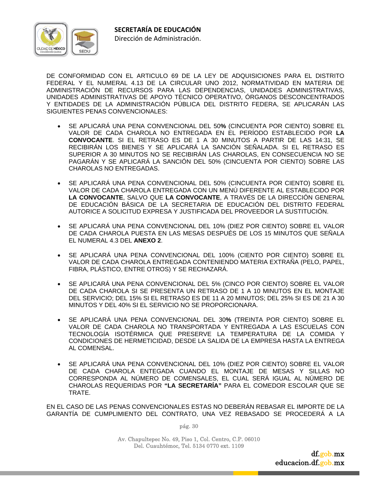

DE CONFORMIDAD CON EL ARTICULO 69 DE LA LEY DE ADQUISICIONES PARA EL DISTRITO FEDERAL Y EL NUMERAL 4.13 DE LA CIRCULAR UNO 2012, NORMATIVIDAD EN MATERIA DE ADMINISTRACIÓN DE RECURSOS PARA LAS DEPENDENCIAS, UNIDADES ADMINISTRATIVAS, UNIDADES ADMINISTRATIVAS DE APOYO TÉCNICO OPERATIVO, ÓRGANOS DESCONCENTRADOS Y ENTIDADES DE LA ADMINISTRACIÓN PÚBLICA DEL DISTRITO FEDERA, SE APLICARÁN LAS SIGUIENTES PENAS CONVENCIONALES:

- SE APLICARÁ UNA PENA CONVENCIONAL DEL 50**%** (CINCUENTA POR CIENTO) SOBRE EL VALOR DE CADA CHAROLA NO ENTREGADA EN EL PERÍODO ESTABLECIDO POR **LA CONVOCANTE**. SI EL RETRASO ES DE 1 A 30 MINUTOS A PARTIR DE LAS 14:31, SE RECIBIRÁN LOS BIENES Y SE APLICARÁ LA SANCIÓN SEÑALADA. SI EL RETRASO ES SUPERIOR A 30 MINUTOS NO SE RECIBIRÁN LAS CHAROLAS, EN CONSECUENCIA NO SE PAGARÁN Y SE APLICARÁ LA SANCIÓN DEL 50% (CINCUENTA POR CIENTO) SOBRE LAS CHAROLAS NO ENTREGADAS.
- SE APLICARÁ UNA PENA CONVENCIONAL DEL 50% (CINCUENTA POR CIENTO) SOBRE EL VALOR DE CADA CHAROLA ENTREGADA CON UN MENÚ DIFERENTE AL ESTABLECIDO POR **LA CONVOCANTE**, SALVO QUE **LA CONVOCANTE**, A TRAVÉS DE LA DIRECCIÓN GENERAL DE EDUCACIÓN BÁSICA DE LA SECRETARIA DE EDUCACIÓN DEL DISTRITO FEDERAL AUTORICE A SOLICITUD EXPRESA Y JUSTIFICADA DEL PROVEEDOR LA SUSTITUCIÓN.
- SE APLICARÁ UNA PENA CONVENCIONAL DEL 10% (DIEZ POR CIENTO) SOBRE EL VALOR DE CADA CHAROLA PUESTA EN LAS MESAS DESPUÉS DE LOS 15 MINUTOS QUE SEÑALA EL NUMERAL 4.3 DEL **ANEXO 2**.
- SE APLICARÁ UNA PENA CONVENCIONAL DEL 100% (CIENTO POR CIENTO) SOBRE EL VALOR DE CADA CHAROLA ENTREGADA CONTENIENDO MATERIA EXTRAÑA (PELO, PAPEL, FIBRA, PLÁSTICO, ENTRE OTROS) Y SE RECHAZARÁ.
- SE APLICARÁ UNA PENA CONVENCIONAL DEL 5% (CINCO POR CIENTO) SOBRE EL VALOR DE CADA CHAROLA SI SE PRESENTA UN RETRASO DE 1 A 10 MINUTOS EN EL MONTAJE DEL SERVICIO; DEL 15% SI EL RETRASO ES DE 11 A 20 MINUTOS; DEL 25% SI ES DE 21 A 30 MINUTOS Y DEL 40% SI EL SERVICIO NO SE PROPORCIONARA.
- SE APLICARÁ UNA PENA CONVENCIONAL DEL 30**%** (TREINTA POR CIENTO) SOBRE EL VALOR DE CADA CHAROLA NO TRANSPORTADA Y ENTREGADA A LAS ESCUELAS CON TECNOLOGÍA ISOTÉRMICA QUE PRESERVE LA TEMPERATURA DE LA COMIDA Y CONDICIONES DE HERMETICIDAD, DESDE LA SALIDA DE LA EMPRESA HASTA LA ENTREGA AL COMENSAL.
- SE APLICARÁ UNA PENA CONVENCIONAL DEL 10% (DIEZ POR CIENTO) SOBRE EL VALOR DE CADA CHAROLA ENTEGADA CUANDO EL MONTAJE DE MESAS Y SILLAS NO CORRESPONDA AL NÚMERO DE COMENSALES, EL CUAL SERÁ IGUAL AL NÚMERO DE CHAROLAS REQUERIDAS POR **"LA SECRETARÍA"** PARA EL COMEDOR ESCOLAR QUE SE TRATE.

EN EL CASO DE LAS PENAS CONVENCIONALES ESTAS NO DEBERÁN REBASAR EL IMPORTE DE LA GARANTÍA DE CUMPLIMIENTO DEL CONTRATO, UNA VEZ REBASADO SE PROCEDERÁ A LA

pág. 30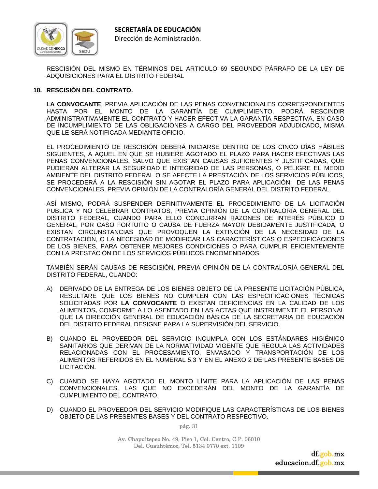

RESCISIÓN DEL MISMO EN TÉRMINOS DEL ARTICULO 69 SEGUNDO PÁRRAFO DE LA LEY DE ADQUISICIONES PARA EL DISTRITO FEDERAL

#### **18. RESCISIÓN DEL CONTRATO.**

**LA CONVOCANTE**, PREVIA APLICACIÓN DE LAS PENAS CONVENCIONALES CORRESPONDIENTES HASTA POR EL MONTO DE LA GARANTÍA DE CUMPLIMIENTO, PODRÁ RESCINDIR ADMINISTRATIVAMENTE EL CONTRATO Y HACER EFECTIVA LA GARANTÍA RESPECTIVA, EN CASO DE INCUMPLIMIENTO DE LAS OBLIGACIONES A CARGO DEL PROVEEDOR ADJUDICADO, MISMA QUE LE SERÁ NOTIFICADA MEDIANTE OFICIO.

EL PROCEDIMIENTO DE RESCISIÓN DEBERÁ INICIARSE DENTRO DE LOS CINCO DÍAS HÁBILES SIGUIENTES, A AQUEL EN QUE SE HUBIERE AGOTADO EL PLAZO PARA HACER EFECTIVAS LAS PENAS CONVENCIONALES, SALVO QUE EXISTAN CAUSAS SUFICIENTES Y JUSTIFICADAS, QUE PUDIERAN ALTERAR LA SEGURIDAD E INTEGRIDAD DE LAS PERSONAS, O PELIGRE EL MEDIO AMBIENTE DEL DISTRITO FEDERAL O SE AFECTE LA PRESTACIÓN DE LOS SERVICIOS PÚBLICOS, SE PROCEDERÁ A LA RESCISIÓN SIN AGOTAR EL PLAZO PARA APLICACIÓN DE LAS PENAS CONVENCIONALES, PREVIA OPINIÓN DE LA CONTRALORÍA GENERAL DEL DISTRITO FEDERAL.

ASÍ MISMO, PODRÁ SUSPENDER DEFINITIVAMENTE EL PROCEDIMIENTO DE LA LICITACIÓN PUBLICA Y NO CELEBRAR CONTRATOS, PREVIA OPINIÓN DE LA CONTRALORÍA GENERAL DEL DISTRITO FEDERAL, CUANDO PARA ELLO CONCURRAN RAZONES DE INTERÉS PÚBLICO O GENERAL, POR CASO FORTUITO O CAUSA DE FUERZA MAYOR DEBIDAMENTE JUSTIFICADA, O EXISTAN CIRCUNSTANCIAS QUE PROVOQUEN LA EXTINCIÓN DE LA NECESIDAD DE LA CONTRATACIÓN, O LA NECESIDAD DE MODIFICAR LAS CARACTERÍSTICAS O ESPECIFICACIONES DE LOS BIENES, PARA OBTENER MEJORES CONDICIONES O PARA CUMPLIR EFICIENTEMENTE CON LA PRESTACIÓN DE LOS SERVICIOS PÚBLICOS ENCOMENDADOS.

TAMBIÉN SERÁN CAUSAS DE RESCISIÓN, PREVIA OPINIÓN DE LA CONTRALORÍA GENERAL DEL DISTRITO FEDERAL, CUANDO:

- A) DERIVADO DE LA ENTREGA DE LOS BIENES OBJETO DE LA PRESENTE LICITACIÓN PÚBLICA, RESULTARE QUE LOS BIENES NO CUMPLEN CON LAS ESPECIFICACIONES TÉCNICAS SOLICITADAS POR **LA CONVOCANTE** O EXISTAN DEFICIENCIAS EN LA CALIDAD DE LOS ALIMENTOS**,** CONFORME A LO ASENTADO EN LAS ACTAS QUE INSTRUMENTE EL PERSONAL QUE LA DIRECCIÓN GENERAL DE EDUCACIÓN BÁSICA DE LA SECRETARIA DE EDUCACIÓN DEL DISTRITO FEDERAL DESIGNE PARA LA SUPERVISIÓN DEL SERVICIO.
- B) CUANDO EL PROVEEDOR DEL SERVICIO INCUMPLA CON LOS ESTÁNDARES HIGIÉNICO SANITARIOS QUE DERIVAN DE LA NORMATIVIDAD VIGENTE QUE REGULA LAS ACTIVIDADES RELACIONADAS CON EL PROCESAMIENTO, ENVASADO Y TRANSPORTACIÓN DE LOS ALIMENTOS REFERIDOS EN EL NUMERAL 5.3 Y EN EL ANEXO 2 DE LAS PRESENTE BASES DE LICITACIÓN.
- C) CUANDO SE HAYA AGOTADO EL MONTO LÍMITE PARA LA APLICACIÓN DE LAS PENAS CONVENCIONALES, LAS QUE NO EXCEDERÁN DEL MONTO DE LA GARANTÍA DE CUMPLIMIENTO DEL CONTRATO.
- D) CUANDO EL PROVEEDOR DEL SERVICIO MODIFIQUE LAS CARACTERÍSTICAS DE LOS BIENES OBJETO DE LAS PRESENTES BASES Y DEL CONTRATO RESPECTIVO.

pág. 31

Av. Chapultepec No. 49, Piso 1, Col. Centro, C.P. 06010 Del. Cuauhtémoc, Tel. 5134 0770 ext. 1109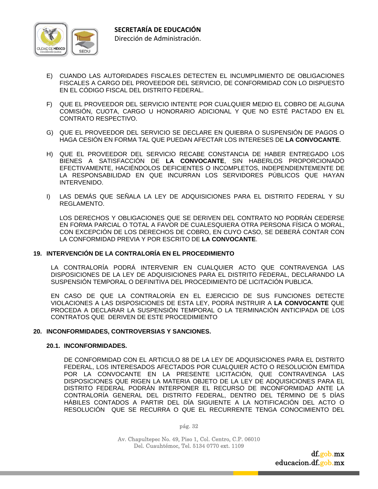

- E) CUANDO LAS AUTORIDADES FISCALES DETECTEN EL INCUMPLIMIENTO DE OBLIGACIONES FISCALES A CARGO DEL PROVEEDOR DEL SERVICIO, DE CONFORMIDAD CON LO DISPUESTO EN EL CÓDIGO FISCAL DEL DISTRITO FEDERAL.
- F) QUE EL PROVEEDOR DEL SERVICIO INTENTE POR CUALQUIER MEDIO EL COBRO DE ALGUNA COMISIÓN, CUOTA, CARGO U HONORARIO ADICIONAL Y QUE NO ESTÉ PACTADO EN EL CONTRATO RESPECTIVO.
- G) QUE EL PROVEEDOR DEL SERVICIO SE DECLARE EN QUIEBRA O SUSPENSIÓN DE PAGOS O HAGA CESIÓN EN FORMA TAL QUE PUEDAN AFECTAR LOS INTERESES DE **LA CONVOCANTE**.
- H) QUE EL PROVEEDOR DEL SERVICIO RECABE CONSTANCIA DE HABER ENTREGADO LOS BIENES A SATISFACCIÓN DE **LA CONVOCANTE**, SIN HABERLOS PROPORCIONADO EFECTIVAMENTE, HACIÉNDOLOS DEFICIENTES O INCOMPLETOS, INDEPENDIENTEMENTE DE LA RESPONSABILIDAD EN QUE INCURRAN LOS SERVIDORES PÚBLICOS QUE HAYAN INTERVENIDO.
- I) LAS DEMÁS QUE SEÑALA LA LEY DE ADQUISICIONES PARA EL DISTRITO FEDERAL Y SU REGLAMENTO.

 LOS DERECHOS Y OBLIGACIONES QUE SE DERIVEN DEL CONTRATO NO PODRÁN CEDERSE EN FORMA PARCIAL O TOTAL A FAVOR DE CUALESQUIERA OTRA PERSONA FÍSICA O MORAL, CON EXCEPCIÓN DE LOS DERECHOS DE COBRO, EN CUYO CASO, SE DEBERÁ CONTAR CON LA CONFORMIDAD PREVIA Y POR ESCRITO DE **LA CONVOCANTE**.

#### **19. INTERVENCIÓN DE LA CONTRALORÍA EN EL PROCEDIMIENTO**

 LA CONTRALORÍA PODRÁ INTERVENIR EN CUALQUIER ACTO QUE CONTRAVENGA LAS DISPOSICIONES DE LA LEY DE ADQUISICIONES PARA EL DISTRITO FEDERAL, DECLARANDO LA SUSPENSIÓN TEMPORAL O DEFINITIVA DEL PROCEDIMIENTO DE LICITACIÓN PUBLICA.

 EN CASO DE QUE LA CONTRALORÍA EN EL EJERCICIO DE SUS FUNCIONES DETECTE VIOLACIONES A LAS DISPOSICIONES DE ESTA LEY, PODRÁ INSTRUIR A **LA CONVOCANTE** QUE PROCEDA A DECLARAR LA SUSPENSIÓN TEMPORAL O LA TERMINACIÓN ANTICIPADA DE LOS CONTRATOS QUE DERIVEN DE ESTE PROCEDIMIENTO

#### **20. INCONFORMIDADES, CONTROVERSIAS Y SANCIONES.**

#### **20.1. INCONFORMIDADES.**

DE CONFORMIDAD CON EL ARTICULO 88 DE LA LEY DE ADQUISICIONES PARA EL DISTRITO FEDERAL, LOS INTERESADOS AFECTADOS POR CUALQUIER ACTO O RESOLUCIÓN EMITIDA POR LA CONVOCANTE EN LA PRESENTE LICITACIÓN, QUE CONTRAVENGA LAS DISPOSICIONES QUE RIGEN LA MATERIA OBJETO DE LA LEY DE ADQUISICIONES PARA EL DISTRITO FEDERAL PODRÁN INTERPONER EL RECURSO DE INCONFORMIDAD ANTE LA CONTRALORÍA GENERAL DEL DISTRITO FEDERAL, DENTRO DEL TÉRMINO DE 5 DÍAS HÁBILES CONTADOS A PARTIR DEL DÍA SIGUIENTE A LA NOTIFICACIÓN DEL ACTO O RESOLUCIÓN QUE SE RECURRA O QUE EL RECURRENTE TENGA CONOCIMIENTO DEL

pág. 32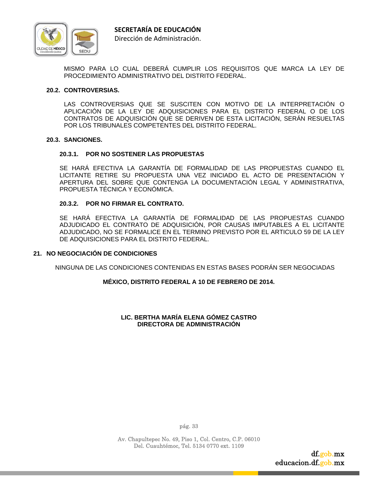

MISMO PARA LO CUAL DEBERÁ CUMPLIR LOS REQUISITOS QUE MARCA LA LEY DE PROCEDIMIENTO ADMINISTRATIVO DEL DISTRITO FEDERAL.

#### **20.2. CONTROVERSIAS.**

 LAS CONTROVERSIAS QUE SE SUSCITEN CON MOTIVO DE LA INTERPRETACIÓN O APLICACIÓN DE LA LEY DE ADQUISICIONES PARA EL DISTRITO FEDERAL O DE LOS CONTRATOS DE ADQUISICIÓN QUE SE DERIVEN DE ESTA LICITACIÓN, SERÁN RESUELTAS POR LOS TRIBUNALES COMPETENTES DEL DISTRITO FEDERAL.

#### **20.3. SANCIONES.**

#### **20.3.1. POR NO SOSTENER LAS PROPUESTAS**

 SE HARÁ EFECTIVA LA GARANTÍA DE FORMALIDAD DE LAS PROPUESTAS CUANDO EL LICITANTE RETIRE SU PROPUESTA UNA VEZ INICIADO EL ACTO DE PRESENTACIÓN Y APERTURA DEL SOBRE QUE CONTENGA LA DOCUMENTACIÓN LEGAL Y ADMINISTRATIVA, PROPUESTA TÉCNICA Y ECONÓMICA.

#### **20.3.2. POR NO FIRMAR EL CONTRATO.**

 SE HARÁ EFECTIVA LA GARANTÍA DE FORMALIDAD DE LAS PROPUESTAS CUANDO ADJUDICADO EL CONTRATO DE ADQUISICIÓN, POR CAUSAS IMPUTABLES A EL LICITANTE ADJUDICADO, NO SE FORMALICE EN EL TERMINO PREVISTO POR EL ARTICULO 59 DE LA LEY DE ADQUISICIONES PARA EL DISTRITO FEDERAL.

#### **21. NO NEGOCIACIÓN DE CONDICIONES**

NINGUNA DE LAS CONDICIONES CONTENIDAS EN ESTAS BASES PODRÁN SER NEGOCIADAS

#### **MÉXICO, DISTRITO FEDERAL A 10 DE FEBRERO DE 2014.**

#### **LIC. BERTHA MARÍA ELENA GÓMEZ CASTRO DIRECTORA DE ADMINISTRACIÓN**

pág. 33

Av. Chapultepec No. 49, Piso 1, Col. Centro, C.P. 06010 Del. Cuauhtémoc, Tel. 5134 0770 ext. 1109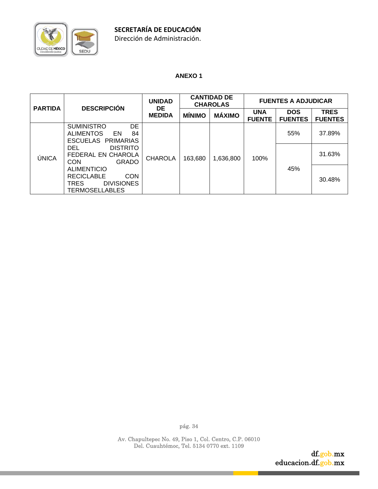

# **ANEXO 1**

| <b>PARTIDA</b> | <b>DESCRIPCIÓN</b>                                                                                                 | <b>UNIDAD</b><br>DE | <b>CANTIDAD DE</b><br><b>CHAROLAS</b> |               | <b>FUENTES A ADJUDICAR</b>  |                              |                               |
|----------------|--------------------------------------------------------------------------------------------------------------------|---------------------|---------------------------------------|---------------|-----------------------------|------------------------------|-------------------------------|
|                |                                                                                                                    | <b>MEDIDA</b>       | <b>MINIMO</b>                         | <b>MÁXIMO</b> | <b>UNA</b><br><b>FUENTE</b> | <b>DOS</b><br><b>FUENTES</b> | <b>TRES</b><br><b>FUENTES</b> |
|                | <b>DE</b><br><b>SUMINISTRO</b><br><b>ALIMENTOS</b><br>EN<br>84<br>ESCUELAS PRIMARIAS                               |                     |                                       |               | 55%<br>100%<br>45%          |                              | 37.89%                        |
| ÚNICA          | <b>DISTRITO</b><br>DEL.<br>FEDERAL EN CHAROLA<br><b>CON</b><br><b>GRADO</b>                                        | <b>CHAROLA</b>      | 163,680                               | 1,636,800     |                             |                              | 31.63%                        |
|                | <b>ALIMENTICIO</b><br><b>CON</b><br><b>RECICLABLE</b><br><b>TRES</b><br><b>DIVISIONES</b><br><b>TERMOSELLABLES</b> |                     |                                       |               |                             |                              | 30.48%                        |

pág. 34

Av. Chapultepec No. 49, Piso 1, Col. Centro, C.P. 06010 Del. Cuauhtémoc, Tel. 5134 0770 ext. 1109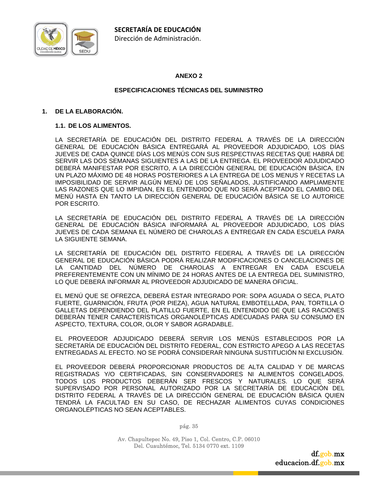

# **ANEXO 2**

# **ESPECIFICACIONES TÉCNICAS DEL SUMINISTRO**

#### **1. DE LA ELABORACIÓN.**

#### **1.1. DE LOS ALIMENTOS.**

LA SECRETARÍA DE EDUCACIÓN DEL DISTRITO FEDERAL A TRAVÉS DE LA DIRECCIÓN GENERAL DE EDUCACIÓN BÁSICA ENTREGARÁ AL PROVEEDOR ADJUDICADO, LOS DÍAS JUEVES DE CADA QUINCE DÍAS LOS MENÚS CON SUS RESPECTIVAS RECETAS QUE HABRÁ DE SERVIR LAS DOS SEMANAS SIGUIENTES A LAS DE LA ENTREGA. EL PROVEEDOR ADJUDICADO DEBERÁ MANIFESTAR POR ESCRITO, A LA DIRECCIÓN GENERAL DE EDUCACIÓN BÁSICA, EN UN PLAZO MÁXIMO DE 48 HORAS POSTERIORES A LA ENTREGA DE LOS MENUS Y RECETAS LA IMPOSIBILIDAD DE SERVIR ALGÚN MENÚ DE LOS SEÑALADOS, JUSTIFICANDO AMPLIAMENTE LAS RAZONES QUE LO IMPIDAN, EN EL ENTENDIDO QUE NO SERÁ ACEPTADO EL CAMBIO DEL MENÚ HASTA EN TANTO LA DIRECCIÓN GENERAL DE EDUCACIÓN BÁSICA SE LO AUTORICE POR ESCRITO.

LA SECRETARÍA DE EDUCACIÓN DEL DISTRITO FEDERAL A TRAVÉS DE LA DIRECCIÓN GENERAL DE EDUCACIÓN BÁSICA INFORMARÁ AL PROVEEDOR ADJUDICADO, LOS DÍAS JUEVES DE CADA SEMANA EL NÚMERO DE CHAROLAS A ENTREGAR EN CADA ESCUELA PARA LA SIGUIENTE SEMANA.

LA SECRETARÍA DE EDUCACIÓN DEL DISTRITO FEDERAL A TRAVÉS DE LA DIRECCIÓN GENERAL DE EDUCACIÓN BÁSICA PODRÁ REALIZAR MODIFICACIONES O CANCELACIONES DE LA CANTIDAD DEL NÚMERO DE CHAROLAS A ENTREGAR EN CADA ESCUELA PREFERENTEMENTE CON UN MÍNIMO DE 24 HORAS ANTES DE LA ENTREGA DEL SUMINISTRO, LO QUE DEBERÁ INFORMAR AL PROVEEDOR ADJUDICADO DE MANERA OFICIAL.

EL MENÚ QUE SE OFREZCA, DEBERÁ ESTAR INTEGRADO POR: SOPA AGUADA O SECA, PLATO FUERTE, GUARNICIÓN, FRUTA (POR PIEZA), AGUA NATURAL EMBOTELLADA, PAN, TORTILLA O GALLETAS DEPENDIENDO DEL PLATILLO FUERTE, EN EL ENTENDIDO DE QUE LAS RACIONES DEBERÁN TENER CARACTERÍSTICAS ORGANOLÉPTICAS ADECUADAS PARA SU CONSUMO EN ASPECTO, TEXTURA, COLOR, OLOR Y SABOR AGRADABLE.

EL PROVEEDOR ADJUDICADO DEBERÁ SERVIR LOS MENÚS ESTABLECIDOS POR LA SECRETARÍA DE EDUCACIÓN DEL DISTRITO FEDERAL, CON ESTRICTO APEGO A LAS RECETAS ENTREGADAS AL EFECTO. NO SE PODRÁ CONSIDERAR NINGUNA SUSTITUCIÓN NI EXCLUSIÓN.

EL PROVEEDOR DEBERÁ PROPORCIONAR PRODUCTOS DE ALTA CALIDAD Y DE MARCAS REGISTRADAS Y/O CERTIFICADAS, SIN CONSERVADORES NI ALIMENTOS CONGELADOS. TODOS LOS PRODUCTOS DEBERÁN SER FRESCOS Y NATURALES. LO QUE SERÁ SUPERVISADO POR PERSONAL AUTORIZADO POR LA SECRETARÍA DE EDUCACIÓN DEL DISTRITO FEDERAL A TRAVÉS DE LA DIRECCIÓN GENERAL DE EDUCACIÓN BÁSICA QUIEN TENDRÁ LA FACULTAD EN SU CASO, DE RECHAZAR ALIMENTOS CUYAS CONDICIONES ORGANOLÉPTICAS NO SEAN ACEPTABLES.

pág. 35

Av. Chapultepec No. 49, Piso 1, Col. Centro, C.P. 06010 Del. Cuauhtémoc, Tel. 5134 0770 ext. 1109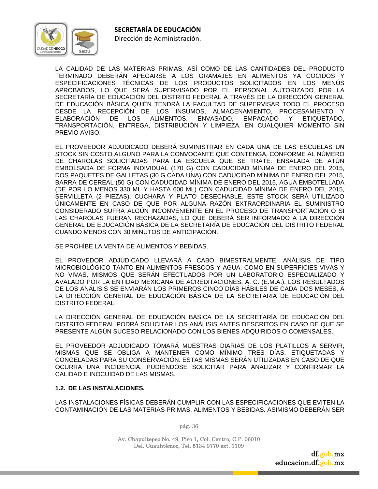

LA CALIDAD DE LAS MATERIAS PRIMAS, ASÍ COMO DE LAS CANTIDADES DEL PRODUCTO TERMINADO DEBERÁN APEGARSE A LOS GRAMAJES EN ALIMENTOS YA COCIDOS Y ESPECIFICACIONES TÉCNICAS DE LOS PRODUCTOS SOLICITADOS EN LOS MENÚS APROBADOS, LO QUE SERÁ SUPERVISADO POR EL PERSONAL AUTORIZADO POR LA SECRETARÍA DE EDUCACIÓN DEL DISTRITO FEDERAL A TRAVÉS DE LA DIRECCIÓN GENERAL DE EDUCACIÓN BÁSICA QUIÉN TENDRÁ LA FACULTAD DE SUPERVISAR TODO EL PROCESO DESDE LA RECEPCIÓN DE LOS INSUMOS, ALMACENAMIENTO, PROCESAMIENTO Y ELABORACIÓN DE LOS ALIMENTOS, ENVASADO, EMPACADO Y ETIQUETADO, TRANSPORTACIÓN, ENTREGA, DISTRIBUCIÓN Y LIMPIEZA, EN CUALQUIER MOMENTO SIN PREVIO AVISO.

EL PROVEEDOR ADJUDICADO DEBERÁ SUMINISTRAR EN CADA UNA DE LAS ESCUELAS UN STOCK SIN COSTO ALGUNO PARA LA CONVOCANTE QUE CONTENGA, CONFORME AL NÚMERO DE CHAROLAS SOLICITADAS PARA LA ESCUELA QUE SE TRATE: ENSALADA DE ATÚN EMBOLSADA DE FORMA INDIVIDUAL (170 G) CON CADUCIDAD MÍNIMA DE ENERO DEL 2015, DOS PAQUETES DE GALLETAS (30 G CADA UNA) CON CADUCIDAD MÍNIMA DE ENERO DEL 2015, BARRA DE CEREAL (50 G) CON CADUCIDAD MÍNIMA DE ENERO DEL 2015, AGUA EMBOTELLADA (DE POR LO MENOS 330 ML Y HASTA 600 ML) CON CADUCIDAD MÍNIMA DE ENERO DEL 2015, SERVILLETA (2 PIEZAS), CUCHARA Y PLATO DESECHABLE. ESTE STOCK SERÁ UTILIZADO ÚNICAMENTE EN CASO DE QUE POR ALGUNA RAZÓN EXTRAORDINARIA EL SUMINISTRO CONSIDERADO SUFRA ALGÚN INCONVENIENTE EN EL PROCESO DE TRANSPORTACIÓN O SI LAS CHAROLAS FUERAN RECHAZADAS, LO QUE DEBERÁ SER INFORMADO A LA DIRECCIÓN GENERAL DE EDUCACIÓN BÁSICA DE LA SECRETARÍA DE EDUCACIÓN DEL DISTRITO FEDERAL CUANDO MENOS CON 30 MINUTOS DE ANTICIPACIÓN.

SE PROHÍBE LA VENTA DE ALIMENTOS Y BEBIDAS.

EL PROVEDOR ADJUDICADO LLEVARÁ A CABO BIMESTRALMENTE, ANÁLISIS DE TIPO MICROBIOLÓGICO TANTO EN ALIMENTOS FRESCOS Y AGUA, COMO EN SUPERFICIES VIVAS Y NO VIVAS, MISMOS QUE SERÁN EFECTUADOS POR UN LABORATORIO ESPECIALIZADO Y AVALADO POR LA ENTIDAD MEXICANA DE ACREDITACIONES, A. C. (E.M.A.). LOS RESULTADOS DE LOS ANÁLISIS SE ENVIARÁN LOS PRIMEROS CINCO DÍAS HÁBILES DE CADA DOS MESES, A LA DIRECCIÓN GENERAL DE EDUCACIÓN BÁSICA DE LA SECRETARIA DE EDUCACIÓN DEL DISTRITO FEDERAL.

LA DIRECCIÓN GENERAL DE EDUCACIÓN BÁSICA DE LA SECRETARÍA DE EDUCACIÓN DEL DISTRITO FEDERAL PODRÁ SOLICITAR LOS ANÁLISIS ANTES DESCRITOS EN CASO DE QUE SE PRESENTE ALGÚN SUCESO RELACIONADO CON LOS BIENES ADQUIRIDOS O COMENSALES.

EL PROVEEDOR ADJUDICADO TOMARÁ MUESTRAS DIARIAS DE LOS PLATILLOS A SERVIR, MISMAS QUE SE OBLIGA A MANTENER COMO MÍNIMO TRES DÍAS, ETIQUETADAS Y CONGELADAS PARA SU CONSERVACIÓN. ESTAS MISMAS SERÁN UTILIZADAS EN CASO DE QUE OCURRA UNA INCIDENCIA, PUDIÉNDOSE SOLICITAR PARA ANALIZAR Y CONFIRMAR LA CALIDAD E INOCUIDAD DE LAS MISMAS.

### **1.2. DE LAS INSTALACIONES.**

LAS INSTALACIONES FÍSICAS DEBERÁN CUMPLIR CON LAS ESPECIFICACIONES QUE EVITEN LA CONTAMINACIÓN DE LAS MATERIAS PRIMAS, ALIMENTOS Y BEBIDAS. ASIMISMO DEBERÁN SER

pág. 36

Av. Chapultepec No. 49, Piso 1, Col. Centro, C.P. 06010 Del. Cuauhtémoc, Tel. 5134 0770 ext. 1109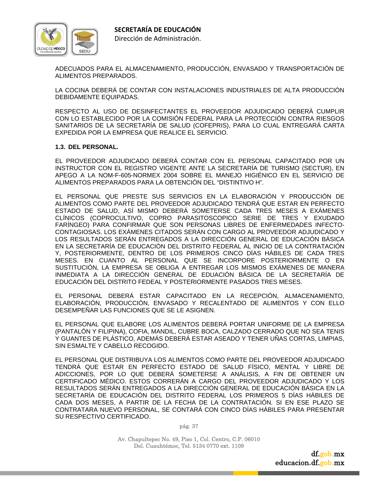

ADECUADOS PARA EL ALMACENAMIENTO, PRODUCCIÓN, ENVASADO Y TRANSPORTACIÓN DE ALIMENTOS PREPARADOS.

LA COCINA DEBERÁ DE CONTAR CON INSTALACIONES INDUSTRIALES DE ALTA PRODUCCIÓN DEBIDAMENTE EQUIPADAS.

RESPECTO AL USO DE DESINFECTANTES EL PROVEEDOR ADJUDICADO DEBERÁ CUMPLIR CON LO ESTABLECIDO POR LA COMISIÓN FEDERAL PARA LA PROTECCIÓN CONTRA RIESGOS SANITARIOS DE LA SECRETARÍA DE SALUD (COFEPRIS), PARA LO CUAL ENTREGARÁ CARTA EXPEDIDA POR LA EMPRESA QUE REALICE EL SERVICIO.

#### **1.3. DEL PERSONAL.**

EL PROVEEDOR ADJUDICADO DEBERÁ CONTAR CON EL PERSONAL CAPACITADO POR UN INSTRUCTOR CON EL REGISTRO VIGENTE ANTE LA SECRETARÍA DE TURISMO (SECTUR), EN APEGO A LA NOM-F-605-NORMEX 2004 SOBRE EL MANEJO HIGIÉNICO EN EL SERVICIO DE ALIMENTOS PREPARADOS PARA LA OBTENCIÓN DEL "DISTINTIVO H".

EL PERSONAL QUE PRESTE SUS SERVICIOS EN LA ELABORACIÓN Y PRODUCCIÓN DE ALIMENTOS COMO PARTE DEL PROVEEDOR ADJUDICADO TENDRÁ QUE ESTAR EN PERFECTO ESTADO DE SALUD, ASÍ MISMO DEBERÁ SOMETERSE CADA TRES MESES A EXÁMENES CLÍNICOS (COPROCULTIVO, COPRO PARASITOSCOPICO SERIE DE TRES Y EXUDADO FARÍNGEO) PARA CONFIRMAR QUE SON PERSONAS LIBRES DE ENFERMEDADES INFECTO-CONTAGIOSAS. LOS EXÁMENES CITADOS SERÁN CON CARGO AL PROVEEDOR ADJUDICADO Y LOS RESULTADOS SERÁN ENTREGADOS A LA DIRECCIÓN GENERAL DE EDUCACIÓN BÁSICA EN LA SECRETARÍA DE EDUCACIÓN DEL DISTRITO FEDERAL AL INICIO DE LA CONTRATACIÓN Y, POSTERIORMENTE, DENTRO DE LOS PRIMEROS CINCO DÍAS HÁBILES DE CADA TRES MESES. EN CUANTO AL PERSONAL QUE SE INCORPORE POSTERIORMENTE O EN SUSTITUCIÓN, LA EMPRESA SE OBLIGA A ENTREGAR LOS MISMOS EXÁMENES DE MANERA INMEDIATA A LA DIRECCIÓN GENERAL DE EDUACIÓN BÁSICA DE LA SECRETARÍA DE EDUCACIÓN DEL DISTRITO FEDEAL Y POSTERIORMENTE PASADOS TRES MESES.

EL PERSONAL DEBERÁ ESTAR CAPACITADO EN LA RECEPCIÓN, ALMACENAMIENTO, ELABORACIÓN, PRODUCCIÓN, ENVASADO Y RECALENTADO DE ALIMENTOS Y CON ELLO DESEMPEÑAR LAS FUNCIONES QUE SE LE ASIGNEN.

EL PERSONAL QUE ELABORE LOS ALIMENTOS DEBERÁ PORTAR UNIFORME DE LA EMPRESA (PANTALÓN Y FILIPINA), COFIA, MANDIL, CUBRE BOCA, CALZADO CERRADO QUE NO SEA TENIS Y GUANTES DE PLÁSTICO, ADEMÁS DEBERÁ ESTAR ASEADO Y TENER UÑAS CORTAS, LIMPIAS, SIN ESMALTE Y CABELLO RECOGIDO.

EL PERSONAL QUE DISTRIBUYA LOS ALIMENTOS COMO PARTE DEL PROVEEDOR ADJUDICADO TENDRÁ QUE ESTAR EN PERFECTO ESTADO DE SALUD FÍSICO, MENTAL Y LIBRE DE ADICCIONES, POR LO QUE DEBERÁ SOMETERSE A ANÁLISIS, A FIN DE OBTENER UN CERTIFICADO MÉDICO. ESTOS CORRERÁN A CARGO DEL PROVEEDOR ADJUDICADO Y LOS RESULTADOS SERÁN ENTREGADOS A LA DIRECCIÓN GENERAL DE EDUCACIÓN BÁSICA EN LA SECRETARÍA DE EDUCACIÓN DEL DISTRITO FEDERAL LOS PRIMEROS 5 DÍAS HÁBILES DE CADA DOS MESES, A PARTIR DE LA FECHA DE LA CONTRATACIÓN. SI EN ESE PLAZO SE CONTRATARA NUEVO PERSONAL, SE CONTARÁ CON CINCO DÍAS HÁBILES PARA PRESENTAR SU RESPECTIVO CERTIFICADO.

pág. 37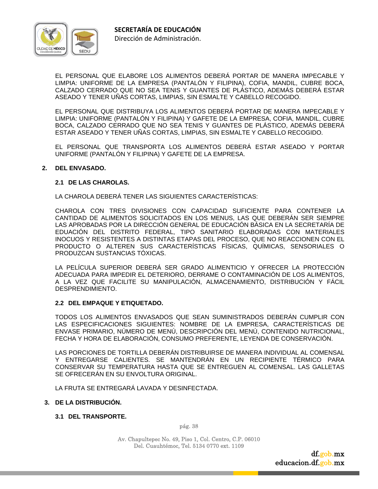

EL PERSONAL QUE ELABORE LOS ALIMENTOS DEBERÁ PORTAR DE MANERA IMPECABLE Y LIMPIA: UNIFORME DE LA EMPRESA (PANTALÓN Y FILIPINA), COFIA, MANDIL, CUBRE BOCA, CALZADO CERRADO QUE NO SEA TENIS Y GUANTES DE PLÁSTICO, ADEMÁS DEBERÁ ESTAR ASEADO Y TENER UÑAS CORTAS, LIMPIAS, SIN ESMALTE Y CABELLO RECOGIDO.

EL PERSONAL QUE DISTRIBUYA LOS ALIMENTOS DEBERÁ PORTAR DE MANERA IMPECABLE Y LIMPIA: UNIFORME (PANTALÓN Y FILIPINA) Y GAFETE DE LA EMPRESA, COFIA, MANDIL, CUBRE BOCA, CALZADO CERRADO QUE NO SEA TENIS Y GUANTES DE PLÁSTICO, ADEMÁS DEBERÁ ESTAR ASEADO Y TENER UÑAS CORTAS, LIMPIAS, SIN ESMALTE Y CABELLO RECOGIDO.

EL PERSONAL QUE TRANSPORTA LOS ALIMENTOS DEBERÁ ESTAR ASEADO Y PORTAR UNIFORME (PANTALÓN Y FILIPINA) Y GAFETE DE LA EMPRESA.

#### **2. DEL ENVASADO.**

#### **2.1 DE LAS CHAROLAS.**

LA CHAROLA DEBERÁ TENER LAS SIGUIENTES CARACTERÍSTICAS:

CHAROLA CON TRES DIVISIONES CON CAPACIDAD SUFICIENTE PARA CONTENER LA CANTIDAD DE ALIMENTOS SOLICITADOS EN LOS MENUS, LAS QUE DEBERÁN SER SIEMPRE LAS APROBADAS POR LA DIRECCIÓN GENERAL DE EDUCACIÓN BÁSICA EN LA SECRETARÍA DE EDUACIÓN DEL DISTRITO FEDERAL, TIPO SANITARIO ELABORADAS CON MATERIALES INOCUOS Y RESISTENTES A DISTINTAS ETAPAS DEL PROCESO, QUE NO REACCIONEN CON EL PRODUCTO O ALTEREN SUS CARACTERÍSTICAS FÍSICAS, QUÍMICAS, SENSORIALES O PRODUZCAN SUSTANCIAS TÓXICAS.

LA PELÍCULA SUPERIOR DEBERÁ SER GRADO ALIMENTICIO Y OFRECER LA PROTECCIÓN ADECUADA PARA IMPEDIR EL DETERIORO, DERRAME O CONTAMINACIÓN DE LOS ALIMENTOS, A LA VEZ QUE FACILITE SU MANIPULACIÓN, ALMACENAMIENTO, DISTRIBUCIÓN Y FÁCIL DESPRENDIMIENTO.

#### **2.2 DEL EMPAQUE Y ETIQUETADO.**

TODOS LOS ALIMENTOS ENVASADOS QUE SEAN SUMINISTRADOS DEBERÁN CUMPLIR CON LAS ESPECIFICACIONES SIGUIENTES: NOMBRE DE LA EMPRESA, CARACTERÍSTICAS DE ENVASE PRIMARIO, NÚMERO DE MENÚ, DESCRIPCIÓN DEL MENÚ, CONTENIDO NUTRICIONAL, FECHA Y HORA DE ELABORACIÓN, CONSUMO PREFERENTE, LEYENDA DE CONSERVACIÓN.

LAS PORCIONES DE TORTILLA DEBERÁN DISTRIBUIRSE DE MANERA INDIVIDUAL AL COMENSAL Y ENTREGARSE CALIENTES. SE MANTENDRÁN EN UN RECIPIENTE TÉRMICO PARA CONSERVAR SU TEMPERATURA HASTA QUE SE ENTREGUEN AL COMENSAL. LAS GALLETAS SE OFRECERÁN EN SU ENVOLTURA ORIGINAL.

LA FRUTA SE ENTREGARÁ LAVADA Y DESINFECTADA.

#### **3. DE LA DISTRIBUCIÓN.**

**3.1 DEL TRANSPORTE.** 

pág. 38

Av. Chapultepec No. 49, Piso 1, Col. Centro, C.P. 06010 Del. Cuauhtémoc, Tel. 5134 0770 ext. 1109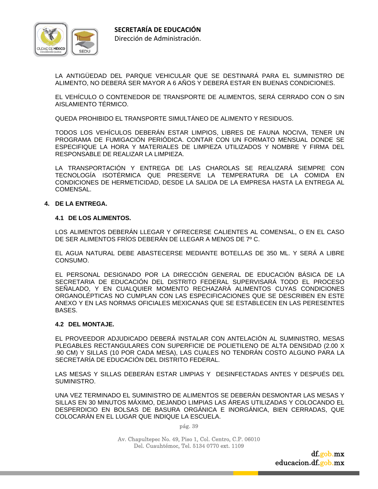

LA ANTIGÜEDAD DEL PARQUE VEHICULAR QUE SE DESTINARÁ PARA EL SUMINISTRO DE ALIMENTO, NO DEBERÁ SER MAYOR A 6 AÑOS Y DEBERÁ ESTAR EN BUENAS CONDICIONES.

EL VEHÍCULO O CONTENEDOR DE TRANSPORTE DE ALIMENTOS, SERÁ CERRADO CON O SIN AISLAMIENTO TÉRMICO.

QUEDA PROHIBIDO EL TRANSPORTE SIMULTÁNEO DE ALIMENTO Y RESIDUOS.

TODOS LOS VEHÍCULOS DEBERÁN ESTAR LIMPIOS, LIBRES DE FAUNA NOCIVA, TENER UN PROGRAMA DE FUMIGACIÓN PERIÓDICA. CONTAR CON UN FORMATO MENSUAL DONDE SE ESPECIFIQUE LA HORA Y MATERIALES DE LIMPIEZA UTILIZADOS Y NOMBRE Y FIRMA DEL RESPONSABLE DE REALIZAR LA LIMPIEZA.

LA TRANSPORTACIÓN Y ENTREGA DE LAS CHAROLAS SE REALIZARÁ SIEMPRE CON TECNOLOGÍA ISOTÉRMICA QUE PRESERVE LA TEMPERATURA DE LA COMIDA EN CONDICIONES DE HERMETICIDAD, DESDE LA SALIDA DE LA EMPRESA HASTA LA ENTREGA AL COMENSAL.

#### **4. DE LA ENTREGA.**

#### **4.1 DE LOS ALIMENTOS.**

LOS ALIMENTOS DEBERÁN LLEGAR Y OFRECERSE CALIENTES AL COMENSAL, O EN EL CASO DE SER ALIMENTOS FRÍOS DEBERÁN DE LLEGAR A MENOS DE 7º C.

EL AGUA NATURAL DEBE ABASTECERSE MEDIANTE BOTELLAS DE 350 ML. Y SERÁ A LIBRE CONSUMO.

EL PERSONAL DESIGNADO POR LA DIRECCIÓN GENERAL DE EDUCACIÓN BÁSICA DE LA SECRETARIA DE EDUCACIÓN DEL DISTRITO FEDERAL SUPERVISARÁ TODO EL PROCESO SEÑALADO, Y EN CUALQUIER MOMENTO RECHAZARÁ ALIMENTOS CUYAS CONDICIONES ORGANOLÉPTICAS NO CUMPLAN CON LAS ESPECIFICACIONES QUE SE DESCRIBEN EN ESTE ANEXO Y EN LAS NORMAS OFICIALES MEXICANAS QUE SE ESTABLECEN EN LAS PERESENTES BASES.

#### **4.2 DEL MONTAJE.**

EL PROVEEDOR ADJUDICADO DEBERÁ INSTALAR CON ANTELACIÓN AL SUMINISTRO, MESAS PLEGABLES RECTANGULARES CON SUPERFICIE DE POLIETILENO DE ALTA DENSIDAD (2.00 X .90 CM) Y SILLAS (10 POR CADA MESA), LAS CUALES NO TENDRÁN COSTO ALGUNO PARA LA SECRETARÍA DE EDUCACIÓN DEL DISTRITO FEDERAL.

LAS MESAS Y SILLAS DEBERÁN ESTAR LIMPIAS Y DESINFECTADAS ANTES Y DESPUÉS DEL SUMINISTRO.

UNA VEZ TERMINADO EL SUMINISTRO DE ALIMENTOS SE DEBERÁN DESMONTAR LAS MESAS Y SILLAS EN 30 MINUTOS MÁXIMO, DEJANDO LIMPIAS LAS ÁREAS UTILIZADAS Y COLOCANDO EL DESPERDICIO EN BOLSAS DE BASURA ORGÁNICA E INORGÁNICA, BIEN CERRADAS, QUE COLOCARÁN EN EL LUGAR QUE INDIQUE LA ESCUELA.

pág. 39

Av. Chapultepec No. 49, Piso 1, Col. Centro, C.P. 06010 Del. Cuauhtémoc, Tel. 5134 0770 ext. 1109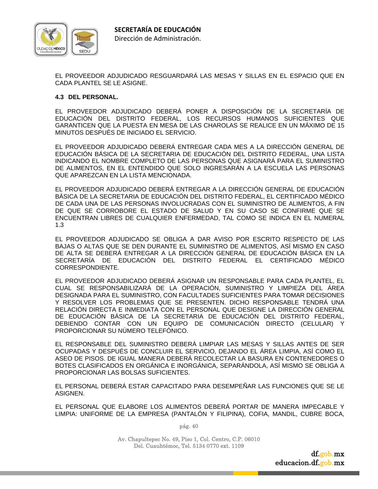

EL PROVEEDOR ADJUDICADO RESGUARDARÁ LAS MESAS Y SILLAS EN EL ESPACIO QUE EN CADA PLANTEL SE LE ASIGNE.

#### **4.3 DEL PERSONAL.**

EL PROVEEDOR ADJUDICADO DEBERÁ PONER A DISPOSICIÓN DE LA SECRETARÍA DE EDUCACIÓN DEL DISTRITO FEDERAL, LOS RECURSOS HUMANOS SUFICIENTES QUE GARANTICEN QUE LA PUESTA EN MESA DE LAS CHAROLAS SE REALICE EN UN MÁXIMO DE 15 MINUTOS DESPUÉS DE INICIADO EL SERVICIO.

EL PROVEEDOR ADJUDICADO DEBERÁ ENTREGAR CADA MES A LA DIRECCIÓN GENERAL DE EDUCACIÓN BÁSICA DE LA SECRETARIA DE EDUCACIÓN DEL DISTRITO FEDERAL, UNA LISTA INDICANDO EL NOMBRE COMPLETO DE LAS PERSONAS QUE ASIGNARÁ PARA EL SUMINISTRO DE ALIMENTOS, EN EL ENTENDIDO QUE SOLO INGRESARÁN A LA ESCUELA LAS PERSONAS QUE APAREZCAN EN LA LISTA MENCIONADA.

EL PROVEEDOR ADJUDICADO DEBERÁ ENTREGAR A LA DIRECCIÓN GENERAL DE EDUCACIÓN BÁSICA DE LA SECRETARIA DE EDUCACIÓN DEL DISTRITO FEDERAL, EL CERTIFICADO MÉDICO DE CADA UNA DE LAS PERSONAS INVOLUCRADAS CON EL SUMINISTRO DE ALIMENTOS, A FIN DE QUE SE CORROBORE EL ESTADO DE SALUD Y EN SU CASO SE CONFIRME QUE SE ENCUENTRAN LIBRES DE CUALQUIER ENFERMEDAD, TAL COMO SE INDICA EN EL NUMERAL 1.3

EL PROVEEDOR ADJUDICADO SE OBLIGA A DAR AVISO POR ESCRITO RESPECTO DE LAS BAJAS O ALTAS QUE SE DEN DURANTE EL SUMINISTRO DE ALIMENTOS, ASÍ MISMO EN CASO DE ALTA SE DEBERÁ ENTREGAR A LA DIRECCIÓN GENERAL DE EDUCACIÓN BÁSICA EN LA SECRETARÍA DE EDUCACIÓN DEL DISTRITO FEDERAL EL CERTIFICADO MÉDICO CORRESPONDIENTE.

EL PROVEEDOR ADJUDICADO DEBERÁ ASIGNAR UN RESPONSABLE PARA CADA PLANTEL, EL CUAL SE RESPONSABILIZARÁ DE LA OPERACIÓN, SUMINISTRO Y LIMPIEZA DEL ÁREA DESIGNADA PARA EL SUMINISTRO, CON FACULTADES SUFICIENTES PARA TOMAR DECISIONES Y RESOLVER LOS PROBLEMAS QUE SE PRESENTEN. DICHO RESPONSABLE TENDRÁ UNA RELACIÓN DIRECTA E INMEDIATA CON EL PERSONAL QUE DESIGNE LA DIRECCIÓN GENERAL DE EDUCACIÓN BÁSICA DE LA SECRETARIA DE EDUCACIÓN DEL DISTRITO FEDERAL, DEBIENDO CONTAR CON UN EQUIPO DE COMUNICACIÓN DIRECTO (CELULAR) Y PROPORCIONAR SU NÚMERO TELEFÓNICO.

EL RESPONSABLE DEL SUMINISTRO DEBERÁ LIMPIAR LAS MESAS Y SILLAS ANTES DE SER OCUPADAS Y DESPUÉS DE CONCLUIR EL SERVICIO, DEJANDO EL ÁREA LIMPIA, ASÍ COMO EL ASEO DE PISOS. DE IGUAL MANERA DEBERÁ RECOLECTAR LA BASURA EN CONTENEDORES O BOTES CLASIFICADOS EN ORGÁNICA E INORGÁNICA, SEPARÁNDOLA, ASÍ MISMO SE OBLIGA A PROPORCIONAR LAS BOLSAS SUFICIENTES.

EL PERSONAL DEBERÁ ESTAR CAPACITADO PARA DESEMPEÑAR LAS FUNCIONES QUE SE LE ASIGNEN.

EL PERSONAL QUE ELABORE LOS ALIMENTOS DEBERÁ PORTAR DE MANERA IMPECABLE Y LIMPIA: UNIFORME DE LA EMPRESA (PANTALÓN Y FILIPINA), COFIA, MANDIL, CUBRE BOCA,

pág. 40

Av. Chapultepec No. 49, Piso 1, Col. Centro, C.P. 06010 Del. Cuauhtémoc, Tel. 5134 0770 ext. 1109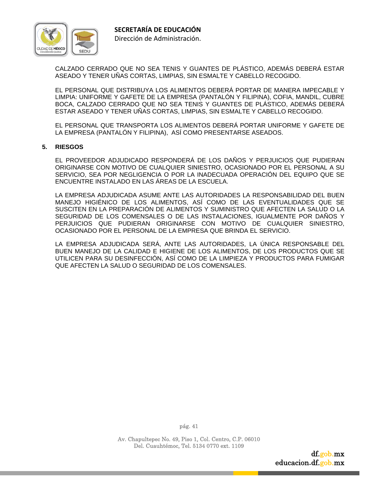

CALZADO CERRADO QUE NO SEA TENIS Y GUANTES DE PLÁSTICO, ADEMÁS DEBERÁ ESTAR ASEADO Y TENER UÑAS CORTAS, LIMPIAS, SIN ESMALTE Y CABELLO RECOGIDO.

EL PERSONAL QUE DISTRIBUYA LOS ALIMENTOS DEBERÁ PORTAR DE MANERA IMPECABLE Y LIMPIA: UNIFORME Y GAFETE DE LA EMPRESA (PANTALÓN Y FILIPINA), COFIA, MANDIL, CUBRE BOCA, CALZADO CERRADO QUE NO SEA TENIS Y GUANTES DE PLÁSTICO, ADEMÁS DEBERÁ ESTAR ASEADO Y TENER UÑAS CORTAS, LIMPIAS, SIN ESMALTE Y CABELLO RECOGIDO.

EL PERSONAL QUE TRANSPORTA LOS ALIMENTOS DEBERÁ PORTAR UNIFORME Y GAFETE DE LA EMPRESA (PANTALÓN Y FILIPINA), ASÍ COMO PRESENTARSE ASEADOS.

#### **5. RIESGOS**

EL PROVEEDOR ADJUDICADO RESPONDERÁ DE LOS DAÑOS Y PERJUICIOS QUE PUDIERAN ORIGINARSE CON MOTIVO DE CUALQUIER SINIESTRO, OCASIONADO POR EL PERSONAL A SU SERVICIO, SEA POR NEGLIGENCIA O POR LA INADECUADA OPERACIÓN DEL EQUIPO QUE SE ENCUENTRE INSTALADO EN LAS ÁREAS DE LA ESCUELA.

LA EMPRESA ADJUDICADA ASUME ANTE LAS AUTORIDADES LA RESPONSABILIDAD DEL BUEN MANEJO HIGIÉNICO DE LOS ALIMENTOS, ASÍ COMO DE LAS EVENTUALIDADES QUE SE SUSCITEN EN LA PREPARACIÓN DE ALIMENTOS Y SUMINISTRO QUE AFECTEN LA SALUD O LA SEGURIDAD DE LOS COMENSALES O DE LAS INSTALACIONES, IGUALMENTE POR DAÑOS Y PERJUICIOS QUE PUDIERAN ORIGINARSE CON MOTIVO DE CUALQUIER SINIESTRO, OCASIONADO POR EL PERSONAL DE LA EMPRESA QUE BRINDA EL SERVICIO.

LA EMPRESA ADJUDICADA SERÁ, ANTE LAS AUTORIDADES, LA ÚNICA RESPONSABLE DEL BUEN MANEJO DE LA CALIDAD E HIGIENE DE LOS ALIMENTOS, DE LOS PRODUCTOS QUE SE UTILICEN PARA SU DESINFECCIÓN, ASÍ COMO DE LA LIMPIEZA Y PRODUCTOS PARA FUMIGAR QUE AFECTEN LA SALUD O SEGURIDAD DE LOS COMENSALES.

pág. 41

Av. Chapultepec No. 49, Piso 1, Col. Centro, C.P. 06010 Del. Cuauhtémoc, Tel. 5134 0770 ext. 1109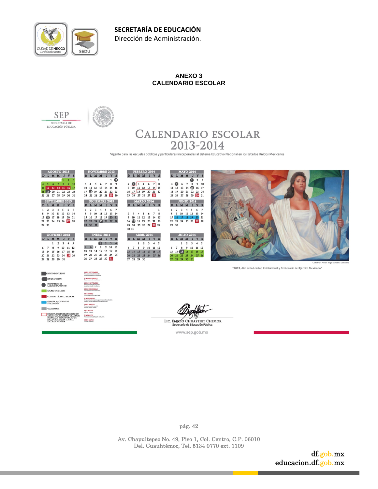

# **ANEXO 3 CALENDARIO ESCOLAR**





# **CALENDARIO ESCOLAR** 2013-2014

Vigente para las escuelas públicas y particulares incorporadas al Sistema Educativo Nacional en los Estados Unidos Mexicanos

| <b>AGOSTO 2013</b><br>D L M M J V S<br>2 <sup>3</sup><br>6 7 8 9 10<br>11 12 13 14 15 16 17<br>18 19 20 21 22 23 24<br>25 26 27 28 29 30 31<br><b>SEPTIEMBRE 2013</b><br>D L M M J V S<br>$1\quad 2$<br>3 4 5 6 7<br>10 11 12 13 14<br>8 9 | <b>NOVIEMBRE 2013</b><br>D L M M J V S<br>$1$ $\odot$<br>3 4 5 6 7 8 9<br>10 11 12 13 14 15 16<br>17 18 19 20 21 22 23<br>24 25 26 27 28 29 30<br>DICIEMBRE 2013<br>D L M M J V S<br>$1\ 2\ 3\ 4\ 5\ 6\ 7$<br>8 9 10 11 12 13 14 | <b>FEBRERO 2014</b><br>D L M M J V S<br>$2 \bigcirc 4 \bigcirc 6 \bigcirc 8$<br>9 10 11 12 13 14 15<br>16 17 18 19 20 21 22<br>23 24 25 26 27 28<br><b>MARZO 2014</b><br>D L M M J V S<br>$\mathbf{1}$<br>2 3 4 5 6 7 8 | <b>MAYO 2014</b><br>D L M M J V S<br>O<br>$2 \quad 3$<br>4 6 7 8 9 10<br>11 12 13 14 15 16 17<br>18 19 20 21 22 23 24<br>25 26 27 28 29 30 31<br><b>JUNIO 2014</b><br>D L M M J V S<br>$1\ 2\ 3\ 4\ 5\ 6\ 7$<br>8 9 10 11 12 13 14 |                                                                            |
|--------------------------------------------------------------------------------------------------------------------------------------------------------------------------------------------------------------------------------------------|----------------------------------------------------------------------------------------------------------------------------------------------------------------------------------------------------------------------------------|-------------------------------------------------------------------------------------------------------------------------------------------------------------------------------------------------------------------------|------------------------------------------------------------------------------------------------------------------------------------------------------------------------------------------------------------------------------------|----------------------------------------------------------------------------|
| 15 (6 17 18 19 20 21<br>22 23 24 25 26 27 28                                                                                                                                                                                               | 15 16 17 18 19 20 21<br>22 23 24 25 26 27 28                                                                                                                                                                                     | 9 10 11 12 13 14 15<br>16 18 19 20 21 22                                                                                                                                                                                | 15 16 17 18 19 20 21<br>22 23 24 25 26 27 28                                                                                                                                                                                       |                                                                            |
| 29 30                                                                                                                                                                                                                                      | 29 30 31                                                                                                                                                                                                                         | 23 24 25 26 27 28 29<br>30 31                                                                                                                                                                                           | 29 30                                                                                                                                                                                                                              |                                                                            |
| <b>OCTUBRE 2013</b><br>D L M M J V S                                                                                                                                                                                                       | <b>ENERO 2014</b><br>D L M M J V S                                                                                                                                                                                               | <b>ABRIL 2014</b><br>D L M M J V S                                                                                                                                                                                      | <b>JULIO 2014</b><br>D L M M J V S                                                                                                                                                                                                 |                                                                            |
| $1 \quad 2 \quad 3 \quad 4 \quad 5$                                                                                                                                                                                                        | 1 2 3 4                                                                                                                                                                                                                          | $1 \quad 2 \quad 3 \quad 4 \quad 5$                                                                                                                                                                                     | $1 \quad 2 \quad 3 \quad 4 \quad 5$                                                                                                                                                                                                |                                                                            |
| 6 7 8 9 10 11 12                                                                                                                                                                                                                           | 5 6 7 8 9 10 11                                                                                                                                                                                                                  | 6 7 8 9 10 11 12                                                                                                                                                                                                        | 6 7 8 9 10 11 12                                                                                                                                                                                                                   |                                                                            |
| 13 14 15 16 17 18 19<br>20 21 22 23 24 25 26                                                                                                                                                                                               | 12    13    14    15    16    17    18<br>19 20 21 22 23 24 25                                                                                                                                                                   | 13 14 15 16 17 18 19<br>20 21 22 23 24 25 26                                                                                                                                                                            | 13 14 15 16 17 18 19<br>20 21 22 23 24 25 26                                                                                                                                                                                       |                                                                            |
| 27 28 29 30 31                                                                                                                                                                                                                             | 26 27 28 29 30 31                                                                                                                                                                                                                | 27 28 29 30                                                                                                                                                                                                             | 27  28  29  30  31                                                                                                                                                                                                                 | "La Patria", Pintor: Jorge González Camarena                               |
|                                                                                                                                                                                                                                            |                                                                                                                                                                                                                                  |                                                                                                                                                                                                                         |                                                                                                                                                                                                                                    | "2013, Año de la Lealtad Institucional y Centenario del Ejército Mexicano" |
| <b>INICIO DE CURSOS</b>                                                                                                                                                                                                                    | <b>16 DE SEPTIEMBRE</b><br>Aniversario de la iniciación<br>de la Independencia Nacional                                                                                                                                          |                                                                                                                                                                                                                         |                                                                                                                                                                                                                                    |                                                                            |
| IN DE CURSOS                                                                                                                                                                                                                               | <b>2 DE NOVIEMBRE</b><br>Commemoración tradicions                                                                                                                                                                                |                                                                                                                                                                                                                         |                                                                                                                                                                                                                                    |                                                                            |
| SUSPENSIÓN DE<br>LABORES DOCENTES                                                                                                                                                                                                          | <b>20 DE NOVIEMBRE</b><br>Aniversario de la iniciación<br>de la Revolución Mexicana                                                                                                                                              |                                                                                                                                                                                                                         |                                                                                                                                                                                                                                    |                                                                            |
| <b>RECESO DE CLASES</b>                                                                                                                                                                                                                    | <b>25 DE DICIEMBRE</b><br>Commemoración tradicional                                                                                                                                                                              |                                                                                                                                                                                                                         |                                                                                                                                                                                                                                    |                                                                            |
| CONSEJO TÉCNICO ESCOLAR                                                                                                                                                                                                                    | <b>1 DE INFRO</b><br>Commemoración tradicional                                                                                                                                                                                   |                                                                                                                                                                                                                         |                                                                                                                                                                                                                                    |                                                                            |
| SEMANA NACIONAL DE EVALUACIÓN                                                                                                                                                                                                              | <b>S DE FEBRERO</b><br>Aniversario de la promulgación de la Constitución<br>Política de los Estados Unidos Mescursos                                                                                                             |                                                                                                                                                                                                                         |                                                                                                                                                                                                                                    |                                                                            |
| <b>VACACIONES</b>                                                                                                                                                                                                                          | 21 DE MARZO<br>Aniversario del natalido<br>de Don Benite Juánez                                                                                                                                                                  |                                                                                                                                                                                                                         |                                                                                                                                                                                                                                    |                                                                            |
|                                                                                                                                                                                                                                            | <b>1 DE MATO</b><br>Dia del Trabajo                                                                                                                                                                                              |                                                                                                                                                                                                                         |                                                                                                                                                                                                                                    |                                                                            |
| SOLICITUDES DE PREINSCRIPCIÓN<br>A PREESCOLAR, PRIMER GRADO DE<br>PRIMARIA Y PRIMER GRADO DE                                                                                                                                               | <b>S DE MATO</b><br>Aniversario de la Batalla de Puebla                                                                                                                                                                          |                                                                                                                                                                                                                         |                                                                                                                                                                                                                                    |                                                                            |
| SECUNDARIA PARA EL CICLO<br><b>ESCOLAR 2013-2014</b>                                                                                                                                                                                       | <b>15 DE MAYO</b><br>Dla del Maestro                                                                                                                                                                                             |                                                                                                                                                                                                                         | LIC. EMILIO CHUAYFFET CHEMOR                                                                                                                                                                                                       |                                                                            |

LIC. EMMO CHUAYFFET CHEMOR<br>Secretario de Educación Pública

www.sep.gob.mx

pág. 42

Av. Chapultepec No. 49, Piso 1, Col. Centro, C.P. 06010 Del. Cuauhtémoc, Tel. 5134 0770 ext. 1109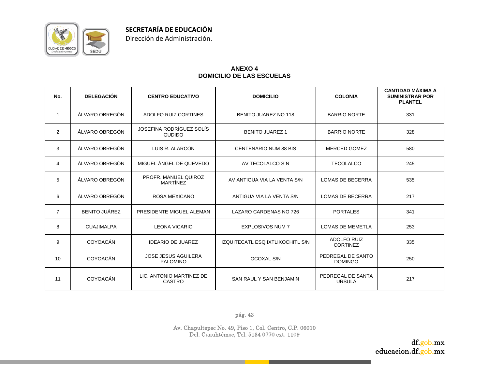

#### **ANEXO 4 DOMICILIO DE LAS ESCUELAS**

| No.            | <b>DELEGACIÓN</b>    | <b>CENTRO EDUCATIVO</b>                       | <b>DOMICILIO</b>                 | <b>COLONIA</b>                        | <b>CANTIDAD MÁXIMA A</b><br><b>SUMINISTRAR POR</b><br><b>PLANTEL</b> |
|----------------|----------------------|-----------------------------------------------|----------------------------------|---------------------------------------|----------------------------------------------------------------------|
| -1             | ÁLVARO OBREGÓN       | ADOLFO RUIZ CORTINES                          | <b>BENITO JUAREZ NO 118</b>      | <b>BARRIO NORTE</b>                   | 331                                                                  |
| $\overline{2}$ | ÁLVARO OBREGÓN       | JOSEFINA RODRÍGUEZ SOLÍS<br><b>GUDIĐO</b>     | <b>BENITO JUAREZ 1</b>           | <b>BARRIO NORTE</b>                   | 328                                                                  |
| 3              | ÁLVARO OBREGÓN       | LUIS R. ALARCÓN                               | <b>CENTENARIO NUM 88 BIS</b>     | <b>MERCED GOMEZ</b>                   | 580                                                                  |
| 4              | ÁLVARO OBREGÓN       | MIGUEL ÁNGEL DE QUEVEDO                       | AV TECOLALCO S N                 | <b>TECOLALCO</b>                      | 245                                                                  |
| 5              | ÁLVARO OBREGÓN       | PROFR. MANUEL QUIROZ<br>MARTÍNEZ              | AV ANTIGUA VIA LA VENTA S/N      | <b>LOMAS DE BECERRA</b>               | 535                                                                  |
| 6              | ÁLVARO OBREGÓN       | <b>ROSA MEXICANO</b>                          | ANTIGUA VIA LA VENTA S/N         | <b>LOMAS DE BECERRA</b>               | 217                                                                  |
| $\overline{7}$ | <b>BENITO JUÁREZ</b> | PRESIDENTE MIGUEL ALEMAN                      | LAZARO CARDENAS NO 726           | <b>PORTALES</b>                       | 341                                                                  |
| 8              | <b>CUAJIMALPA</b>    | <b>LEONA VICARIO</b>                          | <b>EXPLOSIVOS NUM 7</b>          | <b>LOMAS DE MEMETLA</b>               | 253                                                                  |
| 9              | <b>COYOACÁN</b>      | <b>IDEARIO DE JUAREZ</b>                      | IZQUITECATL ESQ IXTLIXOCHITL S/N | <b>ADOLFO RUIZ</b><br><b>CORTINEZ</b> | 335                                                                  |
| 10             | <b>COYOACÁN</b>      | <b>JOSE JESUS AGUILERA</b><br><b>PALOMINO</b> | <b>OCOXAL S/N</b>                | PEDREGAL DE SANTO<br><b>DOMINGO</b>   | 250                                                                  |
| 11             | <b>COYOACÁN</b>      | LIC. ANTONIO MARTINEZ DE<br><b>CASTRO</b>     | SAN RAUL Y SAN BENJAMIN          | PEDREGAL DE SANTA<br><b>URSULA</b>    | 217                                                                  |

pág. 43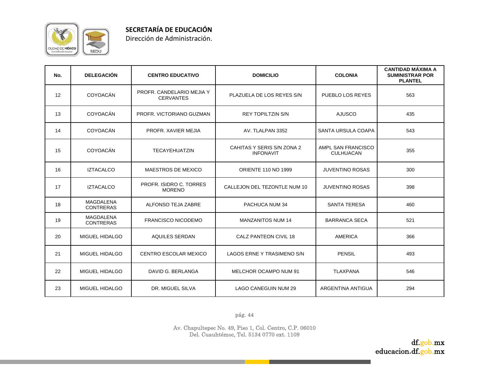

Dirección de Administración.

| No. | <b>DELEGACIÓN</b>                    | <b>CENTRO EDUCATIVO</b>                       | <b>DOMICILIO</b>                               | <b>COLONIA</b>                         | <b>CANTIDAD MÁXIMA A</b><br><b>SUMINISTRAR POR</b><br><b>PLANTEL</b> |
|-----|--------------------------------------|-----------------------------------------------|------------------------------------------------|----------------------------------------|----------------------------------------------------------------------|
| 12  | <b>COYOACÁN</b>                      | PROFR. CANDELARIO MEJIA Y<br><b>CERVANTES</b> | PLAZUELA DE LOS REYES S/N                      | PUEBLO LOS REYES                       | 563                                                                  |
| 13  | <b>COYOACÁN</b>                      | PROFR. VICTORIANO GUZMAN                      | <b>REY TOPILTZIN S/N</b>                       | <b>AJUSCO</b>                          | 435                                                                  |
| 14  | <b>COYOACÁN</b>                      | PROFR, XAVIER MEJIA                           | AV. TLALPAN 3352                               | <b>SANTA URSULA COAPA</b>              | 543                                                                  |
| 15  | <b>COYOACÁN</b>                      | <b>TECAYEHUATZIN</b>                          | CAHITAS Y SERIS S/N ZONA 2<br><b>INFONAVIT</b> | AMPL SAN FRANCISCO<br><b>CULHUACAN</b> | 355                                                                  |
| 16  | <b>IZTACALCO</b>                     | <b>MAESTROS DE MEXICO</b>                     | <b>ORIENTE 110 NO 1999</b>                     | <b>JUVENTINO ROSAS</b>                 | 300                                                                  |
| 17  | <b>IZTACALCO</b>                     | PROFR. ISIDRO C. TORRES<br><b>MORENO</b>      | CALLEJON DEL TEZONTLE NUM 10                   | JUVENTINO ROSAS                        | 398                                                                  |
| 18  | <b>MAGDALENA</b><br><b>CONTRERAS</b> | ALFONSO TEJA ZABRE                            | PACHUCA NUM 34                                 | <b>SANTA TERESA</b>                    | 460                                                                  |
| 19  | <b>MAGDALENA</b><br><b>CONTRERAS</b> | <b>FRANCISCO NICODEMO</b>                     | <b>MANZANITOS NUM 14</b>                       | <b>BARRANCA SECA</b>                   | 521                                                                  |
| 20  | <b>MIGUEL HIDALGO</b>                | <b>AQUILES SERDAN</b>                         | CALZ PANTEON CIVIL 18                          | <b>AMERICA</b>                         | 366                                                                  |
| 21  | <b>MIGUEL HIDALGO</b>                | <b>CENTRO ESCOLAR MEXICO</b>                  | LAGOS ERNE Y TRASIMENO S/N                     | <b>PENSIL</b>                          | 493                                                                  |
| 22  | MIGUEL HIDALGO                       | DAVID G. BERLANGA                             | MELCHOR OCAMPO NUM 91                          | <b>TLAXPANA</b>                        | 546                                                                  |
| 23  | <b>MIGUEL HIDALGO</b>                | DR. MIGUEL SILVA                              | <b>LAGO CANEGUIN NUM 29</b>                    | ARGENTINA ANTIGUA                      | 294                                                                  |

pág. 44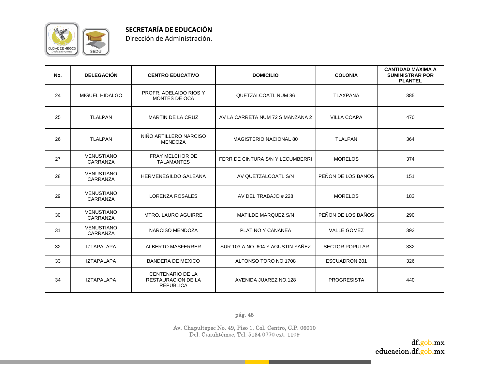

Dirección de Administración.

| No. | <b>DELEGACIÓN</b>             | <b>CENTRO EDUCATIVO</b>                                                  | <b>DOMICILIO</b>                  | <b>COLONIA</b>        | <b>CANTIDAD MÁXIMA A</b><br><b>SUMINISTRAR POR</b><br><b>PLANTEL</b> |
|-----|-------------------------------|--------------------------------------------------------------------------|-----------------------------------|-----------------------|----------------------------------------------------------------------|
| 24  | MIGUEL HIDALGO                | PROFR. ADELAIDO RIOS Y<br>MONTES DE OCA                                  | <b>QUETZALCOATL NUM 86</b>        | <b>TLAXPANA</b>       | 385                                                                  |
| 25  | <b>TLALPAN</b>                | <b>MARTIN DE LA CRUZ</b>                                                 | AV LA CARRETA NUM 72 S MANZANA 2  | <b>VILLA COAPA</b>    | 470                                                                  |
| 26  | <b>TLALPAN</b>                | NIÑO ARTILLERO NARCISO<br><b>MENDOZA</b>                                 | MAGISTERIO NACIONAL 80            | <b>TLALPAN</b>        | 364                                                                  |
| 27  | <b>VENUSTIANO</b><br>CARRANZA | FRAY MELCHOR DE<br><b>TALAMANTES</b>                                     | FERR DE CINTURA S/N Y LECUMBERRI  | <b>MORELOS</b>        | 374                                                                  |
| 28  | <b>VENUSTIANO</b><br>CARRANZA | <b>HERMENEGILDO GALEANA</b>                                              | AV QUETZALCOATL S/N               | PEÑON DE LOS BAÑOS    | 151                                                                  |
| 29  | <b>VENUSTIANO</b><br>CARRANZA | <b>LORENZA ROSALES</b>                                                   | AV DEL TRABAJO # 228              | <b>MORELOS</b>        | 183                                                                  |
| 30  | <b>VENUSTIANO</b><br>CARRANZA | <b>MTRO, LAURO AGUIRRE</b>                                               | MATILDE MARQUEZ S/N               | PEÑON DE LOS BAÑOS    | 290                                                                  |
| 31  | <b>VENUSTIANO</b><br>CARRANZA | NARCISO MENDOZA                                                          | PLATINO Y CANANEA                 | <b>VALLE GOMEZ</b>    | 393                                                                  |
| 32  | <b>IZTAPALAPA</b>             | <b>ALBERTO MASFERRER</b>                                                 | SUR 103 A NO. 604 Y AGUSTIN YAÑEZ | <b>SECTOR POPULAR</b> | 332                                                                  |
| 33  | <b>IZTAPALAPA</b>             | <b>BANDERA DE MEXICO</b>                                                 | ALFONSO TORO NO.1708              | <b>ESCUADRON 201</b>  | 326                                                                  |
| 34  | <b>IZTAPALAPA</b>             | <b>CENTENARIO DE LA</b><br><b>RESTAURACION DE LA</b><br><b>REPUBLICA</b> | AVENIDA JUAREZ NO.128             | <b>PROGRESISTA</b>    | 440                                                                  |

pág. 45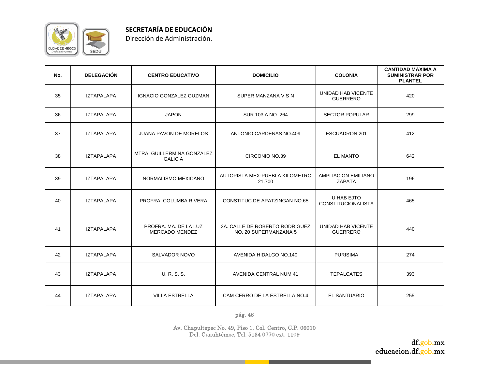

**SECRETARÍA DE EDUCACIÓN**

Dirección de Administración.

| No. | <b>DELEGACIÓN</b> | <b>CENTRO EDUCATIVO</b>                        | <b>DOMICILIO</b>                                        | <b>COLONIA</b>                              | <b>CANTIDAD MÁXIMA A</b><br><b>SUMINISTRAR POR</b><br><b>PLANTEL</b> |
|-----|-------------------|------------------------------------------------|---------------------------------------------------------|---------------------------------------------|----------------------------------------------------------------------|
| 35  | <b>IZTAPALAPA</b> | IGNACIO GONZALEZ GUZMAN                        | SUPER MANZANA V S N                                     | UNIDAD HAB VICENTE<br><b>GUERRERO</b>       | 420                                                                  |
| 36  | <b>IZTAPALAPA</b> | <b>JAPON</b>                                   | SUR 103 A NO. 264                                       | <b>SECTOR POPULAR</b>                       | 299                                                                  |
| 37  | <b>IZTAPALAPA</b> | <b>JUANA PAVON DE MORELOS</b>                  | ANTONIO CARDENAS NO.409                                 | <b>ESCUADRON 201</b>                        | 412                                                                  |
| 38  | <b>IZTAPALAPA</b> | MTRA. GUILLERMINA GONZALEZ<br><b>GALICIA</b>   | CIRCONIO NO.39                                          | <b>EL MANTO</b>                             | 642                                                                  |
| 39  | <b>IZTAPALAPA</b> | NORMALISMO MEXICANO                            | AUTOPISTA MEX-PUEBLA KILOMETRO<br>21.700                | <b>AMPLIACION EMILIANO</b><br><b>ZAPATA</b> | 196                                                                  |
| 40  | <b>IZTAPALAPA</b> | PROFRA, COLUMBA RIVERA                         | CONSTITUC.DE APATZINGAN NO.65                           | U HAB EJTO<br><b>CONSTITUCIONALISTA</b>     | 465                                                                  |
| 41  | <b>IZTAPALAPA</b> | PROFRA, MA, DE LA LUZ<br><b>MERCADO MENDEZ</b> | 3A. CALLE DE ROBERTO RODRIGUEZ<br>NO. 20 SUPERMANZANA 5 | UNIDAD HAB VICENTE<br><b>GUERRERO</b>       | 440                                                                  |
| 42  | <b>IZTAPALAPA</b> | SALVADOR NOVO                                  | AVENIDA HIDALGO NO.140                                  | <b>PURISIMA</b>                             | 274                                                                  |
| 43  | <b>IZTAPALAPA</b> | <b>U. R. S. S.</b>                             | <b>AVENIDA CENTRAL NUM 41</b>                           | <b>TEPALCATES</b>                           | 393                                                                  |
| 44  | <b>IZTAPALAPA</b> | <b>VILLA ESTRELLA</b>                          | CAM CERRO DE LA ESTRELLA NO.4                           | <b>EL SANTUARIO</b>                         | 255                                                                  |

pág. 46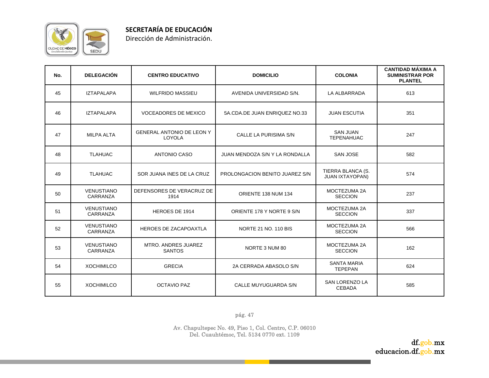

|  | Dirección de Administración. |
|--|------------------------------|
|--|------------------------------|

| No. | <b>DELEGACIÓN</b>             | <b>CENTRO EDUCATIVO</b>                    | <b>DOMICILIO</b>               | <b>COLONIA</b>                              | <b>CANTIDAD MÁXIMA A</b><br><b>SUMINISTRAR POR</b><br><b>PLANTEL</b> |
|-----|-------------------------------|--------------------------------------------|--------------------------------|---------------------------------------------|----------------------------------------------------------------------|
| 45  | <b>IZTAPALAPA</b>             | <b>WILFRIDO MASSIEU</b>                    | AVENIDA UNIVERSIDAD S/N.       | LA ALBARRADA                                | 613                                                                  |
| 46  | <b>IZTAPALAPA</b>             | <b>VOCEADORES DE MEXICO</b>                | 5A.CDA.DE JUAN ENRIQUEZ NO.33  | <b>JUAN ESCUTIA</b>                         | 351                                                                  |
| 47  | <b>MILPA ALTA</b>             | <b>GENERAL ANTONIO DE LEON Y</b><br>LOYOLA | CALLE LA PURISIMA S/N          | <b>SAN JUAN</b><br><b>TEPENAHUAC</b>        | 247                                                                  |
| 48  | <b>TLAHUAC</b>                | <b>ANTONIO CASO</b>                        | JUAN MENDOZA S/N Y LA RONDALLA | <b>SAN JOSE</b>                             | 582                                                                  |
| 49  | <b>TLAHUAC</b>                | SOR JUANA INES DE LA CRUZ                  | PROLONGACION BENITO JUAREZ S/N | TIERRA BLANCA (S.<br><b>JUAN IXTAYOPAN)</b> | 574                                                                  |
| 50  | <b>VENUSTIANO</b><br>CARRANZA | DEFENSORES DE VERACRUZ DE<br>1914          | ORIENTE 138 NUM 134            | MOCTEZUMA 2A<br><b>SECCION</b>              | 237                                                                  |
| 51  | <b>VENUSTIANO</b><br>CARRANZA | HEROES DE 1914                             | ORIENTE 178 Y NORTE 9 S/N      | MOCTEZUMA 2A<br><b>SECCION</b>              | 337                                                                  |
| 52  | <b>VENUSTIANO</b><br>CARRANZA | <b>HEROES DE ZACAPOAXTLA</b>               | NORTE 21 NO. 110 BIS           | MOCTEZUMA 2A<br><b>SECCION</b>              | 566                                                                  |
| 53  | <b>VENUSTIANO</b><br>CARRANZA | MTRO. ANDRES JUAREZ<br><b>SANTOS</b>       | NORTE 3 NUM 80                 | MOCTEZUMA 2A<br><b>SECCION</b>              | 162                                                                  |
| 54  | <b>XOCHIMILCO</b>             | <b>GRECIA</b>                              | 2A CERRADA ABASOLO S/N         | <b>SANTA MARIA</b><br><b>TEPEPAN</b>        | 624                                                                  |
| 55  | <b>XOCHIMILCO</b>             | <b>OCTAVIO PAZ</b>                         | CALLE MUYUGUARDA S/N           | SAN LORENZO LA<br><b>CEBADA</b>             | 585                                                                  |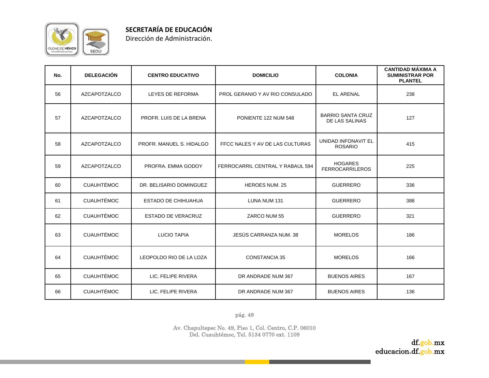

| Dirección de Administración. |  |
|------------------------------|--|
|                              |  |

| No. | <b>DELEGACIÓN</b>   | <b>CENTRO EDUCATIVO</b>    | <b>DOMICILIO</b>                 | <b>COLONIA</b>                             | <b>CANTIDAD MÁXIMA A</b><br><b>SUMINISTRAR POR</b><br><b>PLANTEL</b> |
|-----|---------------------|----------------------------|----------------------------------|--------------------------------------------|----------------------------------------------------------------------|
| 56  | AZCAPOTZALCO        | LEYES DE REFORMA           | PROL GERANIO Y AV RIO CONSULADO  | <b>EL ARENAL</b>                           | 238                                                                  |
| 57  | <b>AZCAPOTZALCO</b> | PROFR. LUIS DE LA BRENA    | PONIENTE 122 NUM 548             | <b>BARRIO SANTA CRUZ</b><br>DE LAS SALINAS | 127                                                                  |
| 58  | <b>AZCAPOTZALCO</b> | PROFR. MANUEL S. HIDALGO   | FFCC NALES Y AV DE LAS CULTURAS  | UNIDAD INFONAVIT EL<br><b>ROSARIO</b>      | 415                                                                  |
| 59  | <b>AZCAPOTZALCO</b> | PROFRA. EMMA GODOY         | FERROCARRIL CENTRAL Y RABAUL 594 | <b>HOGARES</b><br><b>FERROCARRILEROS</b>   | 225                                                                  |
| 60  | <b>CUAUHTÉMOC</b>   | DR. BELISARIO DOMINGUEZ    | <b>HEROES NUM. 25</b>            | <b>GUERRERO</b>                            | 336                                                                  |
| 61  | <b>CUAUHTÉMOC</b>   | <b>ESTADO DE CHIHUAHUA</b> | LUNA NUM 131                     | <b>GUERRERO</b>                            | 388                                                                  |
| 62  | <b>CUAUHTÉMOC</b>   | <b>ESTADO DE VERACRUZ</b>  | ZARCO NUM 55                     | <b>GUERRERO</b>                            | 321                                                                  |
| 63  | <b>CUAUHTÉMOC</b>   | <b>LUCIO TAPIA</b>         | JESÚS CARRANZA NUM. 38           | <b>MORELOS</b>                             | 186                                                                  |
| 64  | <b>CUAUHTÉMOC</b>   | LEOPOLDO RIO DE LA LOZA    | <b>CONSTANCIA 35</b>             | <b>MORELOS</b>                             | 166                                                                  |
| 65  | <b>CUAUHTÉMOC</b>   | LIC. FELIPE RIVERA         | DR ANDRADE NUM 367               | <b>BUENOS AIRES</b>                        | 167                                                                  |
| 66  | <b>CUAUHTÉMOC</b>   | LIC. FELIPE RIVERA         | DR ANDRADE NUM 367               | <b>BUENOS AIRES</b>                        | 136                                                                  |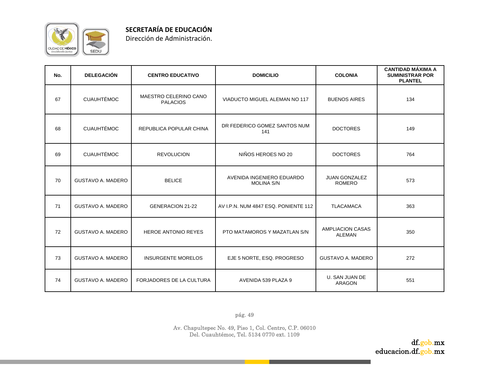

| No. | <b>DELEGACIÓN</b>        | <b>CENTRO EDUCATIVO</b>                  | <b>DOMICILIO</b>                               | <b>COLONIA</b>                           | <b>CANTIDAD MÁXIMA A</b><br><b>SUMINISTRAR POR</b><br><b>PLANTEL</b> |
|-----|--------------------------|------------------------------------------|------------------------------------------------|------------------------------------------|----------------------------------------------------------------------|
| 67  | <b>CUAUHTÉMOC</b>        | MAESTRO CELERINO CANO<br><b>PALACIOS</b> | VIADUCTO MIGUEL ALEMAN NO 117                  | <b>BUENOS AIRES</b>                      | 134                                                                  |
| 68  | <b>CUAUHTÉMOC</b>        | REPUBLICA POPULAR CHINA                  | DR FEDERICO GOMEZ SANTOS NUM<br>141            | <b>DOCTORES</b>                          | 149                                                                  |
| 69  | <b>CUAUHTÉMOC</b>        | <b>REVOLUCION</b>                        | NIÑOS HEROES NO 20                             | <b>DOCTORES</b>                          | 764                                                                  |
| 70  | <b>GUSTAVO A. MADERO</b> | <b>BELICE</b>                            | AVENIDA INGENIERO EDUARDO<br><b>MOLINA S/N</b> | <b>JUAN GONZALEZ</b><br><b>ROMERO</b>    | 573                                                                  |
| 71  | <b>GUSTAVO A. MADERO</b> | GENERACION 21-22                         | AV I.P.N. NUM 4847 ESQ. PONIENTE 112           | <b>TLACAMACA</b>                         | 363                                                                  |
| 72  | <b>GUSTAVO A. MADERO</b> | <b>HEROE ANTONIO REYES</b>               | PTO MATAMOROS Y MAZATLAN S/N                   | <b>AMPLIACION CASAS</b><br><b>ALEMAN</b> | 350                                                                  |
| 73  | <b>GUSTAVO A. MADERO</b> | <b>INSURGENTE MORELOS</b>                | EJE 5 NORTE, ESQ. PROGRESO                     | <b>GUSTAVO A. MADERO</b>                 | 272                                                                  |
| 74  | <b>GUSTAVO A. MADERO</b> | FORJADORES DE LA CULTURA                 | AVENIDA 539 PLAZA 9                            | U. SAN JUAN DE<br>ARAGON                 | 551                                                                  |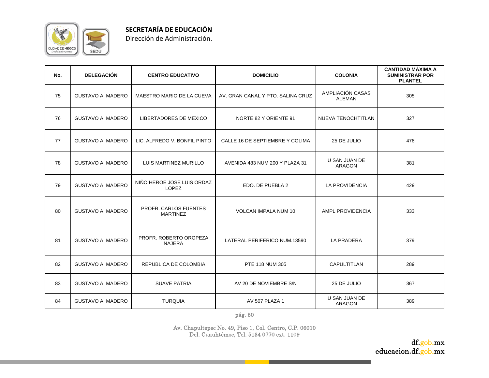

| No. | <b>DELEGACIÓN</b>        | <b>CENTRO EDUCATIVO</b>                    | <b>DOMICILIO</b>                  | <b>COLONIA</b>                    | <b>CANTIDAD MÁXIMA A</b><br><b>SUMINISTRAR POR</b><br><b>PLANTEL</b> |
|-----|--------------------------|--------------------------------------------|-----------------------------------|-----------------------------------|----------------------------------------------------------------------|
| 75  | <b>GUSTAVO A. MADERO</b> | MAESTRO MARIO DE LA CUEVA                  | AV. GRAN CANAL Y PTO, SALINA CRUZ | AMPLIACIÓN CASAS<br><b>ALEMAN</b> | 305                                                                  |
| 76  | <b>GUSTAVO A. MADERO</b> | LIBERTADORES DE MEXICO                     | NORTE 82 Y ORIENTE 91             | NUEVA TENOCHTITLAN                | 327                                                                  |
| 77  | <b>GUSTAVO A. MADERO</b> | LIC. ALFREDO V. BONFIL PINTO               | CALLE 16 DE SEPTIEMBRE Y COLIMA   | 25 DE JULIO                       | 478                                                                  |
| 78  | <b>GUSTAVO A. MADERO</b> | LUIS MARTINEZ MURILLO                      | AVENIDA 483 NUM 200 Y PLAZA 31    | U SAN JUAN DE<br><b>ARAGON</b>    | 381                                                                  |
| 79  | <b>GUSTAVO A. MADERO</b> | NIÑO HEROE JOSE LUIS ORDAZ<br><b>LOPEZ</b> | EDO. DE PUEBLA 2                  | LA PROVIDENCIA                    | 429                                                                  |
| 80  | <b>GUSTAVO A. MADERO</b> | PROFR. CARLOS FUENTES<br><b>MARTINEZ</b>   | VOLCAN IMPALA NUM 10              | AMPL PROVIDENCIA                  | 333                                                                  |
| 81  | <b>GUSTAVO A. MADERO</b> | PROFR. ROBERTO OROPEZA<br><b>NAJERA</b>    | LATERAL PERIFERICO NUM.13590      | <b>LA PRADERA</b>                 | 379                                                                  |
| 82  | <b>GUSTAVO A. MADERO</b> | REPUBLICA DE COLOMBIA                      | PTE 118 NUM 305                   | <b>CAPULTITLAN</b>                | 289                                                                  |
| 83  | <b>GUSTAVO A. MADERO</b> | <b>SUAVE PATRIA</b>                        | AV 20 DE NOVIEMBRE S/N            | 25 DE JULIO                       | 367                                                                  |
| 84  | <b>GUSTAVO A. MADERO</b> | <b>TURQUIA</b>                             | AV 507 PLAZA 1                    | U SAN JUAN DE<br><b>ARAGON</b>    | 389                                                                  |

pág. 50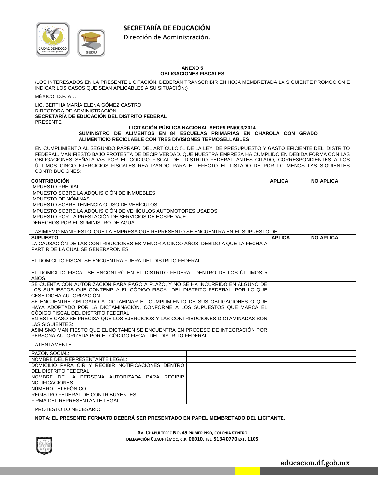# **SECRETARÍA DE EDUCACIÓN**



Dirección de Administración.

#### **ANEXO 5 OBLIGACIONES FISCALES**

(LOS INTERESADOS EN LA PRESENTE LICITACIÓN, DEBERÁN TRANSCRIBIR EN HOJA MEMBRETADA LA SIGUIENTE PROMOCIÓN E INDICAR LOS CASOS QUE SEAN APLICABLES A SU SITUACIÓN:)

MÉXICO, D.F. A…

LIC. BERTHA MARÍA ELENA GÓMEZ CASTRO DIRECTORA DE ADMINISTRACIÓN **SECRETARÍA DE EDUCACIÓN DEL DISTRITO FEDERAL**  PRESENTE

#### **LICITACIÓN PÚBLICA NACIONAL SEDF/LPN/003/2014 SUMINISTRO DE ALIMENTOS EN 84 ESCUELAS PRIMARIAS EN CHAROLA CON GRADO ALIMENTICIO RECICLABLE CON TRES DIVISIONES TERMOSELLABLES**

EN CUMPLIMIENTO AL SEGUNDO PÁRRAFO DEL ARTÍCULO 51 DE LA LEY DE PRESUPUESTO Y GASTO EFICIENTE DEL DISTRITO FEDERAL, MANIFIESTO BAJO PROTESTA DE DECIR VERDAD, QUE NUESTRA EMPRESA HA CUMPLIDO EN DEBIDA FORMA CON LAS OBLIGACIONES SEÑALADAS POR EL CÓDIGO FISCAL DEL DISTRITO FEDERAL ANTES CITADO, CORRESPONDIENTES A LOS ÚLTIMOS CINCO EJERCICIOS FISCALES REALIZANDO PARA EL EFECTO EL LISTADO DE POR LO MENOS LAS SIGUIENTES CONTRIBUCIONES:

| <b>CONTRIBUCIÓN</b>                                           | <b>APLICA</b> | <b>NO APLICA</b> |
|---------------------------------------------------------------|---------------|------------------|
| <b>IMPUESTO PREDIAL</b>                                       |               |                  |
| IMPUESTO SOBRE LA ADQUISICIÓN DE INMUEBLES                    |               |                  |
| IMPUESTO DE NÓMINAS                                           |               |                  |
| IMPUESTO SOBRE TENENCIA O USO DE VEHÍCULOS                    |               |                  |
| IMPUESTO SOBRE LA ADQUISICIÓN DE VEHÍCULOS AUTOMOTORES USADOS |               |                  |
| IMPUESTO POR LA PRESTACIÓN DE SERVICIOS DE HOSPEDAJE          |               |                  |
| DERECHOS POR EL SUMINISTRO DE AGUA.                           |               |                  |

ASIMISMO MANIFIESTO QUE LA EMPRESA QUE REPRESENTO SE ENCUENTRA EN EL SUPUESTO DE:

| <b>SUPUESTO</b>                                                                   | <b>APLICA</b> | <b>NO APLICA</b> |
|-----------------------------------------------------------------------------------|---------------|------------------|
| LA CAUSACIÓN DE LAS CONTRIBUCIONES ES MENOR A CINCO AÑOS. DEBIDO A QUE LA FECHA A |               |                  |
| PARTIR DE LA CUAL SE GENERARON ES                                                 |               |                  |
|                                                                                   |               |                  |
| EL DOMICILIO FISCAL SE ENCUENTRA FUERA DEL DISTRITO FEDERAL.                      |               |                  |
|                                                                                   |               |                  |
| EL DOMICILIO FISCAL SE ENCONTRÓ EN EL DISTRITO FEDERAL DENTRO DE LOS ÚLTIMOS 5    |               |                  |
| AÑOS.                                                                             |               |                  |
| SE CUENTA CON AUTORIZACIÓN PARA PAGO A PLAZO, Y NO SE HA INCURRIDO EN ALGUNO DE   |               |                  |
| LOS SUPUESTOS QUE CONTEMPLA EL CÓDIGO FISCAL DEL DISTRITO FEDERAL, POR LO QUE     |               |                  |
| CESE DICHA AUTORIZACIÓN.                                                          |               |                  |
| SE ENCUENTRE OBLIGADO A DICTAMINAR EL CUMPLIMIENTO DE SUS OBLIGACIONES O QUE      |               |                  |
| HAYA ADOPTADO POR LA DICTAMINACIÓN, CONFORME A LOS SUPUESTOS QUE MARCA EL         |               |                  |
| CÓDIGO FISCAL DEL DISTRITO FEDERAL.                                               |               |                  |
| EN ESTE CASO SE PRECISA QUE LOS EJERCICIOS Y LAS CONTRIBUCIONES DICTAMINADAS SON  |               |                  |
| LAS SIGUIENTES:                                                                   |               |                  |
| ASIMISMO MANIFIESTO QUE EL DICTAMEN SE ENCUENTRA EN PROCESO DE INTEGRACIÓN POR    |               |                  |
| PERSONA AUTORIZADA POR EL CÓDIGO FISCAL DEL DISTRITO FEDERAL.                     |               |                  |

ATENTAMENTE.

| RAZÓN SOCIAL:                                      |  |
|----------------------------------------------------|--|
| NOMBRE DEL REPRESENTANTE LEGAL:                    |  |
| DOMICILIO PARA OIR Y RECIBIR NOTIFICACIONES DENTRO |  |
| DEL DISTRITO FEDERAL:                              |  |
| NOMBRE DE LA PERSONA AUTORIZADA PARA RECIBIR       |  |
| NOTIFICACIONES:                                    |  |
| NÚMERO TELEFÓNICO:                                 |  |
| <b>REGISTRO FEDERAL DE CONTRIBUYENTES:</b>         |  |
| FIRMA DEL REPRESENTANTE LEGAL:                     |  |

#### PROTESTO LO NECESARIO

#### **NOTA: EL PRESENTE FORMATO DEBERÁ SER PRESENTADO EN PAPEL MEMBRETADO DEL LICITANTE.**



**AV. CHAPULTEPEC NO. 49 PRIMER PISO, COLONIA CENTRO DELEGACIÓN CUAUHTÉMOC, C.P. 06010, TEL. 5134 0770 EXT. 1105**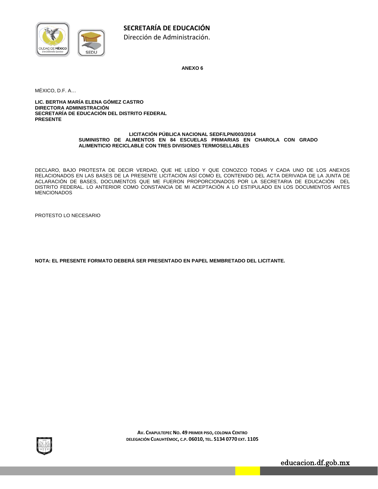

**ANEXO 6** 

MÉXICO, D.F. A…

**LIC. BERTHA MARÍA ELENA GÓMEZ CASTRO DIRECTORA ADMINISTRACIÓN SECRETARÍA DE EDUCACIÓN DEL DISTRITO FEDERAL PRESENTE**

#### **LICITACIÓN PÚBLICA NACIONAL SEDF/LPN/003/2014 SUMINISTRO DE ALIMENTOS EN 84 ESCUELAS PRIMARIAS EN CHAROLA CON GRADO ALIMENTICIO RECICLABLE CON TRES DIVISIONES TERMOSELLABLES**

DECLARO, BAJO PROTESTA DE DECIR VERDAD, QUE HE LEÍDO Y QUE CONOZCO TODAS Y CADA UNO DE LOS ANEXOS RELACIONADOS EN LAS BASES DE LA PRESENTE LICITACIÓN ASÍ COMO EL CONTENIDO DEL ACTA DERIVADA DE LA JUNTA DE ACLARACIÓN DE BASES, DOCUMENTOS QUE ME FUERON PROPORCIONADOS POR LA SECRETARIA DE EDUCACIÓN DEL DISTRITO FEDERAL. LO ANTERIOR COMO CONSTANCIA DE MI ACEPTACIÓN A LO ESTIPULADO EN LOS DOCUMENTOS ANTES **MENCIONADOS** 

PROTESTO LO NECESARIO

**NOTA: EL PRESENTE FORMATO DEBERÁ SER PRESENTADO EN PAPEL MEMBRETADO DEL LICITANTE.** 

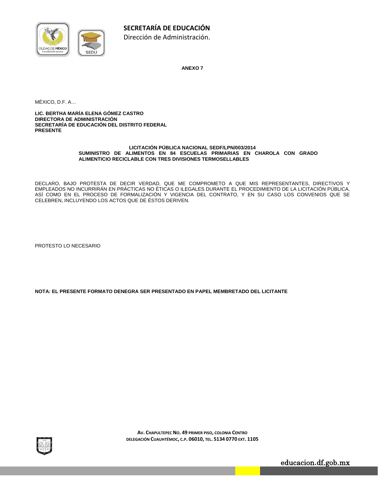

**ANEXO 7** 

MÉXICO, D.F. A…

**LIC. BERTHA MARÍA ELENA GÓMEZ CASTRO DIRECTORA DE ADMINISTRACIÓN SECRETARÍA DE EDUCACIÓN DEL DISTRITO FEDERAL PRESENTE** 

#### **LICITACIÓN PÚBLICA NACIONAL SEDF/LPN/003/2014 SUMINISTRO DE ALIMENTOS EN 84 ESCUELAS PRIMARIAS EN CHAROLA CON GRADO ALIMENTICIO RECICLABLE CON TRES DIVISIONES TERMOSELLABLES**

DECLARO, BAJO PROTESTA DE DECIR VERDAD, QUE ME COMPROMETO A QUE MIS REPRESENTANTES, DIRECTIVOS Y EMPLEADOS NO INCURRIRÁN EN PRÁCTICAS NO ÉTICAS O ILEGALES DURANTE EL PROCEDIMIENTO DE LA LICITACIÓN PÚBLICA, ASÍ COMO EN EL PROCESO DE FORMALIZACIÓN Y VIGENCIA DEL CONTRATO, Y EN SU CASO LOS CONVENIOS QUE SE CELEBREN, INCLUYENDO LOS ACTOS QUE DE ÉSTOS DERIVEN.

PROTESTO LO NECESARIO

**NOTA: EL PRESENTE FORMATO DENEGRA SER PRESENTADO EN PAPEL MEMBRETADO DEL LICITANTE** 



**AV. CHAPULTEPEC NO. 49 PRIMER PISO, COLONIA CENTRO DELEGACIÓN CUAUHTÉMOC, C.P. 06010, TEL. 5134 0770 EXT. 1105**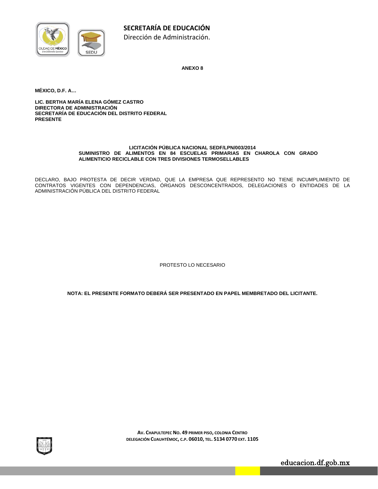

**ANEXO 8** 

**MÉXICO, D.F. A…** 

**LIC. BERTHA MARÍA ELENA GÓMEZ CASTRO DIRECTORA DE ADMINISTRACIÓN SECRETARÍA DE EDUCACIÓN DEL DISTRITO FEDERAL PRESENTE** 

#### **LICITACIÓN PÚBLICA NACIONAL SEDF/LPN/003/2014 SUMINISTRO DE ALIMENTOS EN 84 ESCUELAS PRIMARIAS EN CHAROLA CON GRADO ALIMENTICIO RECICLABLE CON TRES DIVISIONES TERMOSELLABLES**

DECLARO, BAJO PROTESTA DE DECIR VERDAD, QUE LA EMPRESA QUE REPRESENTO NO TIENE INCUMPLIMIENTO DE CONTRATOS VIGENTES CON DEPENDENCIAS, ÓRGANOS DESCONCENTRADOS, DELEGACIONES O ENTIDADES DE LA ADMINISTRACIÓN PÚBLICA DEL DISTRITO FEDERAL

PROTESTO LO NECESARIO

**NOTA: EL PRESENTE FORMATO DEBERÁ SER PRESENTADO EN PAPEL MEMBRETADO DEL LICITANTE.** 



**AV. CHAPULTEPEC NO. 49 PRIMER PISO, COLONIA CENTRO DELEGACIÓN CUAUHTÉMOC, C.P. 06010, TEL. 5134 0770 EXT. 1105**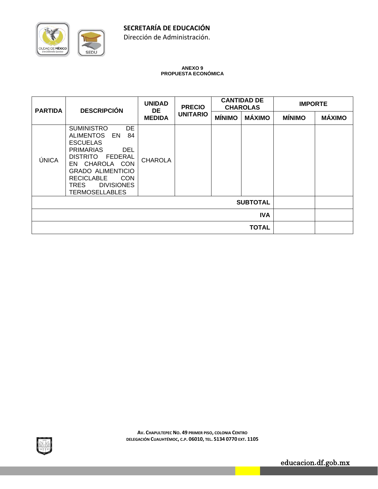**SECRETARÍA DE EDUCACIÓN**

Dirección de Administración.

#### **ANEXO 9 PROPUESTA ECONÓMICA**

| <b>PARTIDA</b>  | <b>DESCRIPCIÓN</b>                                                                                                                                                                                                                                                                              | <b>UNIDAD</b><br>DE. | <b>PRECIO</b>   | <b>CANTIDAD DE</b><br><b>CHAROLAS</b> |               | <b>IMPORTE</b> |               |
|-----------------|-------------------------------------------------------------------------------------------------------------------------------------------------------------------------------------------------------------------------------------------------------------------------------------------------|----------------------|-----------------|---------------------------------------|---------------|----------------|---------------|
|                 |                                                                                                                                                                                                                                                                                                 | <b>MEDIDA</b>        | <b>UNITARIO</b> | <b>MÍNIMO</b>                         | <b>MÁXIMO</b> | <b>MÍNIMO</b>  | <b>MÁXIMO</b> |
| ÚNICA           | <b>DE</b><br><b>SUMINISTRO</b><br><b>ALIMENTOS</b><br>84<br>EN<br><b>ESCUELAS</b><br><b>PRIMARIAS</b><br><b>DEL</b><br><b>DISTRITO</b><br><b>FEDERAL</b><br>EN CHAROLA CON<br><b>GRADO ALIMENTICIO</b><br><b>RECICLABLE</b><br><b>CON</b><br><b>DIVISIONES</b><br>TRES<br><b>TERMOSELLABLES</b> | <b>CHAROLA</b>       |                 |                                       |               |                |               |
| <b>SUBTOTAL</b> |                                                                                                                                                                                                                                                                                                 |                      |                 |                                       |               |                |               |
| <b>IVA</b>      |                                                                                                                                                                                                                                                                                                 |                      |                 |                                       |               |                |               |
| <b>TOTAL</b>    |                                                                                                                                                                                                                                                                                                 |                      |                 |                                       |               |                |               |



CIUDAD DE MÉXICO

**SEDU**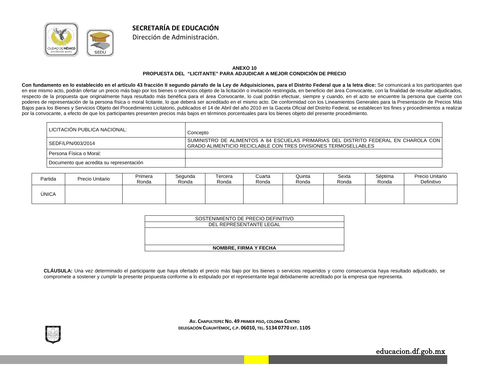

#### **ANEXO 10 PROPUESTA DEL "LICITANTE" PARA ADJUDICAR A MEJOR CONDICIÓN DE PRECIO**

**SECRETARÍA DE EDUCACIÓN**Dirección de Administración.

**Con fundamento en lo establecido en el artículo 43 fracción II segundo párrafo de la Ley de Adquisiciones, para el Distrito Federal que a la letra dice:** Se comunicará a los participantes que en ese mismo acto, podrán ofertar un precio más bajo por los bienes o servicios objeto de la licitación o invitación restringida, en beneficio del área Convocante, con la finalidad de resultar adjudicados, respecto de la propuesta que originalmente haya resultado más benéfica para el área Convocante, lo cual podrán efectuar, siempre y cuando, en el acto se encuentre la persona que cuente con poderes de representación de la persona física o moral licitante, lo que deberá ser acreditado en el mismo acto. De conformidad con los Lineamientos Generales para la Presentación de Precios Más Bajos para los Bienes y Servicios Objeto del Procedimiento Licitatorio, publicados el 14 de Abril del año 2010 en la Gaceta Oficial del Distrito Federal, se establecen los fines y procedimientos a realizar por la convocante, a efecto de que los participantes presenten precios más bajos en términos porcentuales para los bienes objeto del presente procedimiento.

| LICITACION PUBLICA NACIONAL:             | Concepto                                                                                                                                                 |
|------------------------------------------|----------------------------------------------------------------------------------------------------------------------------------------------------------|
| SEDF/LPN/003/2014                        | SUMINISTRO DE ALIMENTOS A 84 ESCUELAS PRIMARIAS DEL DISTRITO FEDERAL EN CHAROLA CON  <br>GRADO ALIMENTICIO RECICLABLE CON TRES DIVISIONES TERMOSELLABLES |
| Persona Física o Moral:                  |                                                                                                                                                          |
| Documento que acredita su representación |                                                                                                                                                          |

| Partida | Precio Unitario | Primera<br>Ronda | Segunda<br>Ronda | Fercera<br>Ronda | Cuarta<br>Ronda | Quinta<br>Ronda | Sexta<br>Ronda | Séptima<br>Ronda | Precio Unitario<br>Definitivo |
|---------|-----------------|------------------|------------------|------------------|-----------------|-----------------|----------------|------------------|-------------------------------|
| ÚNICA   |                 |                  |                  |                  |                 |                 |                |                  |                               |

| SOSTENIMIENTO DE PRECIO DEFINITIVO |
|------------------------------------|
| DEL REPRESENTANTE LEGAL            |
|                                    |
|                                    |
|                                    |
| <b>NOMBRE, FIRMA Y FECHA</b>       |

**CLÁUSULA:** Una vez determinado el participante que haya ofertado el precio más bajo por los bienes o servicios requeridos y como consecuencia haya resultado adjudicado, se compromete a sostener y cumplir la presente propuesta conforme a lo estipulado por el representante legal debidamente acreditado por la empresa que representa.



**AV. CHAPULTEPEC NO. 49 PRIMER PISO, COLONIA CENTRO DELEGACIÓN CUAUHTÉMOC, C.P. 06010, TEL. 5134 0770 EXT. 1105**